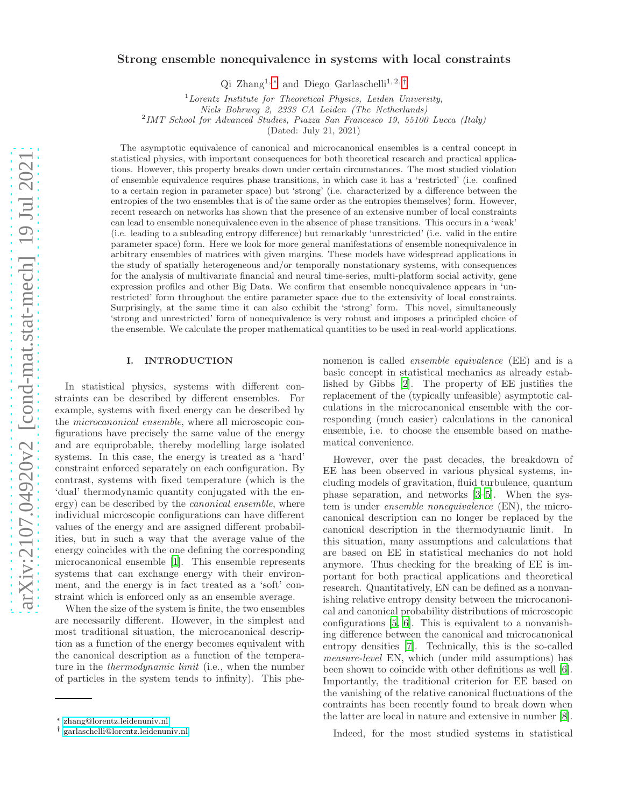# Strong ensemble nonequivalence in systems with local constraints

Qi Zhang<sup>1,\*</sup> and Diego Garlaschelli<sup>1,2,[†](#page-0-1)</sup>

<sup>1</sup>*Lorentz Institute for Theoretical Physics, Leiden University,*

*Niels Bohrweg 2, 2333 CA Leiden (The Netherlands)*

2 *IMT School for Advanced Studies, Piazza San Francesco 19, 55100 Lucca (Italy)*

(Dated: July 21, 2021)

The asymptotic equivalence of canonical and microcanonical ensembles is a central concept in statistical physics, with important consequences for both theoretical research and practical applications. However, this property breaks down under certain circumstances. The most studied violation of ensemble equivalence requires phase transitions, in which case it has a 'restricted' (i.e. confined to a certain region in parameter space) but 'strong' (i.e. characterized by a difference between the entropies of the two ensembles that is of the same order as the entropies themselves) form. However, recent research on networks has shown that the presence of an extensive number of local constraints can lead to ensemble nonequivalence even in the absence of phase transitions. This occurs in a 'weak' (i.e. leading to a subleading entropy difference) but remarkably 'unrestricted' (i.e. valid in the entire parameter space) form. Here we look for more general manifestations of ensemble nonequivalence in arbitrary ensembles of matrices with given margins. These models have widespread applications in the study of spatially heterogeneous and/or temporally nonstationary systems, with consequences for the analysis of multivariate financial and neural time-series, multi-platform social activity, gene expression profiles and other Big Data. We confirm that ensemble nonequivalence appears in 'unrestricted' form throughout the entire parameter space due to the extensivity of local constraints. Surprisingly, at the same time it can also exhibit the 'strong' form. This novel, simultaneously 'strong and unrestricted' form of nonequivalence is very robust and imposes a principled choice of the ensemble. We calculate the proper mathematical quantities to be used in real-world applications.

## I. INTRODUCTION

In statistical physics, systems with different constraints can be described by different ensembles. For example, systems with fixed energy can be described by the microcanonical ensemble, where all microscopic configurations have precisely the same value of the energy and are equiprobable, thereby modelling large isolated systems. In this case, the energy is treated as a 'hard' constraint enforced separately on each configuration. By contrast, systems with fixed temperature (which is the 'dual' thermodynamic quantity conjugated with the energy) can be described by the canonical ensemble, where individual microscopic configurations can have different values of the energy and are assigned different probabilities, but in such a way that the average value of the energy coincides with the one defining the corresponding microcanonical ensemble [\[1\]](#page-21-0). This ensemble represents systems that can exchange energy with their environment, and the energy is in fact treated as a 'soft' constraint which is enforced only as an ensemble average.

When the size of the system is finite, the two ensembles are necessarily different. However, in the simplest and most traditional situation, the microcanonical description as a function of the energy becomes equivalent with the canonical description as a function of the temperature in the thermodynamic limit (i.e., when the number of particles in the system tends to infinity). This phenomenon is called ensemble equivalence (EE) and is a basic concept in statistical mechanics as already established by Gibbs [\[2](#page-21-1)]. The property of EE justifies the replacement of the (typically unfeasible) asymptotic calculations in the microcanonical ensemble with the corresponding (much easier) calculations in the canonical ensemble, i.e. to choose the ensemble based on mathematical convenience.

However, over the past decades, the breakdown of EE has been observed in various physical systems, including models of gravitation, fluid turbulence, quantum phase separation, and networks [\[3–](#page-21-2)[5\]](#page-21-3). When the system is under ensemble nonequivalence (EN), the microcanonical description can no longer be replaced by the canonical description in the thermodynamic limit. In this situation, many assumptions and calculations that are based on EE in statistical mechanics do not hold anymore. Thus checking for the breaking of EE is important for both practical applications and theoretical research. Quantitatively, EN can be defined as a nonvanishing relative entropy density between the microcanonical and canonical probability distributions of microscopic configurations [\[5,](#page-21-3) [6](#page-22-0)]. This is equivalent to a nonvanishing difference between the canonical and microcanonical entropy densities [\[7](#page-22-1)]. Technically, this is the so-called measure-level EN, which (under mild assumptions) has been shown to coincide with other definitions as well [\[6\]](#page-22-0). Importantly, the traditional criterion for EE based on the vanishing of the relative canonical fluctuations of the contraints has been recently found to break down when the latter are local in nature and extensive in number [\[8\]](#page-22-2).

Indeed, for the most studied systems in statistical

<span id="page-0-0"></span><sup>∗</sup> [zhang@lorentz.leidenuniv.nl](mailto:zhang@lorentz.leidenuniv.nl)

<span id="page-0-1"></span><sup>†</sup> [garlaschelli@lorentz.leidenuniv.nl](mailto:garlaschelli@lorentz.leidenuniv.nl)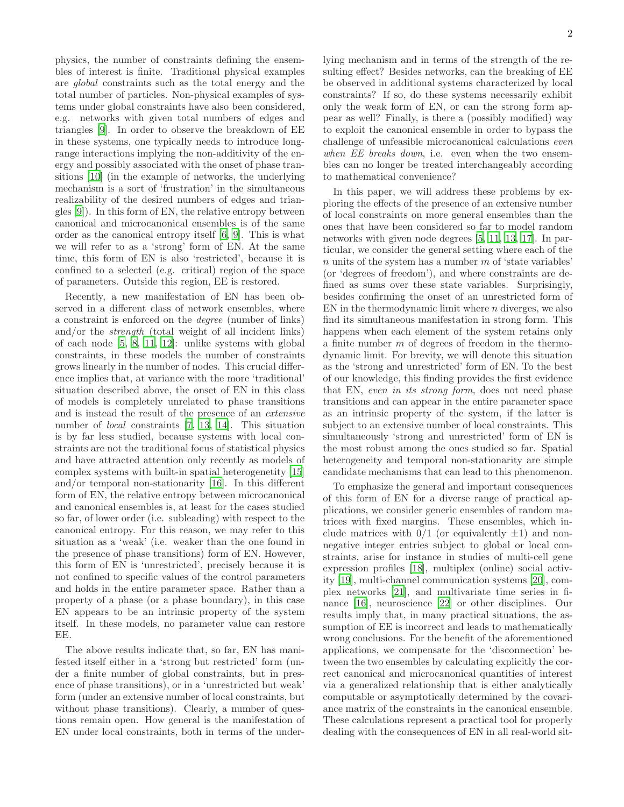physics, the number of constraints defining the ensembles of interest is finite. Traditional physical examples are global constraints such as the total energy and the total number of particles. Non-physical examples of systems under global constraints have also been considered, e.g. networks with given total numbers of edges and triangles [\[9\]](#page-22-3). In order to observe the breakdown of EE in these systems, one typically needs to introduce longrange interactions implying the non-additivity of the energy and possibly associated with the onset of phase transitions [\[10](#page-22-4)] (in the example of networks, the underlying mechanism is a sort of 'frustration' in the simultaneous realizability of the desired numbers of edges and triangles [\[9\]](#page-22-3)). In this form of EN, the relative entropy between canonical and microcanonical ensembles is of the same order as the canonical entropy itself [\[6,](#page-22-0) [9\]](#page-22-3). This is what we will refer to as a 'strong' form of EN. At the same time, this form of EN is also 'restricted', because it is confined to a selected (e.g. critical) region of the space of parameters. Outside this region, EE is restored.

Recently, a new manifestation of EN has been observed in a different class of network ensembles, where a constraint is enforced on the degree (number of links) and/or the strength (total weight of all incident links) of each node [\[5,](#page-21-3) [8,](#page-22-2) [11,](#page-22-5) [12\]](#page-22-6): unlike systems with global constraints, in these models the number of constraints grows linearly in the number of nodes. This crucial difference implies that, at variance with the more 'traditional' situation described above, the onset of EN in this class of models is completely unrelated to phase transitions and is instead the result of the presence of an extensive number of local constraints [\[7,](#page-22-1) [13,](#page-22-7) [14](#page-22-8)]. This situation is by far less studied, because systems with local constraints are not the traditional focus of statistical physics and have attracted attention only recently as models of complex systems with built-in spatial heterogenetity [\[15](#page-22-9)] and/or temporal non-stationarity [\[16\]](#page-22-10). In this different form of EN, the relative entropy between microcanonical and canonical ensembles is, at least for the cases studied so far, of lower order (i.e. subleading) with respect to the canonical entropy. For this reason, we may refer to this situation as a 'weak' (i.e. weaker than the one found in the presence of phase transitions) form of EN. However, this form of EN is 'unrestricted', precisely because it is not confined to specific values of the control parameters and holds in the entire parameter space. Rather than a property of a phase (or a phase boundary), in this case EN appears to be an intrinsic property of the system itself. In these models, no parameter value can restore EE.

The above results indicate that, so far, EN has manifested itself either in a 'strong but restricted' form (under a finite number of global constraints, but in presence of phase transitions), or in a 'unrestricted but weak' form (under an extensive number of local constraints, but without phase transitions). Clearly, a number of questions remain open. How general is the manifestation of EN under local constraints, both in terms of the underlying mechanism and in terms of the strength of the resulting effect? Besides networks, can the breaking of EE be observed in additional systems characterized by local constraints? If so, do these systems necessarily exhibit only the weak form of EN, or can the strong form appear as well? Finally, is there a (possibly modified) way to exploit the canonical ensemble in order to bypass the challenge of unfeasible microcanonical calculations even when EE breaks down, i.e. even when the two ensembles can no longer be treated interchangeably according to mathematical convenience?

In this paper, we will address these problems by exploring the effects of the presence of an extensive number of local constraints on more general ensembles than the ones that have been considered so far to model random networks with given node degrees [\[5,](#page-21-3) [11](#page-22-5), [13](#page-22-7), [17\]](#page-22-11). In particular, we consider the general setting where each of the  $n$  units of the system has a number  $m$  of 'state variables' (or 'degrees of freedom'), and where constraints are defined as sums over these state variables. Surprisingly, besides confirming the onset of an unrestricted form of EN in the thermodynamic limit where  $n$  diverges, we also find its simultaneous manifestation in strong form. This happens when each element of the system retains only a finite number  $m$  of degrees of freedom in the thermodynamic limit. For brevity, we will denote this situation as the 'strong and unrestricted' form of EN. To the best of our knowledge, this finding provides the first evidence that EN, even in its strong form, does not need phase transitions and can appear in the entire parameter space as an intrinsic property of the system, if the latter is subject to an extensive number of local constraints. This simultaneously 'strong and unrestricted' form of EN is the most robust among the ones studied so far. Spatial heterogeneity and temporal non-stationarity are simple candidate mechanisms that can lead to this phenomenon.

To emphasize the general and important consequences of this form of EN for a diverse range of practical applications, we consider generic ensembles of random matrices with fixed margins. These ensembles, which include matrices with  $0/1$  (or equivalently  $\pm 1$ ) and nonnegative integer entries subject to global or local constraints, arise for instance in studies of multi-cell gene expression profiles [\[18\]](#page-22-12), multiplex (online) social activity [\[19](#page-22-13)], multi-channel communication systems [\[20\]](#page-22-14), complex networks [\[21\]](#page-22-15), and multivariate time series in finance [\[16](#page-22-10)], neuroscience [\[22](#page-22-16)] or other disciplines. Our results imply that, in many practical situations, the assumption of EE is incorrect and leads to mathematically wrong conclusions. For the benefit of the aforementioned applications, we compensate for the 'disconnection' between the two ensembles by calculating explicitly the correct canonical and microcanonical quantities of interest via a generalized relationship that is either analytically computable or asymptotically determined by the covariance matrix of the constraints in the canonical ensemble. These calculations represent a practical tool for properly dealing with the consequences of EN in all real-world sit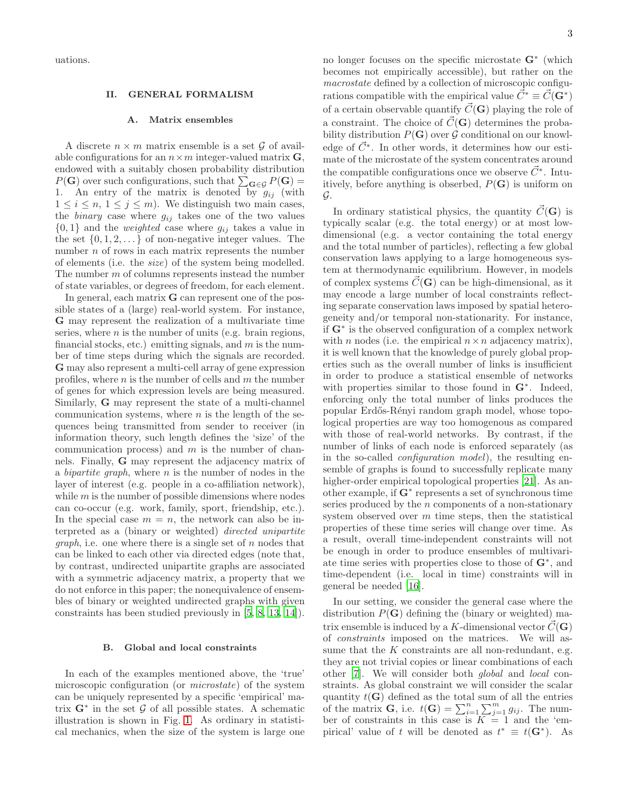uations.

## II. GENERAL FORMALISM

#### A. Matrix ensembles

A discrete  $n \times m$  matrix ensemble is a set G of available configurations for an  $n \times m$  integer-valued matrix  $\mathbf{G}$ , endowed with a suitably chosen probability distribution  $P(\mathbf{G})$  over such configurations, such that  $\sum_{\mathbf{G}\in\mathcal{G}} P(\mathbf{G}) =$ 1. An entry of the matrix is denoted by  $g_{ij}$  (with  $1 \leq i \leq n, 1 \leq j \leq m$ . We distinguish two main cases, the *binary* case where  $g_{ij}$  takes one of the two values  $\{0,1\}$  and the *weighted* case where  $g_{ij}$  takes a value in the set  $\{0, 1, 2, \ldots\}$  of non-negative integer values. The number  $n$  of rows in each matrix represents the number of elements (i.e. the size) of the system being modelled. The number m of columns represents instead the number of state variables, or degrees of freedom, for each element.

In general, each matrix G can represent one of the possible states of a (large) real-world system. For instance, G may represent the realization of a multivariate time series, where  $n$  is the number of units (e.g. brain regions, financial stocks, etc.) emitting signals, and  $m$  is the number of time steps during which the signals are recorded. G may also represent a multi-cell array of gene expression profiles, where  $n$  is the number of cells and  $m$  the number of genes for which expression levels are being measured. Similarly, G may represent the state of a multi-channel communication systems, where  $n$  is the length of the sequences being transmitted from sender to receiver (in information theory, such length defines the 'size' of the communication process) and  $m$  is the number of channels. Finally, G may represent the adjacency matrix of a bipartite graph, where n is the number of nodes in the layer of interest (e.g. people in a co-affiliation network), while  $m$  is the number of possible dimensions where nodes can co-occur (e.g. work, family, sport, friendship, etc.). In the special case  $m = n$ , the network can also be interpreted as a (binary or weighted) directed unipartite *graph*, i.e. one where there is a single set of  $n$  nodes that can be linked to each other via directed edges (note that, by contrast, undirected unipartite graphs are associated with a symmetric adjacency matrix, a property that we do not enforce in this paper; the nonequivalence of ensembles of binary or weighted undirected graphs with given constraints has been studied previously in [\[5,](#page-21-3) [8,](#page-22-2) [13,](#page-22-7) [14\]](#page-22-8)).

## B. Global and local constraints

In each of the examples mentioned above, the 'true' microscopic configuration (or microstate) of the system can be uniquely represented by a specific 'empirical' matrix  $\mathbf{G}^*$  in the set  $\mathcal G$  of all possible states. A schematic illustration is shown in Fig. [1.](#page-3-0) As ordinary in statistical mechanics, when the size of the system is large one

no longer focuses on the specific microstate G<sup>∗</sup> (which becomes not empirically accessible), but rather on the macrostate defined by a collection of microscopic configurations compatible with the empirical value  $\vec{C}^* \equiv \vec{C}(\mathbf{G}^*)$ of a certain observable quantify  $\vec{C}(\mathbf{G})$  playing the role of a constraint. The choice of  $\vec{C}(\mathbf{G})$  determines the probability distribution  $P(G)$  over G conditional on our knowledge of  $\vec{C}^*$ . In other words, it determines how our estimate of the microstate of the system concentrates around the compatible configurations once we observe  $\vec{C}^*$ . Intuitively, before anything is obserbed,  $P(G)$  is uniform on G.

In ordinary statistical physics, the quantity  $C({\bf G})$  is typically scalar (e.g. the total energy) or at most lowdimensional (e.g. a vector containing the total energy and the total number of particles), reflecting a few global conservation laws applying to a large homogeneous system at thermodynamic equilibrium. However, in models of complex systems  $C({\bf G})$  can be high-dimensional, as it may encode a large number of local constraints reflecting separate conservation laws imposed by spatial heterogeneity and/or temporal non-stationarity. For instance, if G<sup>∗</sup> is the observed configuration of a complex network with n nodes (i.e. the empirical  $n \times n$  adjacency matrix), it is well known that the knowledge of purely global properties such as the overall number of links is insufficient in order to produce a statistical ensemble of networks with properties similar to those found in G<sup>∗</sup>. Indeed, enforcing only the total number of links produces the popular Erd˝os-R´enyi random graph model, whose topological properties are way too homogenous as compared with those of real-world networks. By contrast, if the number of links of each node is enforced separately (as in the so-called configuration model), the resulting ensemble of graphs is found to successfully replicate many higher-order empirical topological properties [\[21\]](#page-22-15). As another example, if G<sup>∗</sup> represents a set of synchronous time series produced by the n components of a non-stationary system observed over  $m$  time steps, then the statistical properties of these time series will change over time. As a result, overall time-independent constraints will not be enough in order to produce ensembles of multivariate time series with properties close to those of G<sup>∗</sup> , and time-dependent (i.e. local in time) constraints will in general be needed [\[16\]](#page-22-10).

In our setting, we consider the general case where the distribution  $P(G)$  defining the (binary or weighted) matrix ensemble is induced by a K-dimensional vector  $\vec{C}(\mathbf{G})$ of constraints imposed on the matrices. We will assume that the  $K$  constraints are all non-redundant, e.g. they are not trivial copies or linear combinations of each other [\[7](#page-22-1)]. We will consider both global and local constraints. As global constraint we will consider the scalar quantity  $t(G)$  defined as the total sum of all the entries of the matrix **G**, i.e.  $t(\mathbf{G}) = \sum_{i=1}^{n} \sum_{j=1}^{m} g_{ij}$ . The number of constraints in this case is  $K = 1$  and the 'empirical' value of t will be denoted as  $t^* \equiv t(\mathbf{G}^*)$ . As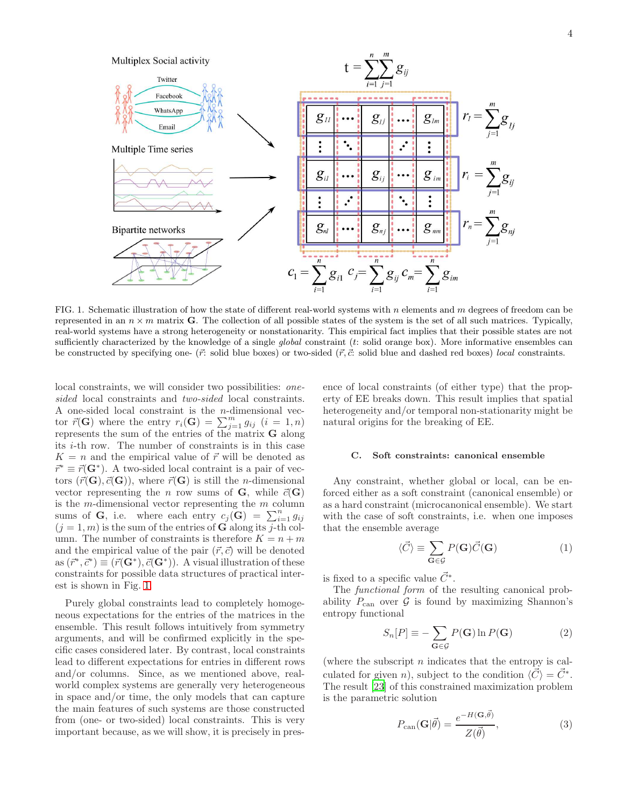4



<span id="page-3-0"></span>FIG. 1. Schematic illustration of how the state of different real-world systems with n elements and  $m$  degrees of freedom can be represented in an  $n \times m$  matrix **G**. The collection of all possible states of the system is the set of all such matrices. Typically, real-world systems have a strong heterogeneity or nonstationarity. This empirical fact implies that their possible states are not sufficiently characterized by the knowledge of a single *global* constraint (t: solid orange box). More informative ensembles can be constructed by specifying one-  $(\vec{r}:$  solid blue boxes) or two-sided  $(\vec{r}, \vec{c}:$  solid blue and dashed red boxes) *local* constraints.

local constraints, we will consider two possibilities: onesided local constraints and two-sided local constraints. A one-sided local constraint is the n-dimensional vector  $\vec{r}(\mathbf{G})$  where the entry  $r_i(\mathbf{G}) = \sum_{j=1}^m g_{ij}$   $(i = 1, n)$ represents the sum of the entries of the matrix  $\bf{G}$  along its i-th row. The number of constraints is in this case  $K = n$  and the empirical value of  $\vec{r}$  will be denoted as  $\vec{r}^* \equiv \vec{r}(\mathbf{G}^*)$ . A two-sided local contraint is a pair of vectors  $(\vec{r}(\mathbf{G}), \vec{c}(\mathbf{G}))$ , where  $\vec{r}(\mathbf{G})$  is still the *n*-dimensional vector representing the n row sums of G, while  $\vec{c}(\mathbf{G})$ is the  $m$ -dimensional vector representing the  $m$  column sums of G, i.e. where each entry  $c_j(G) = \sum_{i=1}^n g_{ij}$  $(j = 1, m)$  is the sum of the entries of G along its j-th column. The number of constraints is therefore  $K = n + m$ and the empirical value of the pair  $(\vec{r}, \vec{c})$  will be denoted as  $(\vec{r}^*, \vec{c}^*) \equiv (\vec{r}(\mathbf{G}^*), \vec{c}(\mathbf{G}^*))$ . A visual illustration of these constraints for possible data structures of practical interest is shown in Fig. [1.](#page-3-0)

Purely global constraints lead to completely homogeneous expectations for the entries of the matrices in the ensemble. This result follows intuitively from symmetry arguments, and will be confirmed explicitly in the specific cases considered later. By contrast, local constraints lead to different expectations for entries in different rows and/or columns. Since, as we mentioned above, realworld complex systems are generally very heterogeneous in space and/or time, the only models that can capture the main features of such systems are those constructed from (one- or two-sided) local constraints. This is very important because, as we will show, it is precisely in pres-

ence of local constraints (of either type) that the property of EE breaks down. This result implies that spatial heterogeneity and/or temporal non-stationarity might be natural origins for the breaking of EE.

## C. Soft constraints: canonical ensemble

Any constraint, whether global or local, can be enforced either as a soft constraint (canonical ensemble) or as a hard constraint (microcanonical ensemble). We start with the case of soft constraints, i.e. when one imposes that the ensemble average

$$
\langle \vec{C} \rangle \equiv \sum_{\mathbf{G} \in \mathcal{G}} P(\mathbf{G}) \vec{C}(\mathbf{G}) \tag{1}
$$

is fixed to a specific value  $\vec{C}^*$ .

The functional form of the resulting canonical probability  $P_{\text{can}}$  over  $\mathcal G$  is found by maximizing Shannon's entropy functional

<span id="page-3-1"></span>
$$
S_n[P] \equiv -\sum_{\mathbf{G} \in \mathcal{G}} P(\mathbf{G}) \ln P(\mathbf{G}) \tag{2}
$$

(where the subscript  $n$  indicates that the entropy is calculated for given n), subject to the condition  $\langle \vec{C} \rangle = \vec{C}^*$ . The result [\[23\]](#page-22-17) of this constrained maximization problem is the parametric solution

$$
P_{\text{can}}(\mathbf{G}|\vec{\theta}) = \frac{e^{-H(\mathbf{G},\vec{\theta})}}{Z(\vec{\theta})},\tag{3}
$$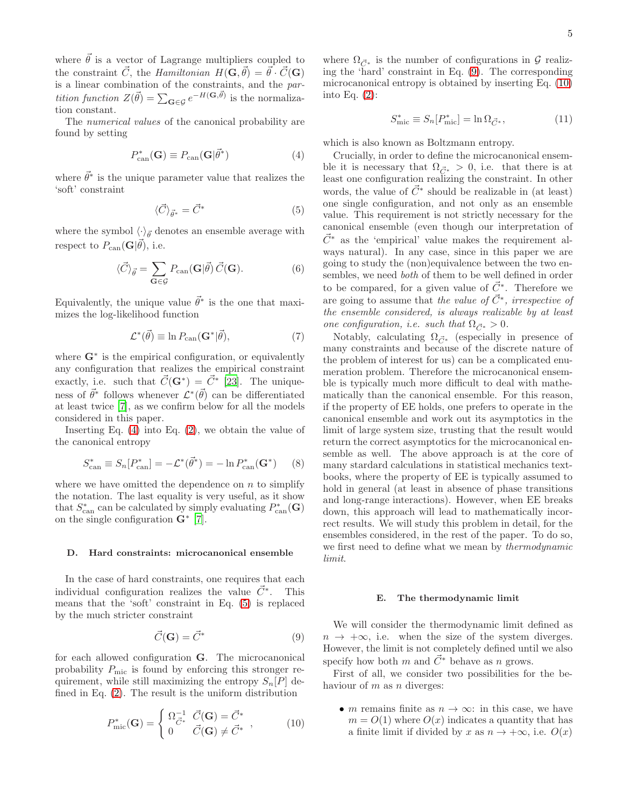where  $\vec{\theta}$  is a vector of Lagrange multipliers coupled to the constraint  $\vec{C}$ , the Hamiltonian  $H(\mathbf{G}, \vec{\theta}) = \vec{\theta} \cdot \vec{C}(\mathbf{G})$ is a linear combination of the constraints, and the par*tition function*  $Z(\vec{\theta}) = \sum_{\mathbf{G} \in \mathcal{G}} e^{-H(\mathbf{G}, \vec{\theta})}$  is the normalization constant.

The numerical values of the canonical probability are found by setting

<span id="page-4-0"></span>
$$
P_{\text{can}}^*(\mathbf{G}) \equiv P_{\text{can}}(\mathbf{G}|\vec{\theta}^*)
$$
\n(4)

where  $\vec{\theta}^*$  is the unique parameter value that realizes the 'soft' constraint

<span id="page-4-1"></span>
$$
\langle \vec{C} \rangle_{\vec{\theta}^*} = \vec{C}^* \tag{5}
$$

where the symbol  $\langle \cdot \rangle_{\vec{\theta}}$  denotes an ensemble average with respect to  $P_{\text{can}}(\mathbf{G}|\vec{\theta})$ , i.e.

$$
\langle \vec{C} \rangle_{\vec{\theta}} = \sum_{\mathbf{G} \in \mathcal{G}} P_{\text{can}}(\mathbf{G} | \vec{\theta}) \, \vec{C}(\mathbf{G}). \tag{6}
$$

Equivalently, the unique value  $\vec{\theta}^*$  is the one that maximizes the log-likelihood function

$$
\mathcal{L}^*(\vec{\theta}) \equiv \ln P_{\text{can}}(\mathbf{G}^*|\vec{\theta}),\tag{7}
$$

where  $\mathbf{G}^*$  is the empirical configuration, or equivalently any configuration that realizes the empirical constraint exactly, i.e. such that  $\vec{C}(\mathbf{G}^*) = \vec{C}^*$  [\[23\]](#page-22-17). The uniqueness of  $\vec{\theta}^*$  follows whenever  $\mathcal{L}^*(\vec{\theta})$  can be differentiated at least twice [\[7\]](#page-22-1), as we confirm below for all the models considered in this paper.

Inserting Eq.  $(4)$  into Eq.  $(2)$ , we obtain the value of the canonical entropy

<span id="page-4-5"></span>
$$
S_{\text{can}}^* \equiv S_n[P_{\text{can}}^*] = -\mathcal{L}^*(\vec{\theta}^*) = -\ln P_{\text{can}}^*(\mathbf{G}^*) \qquad (8)
$$

where we have omitted the dependence on  $n$  to simplify the notation. The last equality is very useful, as it show that  $S_{\text{can}}^*$  can be calculated by simply evaluating  $P_{\text{can}}^*(\mathbf{G})$ on the single configuration  $\mathbf{G}^*$  [\[7\]](#page-22-1).

#### D. Hard constraints: microcanonical ensemble

In the case of hard constraints, one requires that each individual configuration realizes the value  $\vec{C}^*$ . This means that the 'soft' constraint in Eq. [\(5\)](#page-4-1) is replaced by the much stricter constraint

<span id="page-4-2"></span>
$$
\vec{C}(\mathbf{G}) = \vec{C}^* \tag{9}
$$

for each allowed configuration G. The microcanonical probability  $P_{\text{mic}}$  is found by enforcing this stronger requirement, while still maximizing the entropy  $S_n[P]$  defined in Eq. [\(2\)](#page-3-1). The result is the uniform distribution

<span id="page-4-3"></span>
$$
P_{\text{mic}}^*(\mathbf{G}) = \begin{cases} \Omega_{\vec{C}^*}^{-1} & \vec{C}(\mathbf{G}) = \vec{C}^* \\ 0 & \vec{C}(\mathbf{G}) \neq \vec{C}^* \end{cases}, \quad (10)
$$

where  $\Omega_{\vec{C}^*}$  is the number of configurations in  $\mathcal G$  realizing the 'hard' constraint in Eq. [\(9\)](#page-4-2). The corresponding microcanonical entropy is obtained by inserting Eq. [\(10\)](#page-4-3) into Eq. [\(2\)](#page-3-1):

<span id="page-4-4"></span>
$$
S_{\rm mic}^* \equiv S_n[P_{\rm mic}^*] = \ln \Omega_{\vec{C}^*},\tag{11}
$$

which is also known as Boltzmann entropy.

Crucially, in order to define the microcanonical ensemble it is necessary that  $\Omega_{\vec{C}^*} > 0$ , i.e. that there is at least one configuration realizing the constraint. In other words, the value of  $\vec{C}^*$  should be realizable in (at least) one single configuration, and not only as an ensemble value. This requirement is not strictly necessary for the canonical ensemble (even though our interpretation of  $\vec{C}^*$  as the 'empirical' value makes the requirement always natural). In any case, since in this paper we are going to study the (non)equivalence between the two ensembles, we need both of them to be well defined in order to be compared, for a given value of  $\vec{C}^*$ . Therefore we are going to assume that the value of  $\vec{C}^*$ , irrespective of the ensemble considered, is always realizable by at least one configuration, i.e. such that  $\Omega_{\vec{C}} \geq 0$ .

Notably, calculating  $\Omega_{\vec{C}^*}$  (especially in presence of many constraints and because of the discrete nature of the problem of interest for us) can be a complicated enumeration problem. Therefore the microcanonical ensemble is typically much more difficult to deal with mathematically than the canonical ensemble. For this reason, if the property of EE holds, one prefers to operate in the canonical ensemble and work out its asymptotics in the limit of large system size, trusting that the result would return the correct asymptotics for the microcanonical ensemble as well. The above approach is at the core of many stardard calculations in statistical mechanics textbooks, where the property of EE is typically assumed to hold in general (at least in absence of phase transitions and long-range interactions). However, when EE breaks down, this approach will lead to mathematically incorrect results. We will study this problem in detail, for the ensembles considered, in the rest of the paper. To do so, we first need to define what we mean by thermodynamic limit.

#### <span id="page-4-6"></span>E. The thermodynamic limit

We will consider the thermodynamic limit defined as  $n \to +\infty$ , i.e. when the size of the system diverges. However, the limit is not completely defined until we also specify how both m and  $\vec{C}^*$  behave as n grows.

First of all, we consider two possibilities for the behaviour of  $m$  as  $n$  diverges:

• *m* remains finite as  $n \to \infty$ : in this case, we have  $m = O(1)$  where  $O(x)$  indicates a quantity that has a finite limit if divided by x as  $n \to +\infty$ , i.e.  $O(x)$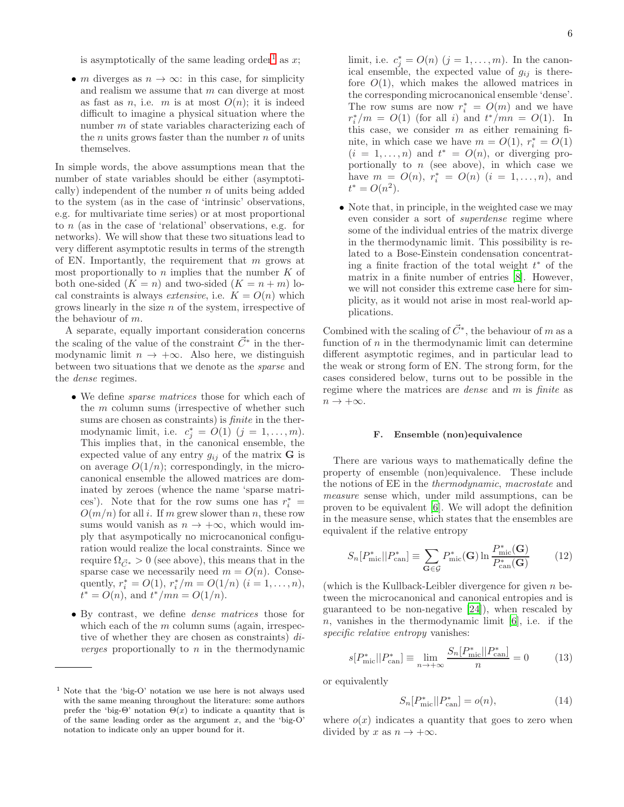is asymptotically of the same leading order<sup>[1](#page-5-0)</sup> as  $x$ ;

• *m* diverges as  $n \to \infty$ : in this case, for simplicity and realism we assume that m can diverge at most as fast as *n*, i.e. *m* is at most  $O(n)$ ; it is indeed difficult to imagine a physical situation where the number m of state variables characterizing each of the  $n$  units grows faster than the number  $n$  of units themselves.

In simple words, the above assumptions mean that the number of state variables should be either (asymptotically) independent of the number  $n$  of units being added to the system (as in the case of 'intrinsic' observations, e.g. for multivariate time series) or at most proportional to n (as in the case of 'relational' observations, e.g. for networks). We will show that these two situations lead to very different asymptotic results in terms of the strength of EN. Importantly, the requirement that  $m$  grows at most proportionally to  $n$  implies that the number  $K$  of both one-sided  $(K = n)$  and two-sided  $(K = n + m)$  local constraints is always *extensive*, i.e.  $K = O(n)$  which grows linearly in the size  $n$  of the system, irrespective of the behaviour of m.

A separate, equally important consideration concerns the scaling of the value of the constraint  $\vec{C}^*$  in the thermodynamic limit  $n \to +\infty$ . Also here, we distinguish between two situations that we denote as the sparse and the dense regimes.

- We define sparse matrices those for which each of the m column sums (irrespective of whether such sums are chosen as constraints) is *finite* in the thermodynamic limit, i.e.  $c_j^* = O(1)$   $(j = 1, ..., m)$ . This implies that, in the canonical ensemble, the expected value of any entry  $g_{ij}$  of the matrix **G** is on average  $O(1/n)$ ; correspondingly, in the microcanonical ensemble the allowed matrices are dominated by zeroes (whence the name 'sparse matrices'). Note that for the row sums one has  $r_i^* =$  $O(m/n)$  for all i. If m grew slower than n, these row sums would vanish as  $n \to +\infty$ , which would imply that asympotically no microcanonical configuration would realize the local constraints. Since we require  $\Omega_{\vec{C}^*} > 0$  (see above), this means that in the sparse case we necessarily need  $m = O(n)$ . Consequently,  $r_i^* = O(1)$ ,  $r_i^*/m = O(1/n)$   $(i = 1, ..., n)$ ,  $t^* = O(n)$ , and  $t^*/mn = O(1/n)$ .
- By contrast, we define dense matrices those for which each of the  $m$  column sums (again, irrespective of whether they are chosen as constraints) di*verges* proportionally to  $n$  in the thermodynamic

limit, i.e.  $c_j^* = O(n)$   $(j = 1, ..., m)$ . In the canonical ensemble, the expected value of  $g_{ij}$  is therefore  $O(1)$ , which makes the allowed matrices in the corresponding microcanonical ensemble 'dense'. The row sums are now  $r_i^* = O(m)$  and we have  $r_i^*/m = O(1)$  (for all *i*) and  $t^*/mn = O(1)$ . In this case, we consider  $m$  as either remaining finite, in which case we have  $m = O(1)$ ,  $r_i^* = O(1)$  $(i = 1, \ldots, n)$  and  $t^* = O(n)$ , or diverging proportionally to  $n$  (see above), in which case we have  $m = O(n)$ ,  $r_i^* = O(n)$   $(i = 1, ..., n)$ , and  $t^* = O(n^2)$ .

• Note that, in principle, in the weighted case we may even consider a sort of superdense regime where some of the individual entries of the matrix diverge in the thermodynamic limit. This possibility is related to a Bose-Einstein condensation concentrating a finite fraction of the total weight  $t^*$  of the matrix in a finite number of entries [\[8\]](#page-22-2). However, we will not consider this extreme case here for simplicity, as it would not arise in most real-world applications.

Combined with the scaling of  $\vec{C}^*$ , the behaviour of m as a function of  $n$  in the thermodynamic limit can determine different asymptotic regimes, and in particular lead to the weak or strong form of EN. The strong form, for the cases considered below, turns out to be possible in the regime where the matrices are dense and m is finite as  $n \to +\infty$ .

#### <span id="page-5-3"></span>F. Ensemble (non)equivalence

There are various ways to mathematically define the property of ensemble (non)equivalence. These include the notions of EE in the thermodynamic, macrostate and measure sense which, under mild assumptions, can be proven to be equivalent [\[6](#page-22-0)]. We will adopt the definition in the measure sense, which states that the ensembles are equivalent if the relative entropy

$$
S_n[P^*_{\text{mic}}||P^*_{\text{can}}] \equiv \sum_{\mathbf{G}\in\mathcal{G}} P^*_{\text{mic}}(\mathbf{G}) \ln \frac{P^*_{\text{mic}}(\mathbf{G})}{P^*_{\text{can}}(\mathbf{G})}
$$
(12)

(which is the Kullback-Leibler divergence for given  $n$  between the microcanonical and canonical entropies and is guaranteed to be non-negative [\[24\]](#page-22-18)), when rescaled by  $n$ , vanishes in the thermodynamic limit [\[6](#page-22-0)], i.e. if the specific relative entropy vanishes:

<span id="page-5-1"></span>
$$
s[P_{\text{mic}}^*||P_{\text{can}}^*] \equiv \lim_{n \to +\infty} \frac{S_n[P_{\text{mic}}^*||P_{\text{can}}^*]}{n} = 0 \tag{13}
$$

or equivalently

<span id="page-5-2"></span>
$$
S_n[P^*_{\text{mic}}||P^*_{\text{can}}] = o(n),\tag{14}
$$

where  $o(x)$  indicates a quantity that goes to zero when divided by x as  $n \to +\infty$ .

<span id="page-5-0"></span><sup>&</sup>lt;sup>1</sup> Note that the 'big-O' notation we use here is not always used with the same meaning throughout the literature: some authors prefer the 'big- $\Theta$ ' notation  $\Theta(x)$  to indicate a quantity that is of the same leading order as the argument x, and the 'big-O' notation to indicate only an upper bound for it.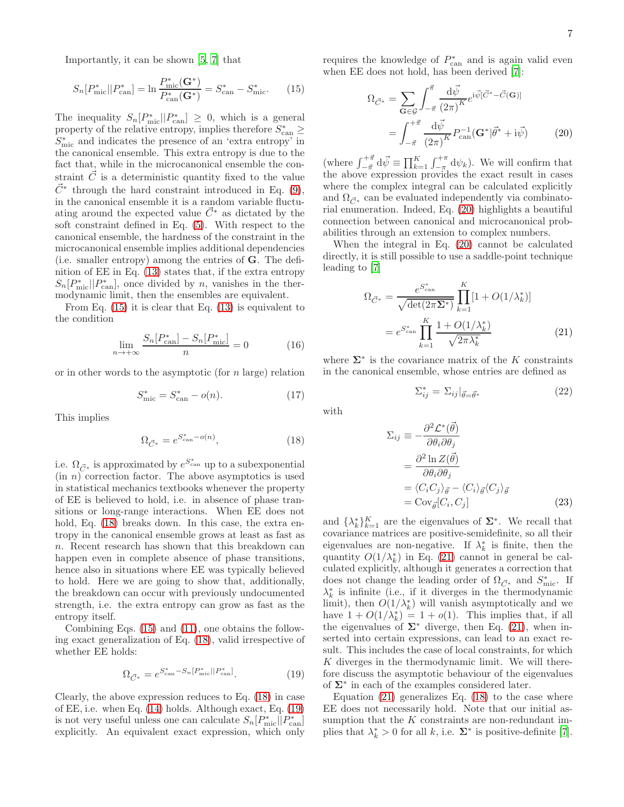Importantly, it can be shown [\[5,](#page-21-3) [7\]](#page-22-1) that

<span id="page-6-0"></span>
$$
S_n[P^*_{\text{mic}}||P^*_{\text{can}}] = \ln \frac{P^*_{\text{mic}}(G^*)}{P^*_{\text{can}}(G^*)} = S^*_{\text{can}} - S^*_{\text{mic}}.\tag{15}
$$

The inequality  $S_n[P^*_{\text{mic}}||P^*_{\text{can}}] \geq 0$ , which is a general property of the relative entropy, implies therefore  $S_{\text{can}}^* \geq$  $S_{\mathrm{mic}}^*$  and indicates the presence of an 'extra entropy' in the canonical ensemble. This extra entropy is due to the fact that, while in the microcanonical ensemble the constraint  $\vec{C}$  is a deterministic quantity fixed to the value  $\vec{C}^*$  through the hard constraint introduced in Eq. [\(9\)](#page-4-2), in the canonical ensemble it is a random variable fluctuating around the expected value  $\vec{C}^*$  as dictated by the soft constraint defined in Eq. [\(5\)](#page-4-1). With respect to the canonical ensemble, the hardness of the constraint in the microcanonical ensemble implies additional dependencies (i.e. smaller entropy) among the entries of G. The definition of EE in Eq. [\(13\)](#page-5-1) states that, if the extra entropy  $S_n[P^*_{\text{mic}}||P^*_{\text{can}}]$ , once divided by n, vanishes in the thermodynamic limit, then the ensembles are equivalent.

From Eq. [\(15\)](#page-6-0) it is clear that Eq. [\(13\)](#page-5-1) is equivalent to the condition

$$
\lim_{n \to +\infty} \frac{S_n[P_{\text{can}}^*] - S_n[P_{\text{mic}}^*]}{n} = 0
$$
\n(16)

or in other words to the asymptotic (for  $n$  large) relation

$$
S_{\text{mic}}^* = S_{\text{can}}^* - o(n). \tag{17}
$$

This implies

<span id="page-6-1"></span>
$$
\Omega_{\vec{C}^*} = e^{S_{\text{can}}^* - o(n)},\tag{18}
$$

i.e.  $\Omega_{\vec{C}^*}$  is approximated by  $e^{S_{\text{can}}^*}$  up to a subexponential  $(in n)$  correction factor. The above asymptotics is used in statistical mechanics textbooks whenever the property of EE is believed to hold, i.e. in absence of phase transitions or long-range interactions. When EE does not hold, Eq. [\(18\)](#page-6-1) breaks down. In this case, the extra entropy in the canonical ensemble grows at least as fast as n. Recent research has shown that this breakdown can happen even in complete absence of phase transitions, hence also in situations where EE was typically believed to hold. Here we are going to show that, additionally, the breakdown can occur with previously undocumented strength, i.e. the extra entropy can grow as fast as the entropy itself.

Combining Eqs. [\(15\)](#page-6-0) and [\(11\)](#page-4-4), one obtains the following exact generalization of Eq. [\(18\)](#page-6-1), valid irrespective of whether EE holds:

<span id="page-6-2"></span>
$$
\Omega_{\vec{C}^*} = e^{S_{\text{can}}^* - S_n[P_{\text{mic}}^*||P_{\text{can}}^*]}.
$$
\n(19)

Clearly, the above expression reduces to Eq. [\(18\)](#page-6-1) in case of EE, i.e. when Eq. [\(14\)](#page-5-2) holds. Although exact, Eq. [\(19\)](#page-6-2) is not very useful unless one can calculate  $S_n[P^*_{\text{mic}}||P^*_{\text{can}}]$ explicitly. An equivalent exact expression, which only

requires the knowledge of  $P_{\text{can}}^*$  and is again valid even when EE does not hold, has been derived [\[7\]](#page-22-1):

<span id="page-6-3"></span>
$$
\Omega_{\vec{C}^*} = \sum_{\mathbf{G} \in \mathcal{G}} \int_{-\vec{\pi}}^{\vec{\pi}} \frac{d\vec{\psi}}{(2\pi)^K} e^{i\vec{\psi}[\vec{C}^* - \vec{C}(\mathbf{G})]}
$$

$$
= \int_{-\vec{\pi}}^{+\vec{\pi}} \frac{d\vec{\psi}}{(2\pi)^K} P_{\text{can}}^{-1}(\mathbf{G}^* | \vec{\theta}^* + i\vec{\psi}) \tag{20}
$$

(where  $\int_{-\vec{\pi}}^{+\vec{\pi}} d\vec{\psi} \equiv \prod_{k=1}^{K} \int_{-\pi}^{+\pi} d\psi_k$ ). We will confirm that the above expression provides the exact result in cases where the complex integral can be calculated explicitly and  $\Omega_{\vec{C}^*}$  can be evaluated independently via combinatorial enumeration. Indeed, Eq. [\(20\)](#page-6-3) highlights a beautiful connection between canonical and microcanonical probabilities through an extension to complex numbers.

When the integral in Eq. [\(20\)](#page-6-3) cannot be calculated directly, it is still possible to use a saddle-point technique leading to [\[7](#page-22-1)]

<span id="page-6-4"></span>
$$
\Omega_{\vec{C}^*} = \frac{e^{S_{\text{can}}^*}}{\sqrt{\det(2\pi\Sigma^*)}} \prod_{k=1}^K [1 + O(1/\lambda_k^*)]
$$

$$
= e^{S_{\text{can}}^*} \prod_{k=1}^K \frac{1 + O(1/\lambda_k^*)}{\sqrt{2\pi\lambda_k^*}}
$$
(21)

where  $\Sigma^*$  is the covariance matrix of the K constraints in the canonical ensemble, whose entries are defined as

<span id="page-6-6"></span>
$$
\Sigma_{ij}^* = \Sigma_{ij}|_{\vec{\theta} = \vec{\theta}^*}
$$
 (22)

with

<span id="page-6-5"></span>
$$
\Sigma_{ij} \equiv -\frac{\partial^2 \mathcal{L}^*(\vec{\theta})}{\partial \theta_i \partial \theta_j} \n= \frac{\partial^2 \ln Z(\vec{\theta})}{\partial \theta_i \partial \theta_j} \n= \langle C_i C_j \rangle_{\vec{\theta}} - \langle C_i \rangle_{\vec{\theta}} \langle C_j \rangle_{\vec{\theta}} \n= \text{Cov}_{\vec{\theta}}[C_i, C_j]
$$
\n(23)

and  $\{\lambda_k^*\}_{k=1}^K$  are the eigenvalues of  $\Sigma^*$ . We recall that covariance matrices are positive-semidefinite, so all their eigenvalues are non-negative. If  $\lambda_k^*$  is finite, then the quantity  $O(1/\lambda_k^*)$  in Eq. [\(21\)](#page-6-4) cannot in general be calculated explicitly, although it generates a correction that does not change the leading order of  $\Omega_{\vec{C}^*}$  and  $S^*_{\text{mic}}$ . If  $\lambda_k^*$  is infinite (i.e., if it diverges in the thermodynamic limit), then  $O(1/\lambda_k^*)$  will vanish asymptotically and we have  $1 + O(1/\lambda_k^*) = 1 + o(1)$ . This implies that, if all the eigenvalues of  $\Sigma^*$  diverge, then Eq. [\(21\)](#page-6-4), when inserted into certain expressions, can lead to an exact result. This includes the case of local constraints, for which K diverges in the thermodynamic limit. We will therefore discuss the asymptotic behaviour of the eigenvalues of Σ<sup>∗</sup> in each of the examples considered later.

Equation  $(21)$  generalizes Eq.  $(18)$  to the case where EE does not necessarily hold. Note that our initial assumption that the  $K$  constraints are non-redundant implies that  $\lambda_k^* > 0$  for all k, i.e.  $\Sigma^*$  is positive-definite [\[7\]](#page-22-1).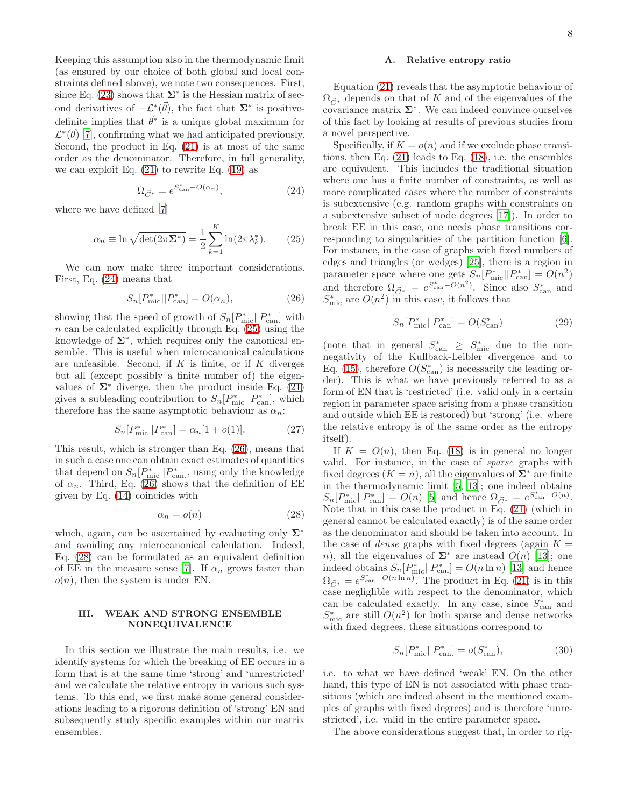Keeping this assumption also in the thermodynamic limit (as ensured by our choice of both global and local constraints defined above), we note two consequences. First, since Eq. [\(23\)](#page-6-5) shows that  $\Sigma^*$  is the Hessian matrix of second derivatives of  $-\mathcal{L}^*(\vec{\theta})$ , the fact that  $\Sigma^*$  is positivedefinite implies that  $\vec{\theta}^*$  is a unique global maximum for  $\mathcal{L}^*(\vec{\theta})$  [\[7](#page-22-1)], confirming what we had anticipated previously. Second, the product in Eq.  $(21)$  is at most of the same order as the denominator. Therefore, in full generality, we can exploit Eq.  $(21)$  to rewrite Eq.  $(19)$  as

<span id="page-7-0"></span>
$$
\Omega_{\vec{C}^*} = e^{S_{\text{can}}^* - O(\alpha_n)},\tag{24}
$$

where we have defined [\[7\]](#page-22-1)

<span id="page-7-1"></span>
$$
\alpha_n \equiv \ln \sqrt{\det(2\pi \Sigma^*)} = \frac{1}{2} \sum_{k=1}^{K} \ln(2\pi \lambda_k^*). \tag{25}
$$

We can now make three important considerations. First, Eq. [\(24\)](#page-7-0) means that

<span id="page-7-2"></span>
$$
S_n[P^*_{\text{mic}}||P^*_{\text{can}}] = O(\alpha_n),\tag{26}
$$

showing that the speed of growth of  $S_n[P^*_{\text{mic}}||P^*_{\text{can}}]$  with  $n$  can be calculated explicitly through Eq. [\(25\)](#page-7-1) using the knowledge of  $\Sigma^*$ , which requires only the canonical ensemble. This is useful when microcanonical calculations are unfeasible. Second, if  $K$  is finite, or if  $K$  diverges but all (except possibly a finite number of) the eigenvalues of  $\Sigma^*$  diverge, then the product inside Eq. [\(21\)](#page-6-4) gives a subleading contribution to  $S_n[P^*_{\text{mic}}||P^*_{\text{can}}]$ , which therefore has the same asymptotic behaviour as  $\alpha_n$ :

<span id="page-7-6"></span>
$$
S_n[P^*_{\text{mic}}||P^*_{\text{can}}] = \alpha_n[1 + o(1)].\tag{27}
$$

This result, which is stronger than Eq. [\(26\)](#page-7-2), means that in such a case one can obtain exact estimates of quantities that depend on  $S_n[P^*_{\text{mic}}||P^*_{\text{can}}]$ , using only the knowledge of  $\alpha_n$ . Third, Eq. [\(26\)](#page-7-2) shows that the definition of EE given by Eq. [\(14\)](#page-5-2) coincides with

<span id="page-7-3"></span>
$$
\alpha_n = o(n) \tag{28}
$$

which, again, can be ascertained by evaluating only  $\Sigma^*$ and avoiding any microcanonical calculation. Indeed, Eq. [\(28\)](#page-7-3) can be formulated as an equivalent definition of EE in the measure sense [\[7\]](#page-22-1). If  $\alpha_n$  grows faster than  $o(n)$ , then the system is under EN.

## III. WEAK AND STRONG ENSEMBLE NONEQUIVALENCE

In this section we illustrate the main results, i.e. we identify systems for which the breaking of EE occurs in a form that is at the same time 'strong' and 'unrestricted' and we calculate the relative entropy in various such systems. To this end, we first make some general considerations leading to a rigorous definition of 'strong' EN and subsequently study specific examples within our matrix ensembles.

## A. Relative entropy ratio

Equation [\(21\)](#page-6-4) reveals that the asymptotic behaviour of  $\Omega_{\vec{C}^*}$  depends on that of K and of the eigenvalues of the covariance matrix  $\Sigma^*$ . We can indeed convince ourselves of this fact by looking at results of previous studies from a novel perspective.

Specifically, if  $K = o(n)$  and if we exclude phase transitions, then Eq. [\(21\)](#page-6-4) leads to Eq. [\(18\)](#page-6-1), i.e. the ensembles are equivalent. This includes the traditional situation where one has a finite number of constraints, as well as more complicated cases where the number of constraints is subextensive (e.g. random graphs with constraints on a subextensive subset of node degrees [\[17](#page-22-11)]). In order to break EE in this case, one needs phase transitions corresponding to singularities of the partition function [\[6\]](#page-22-0). For instance, in the case of graphs with fixed numbers of edges and triangles (or wedges) [\[25\]](#page-22-19), there is a region in parameter space where one gets  $S_n[P^*_{\text{mic}}||P^*_{\text{can}}] = O(n^2)$ and therefore  $\Omega_{\vec{C}^*} = e^{S_{\text{can}}^* - O(n^2)}$ . Since also  $S_{\text{can}}^*$  and  $S_{\text{mic}}^*$  are  $O(n^2)$  in this case, it follows that

<span id="page-7-4"></span>
$$
S_n[P^*_{\text{mic}}||P^*_{\text{can}}] = O(S^*_{\text{can}})
$$
\n(29)

(note that in general  $S_{\text{can}}^* \geq S_{\text{mic}}^*$  due to the nonnegativity of the Kullback-Leibler divergence and to Eq. [\(15\)](#page-6-0), therefore  $O(S_{\text{can}}^*)$  is necessarily the leading order). This is what we have previously referred to as a form of EN that is 'restricted' (i.e. valid only in a certain region in parameter space arising from a phase transition and outside which EE is restored) but 'strong' (i.e. where the relative entropy is of the same order as the entropy itself).

If  $K = O(n)$ , then Eq. [\(18\)](#page-6-1) is in general no longer valid. For instance, in the case of sparse graphs with fixed degrees  $(K = n)$ , all the eigenvalues of  $\Sigma^*$  are finite in the thermodynamic limit [\[5](#page-21-3), [13\]](#page-22-7); one indeed obtains  $S_n[P^*_{\text{mic}}||P^*_{\text{can}}] = O(n)$  [\[5](#page-21-3)] and hence  $\Omega_{\vec{C}^*} = e^{S^*_{\text{can}} - O(n)}$ . Note that in this case the product in Eq. [\(21\)](#page-6-4) (which in general cannot be calculated exactly) is of the same order as the denominator and should be taken into account. In the case of *dense* graphs with fixed degrees (again  $K =$ n), all the eigenvalues of  $\Sigma^*$  are instead  $O(n)$  [\[13](#page-22-7)]; one indeed obtains  $S_n[P^*_{\text{mic}}||P^*_{\text{can}}] = O(n \ln n)$  [\[13\]](#page-22-7) and hence  $\Omega_{\vec{C}^*} = e^{S_{\text{can}}^* - O(n \ln n)}$ . The product in Eq. [\(21\)](#page-6-4) is in this case negliglible with respect to the denominator, which can be calculated exactly. In any case, since  $S_{\text{can}}^*$  and  $S_{\text{mic}}^*$  are still  $O(n^2)$  for both sparse and dense networks with fixed degrees, these situations correspond to

<span id="page-7-5"></span>
$$
S_n[P^*_{\text{mic}}||P^*_{\text{can}}] = o(S^*_{\text{can}}),\tag{30}
$$

i.e. to what we have defined 'weak' EN. On the other hand, this type of EN is not associated with phase transitions (which are indeed absent in the mentioned examples of graphs with fixed degrees) and is therefore 'unrestricted', i.e. valid in the entire parameter space.

The above considerations suggest that, in order to rig-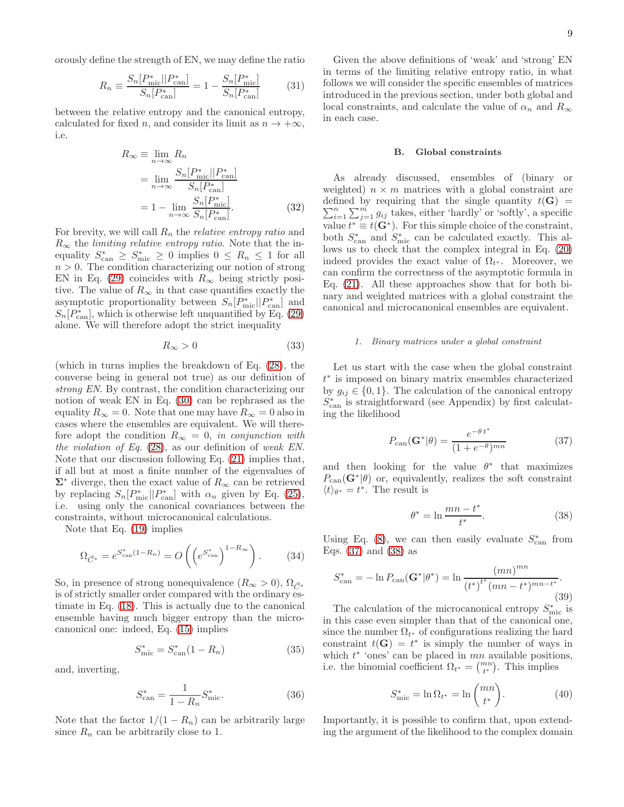orously define the strength of EN, we may define the ratio

<span id="page-8-4"></span>
$$
R_n \equiv \frac{S_n[P_{\text{mic}}^*||P_{\text{can}}^*]}{S_n[P_{\text{can}}^*]} = 1 - \frac{S_n[P_{\text{mic}}^*]}{S_n[P_{\text{can}}^*]} \tag{31}
$$

between the relative entropy and the canonical entropy, calculated for fixed n, and consider its limit as  $n \to +\infty$ , i.e.

<span id="page-8-3"></span>
$$
R_{\infty} \equiv \lim_{n \to \infty} R_n
$$
  
= 
$$
\lim_{n \to \infty} \frac{S_n[P_{\text{mic}}^*||P_{\text{can}}^*]}{S_n[P_{\text{can}}^*]}
$$
  
= 
$$
1 - \lim_{n \to \infty} \frac{S_n[P_{\text{mic}}^*]}{S_n[P_{\text{can}}^*]}.
$$
 (32)

For brevity, we will call  $R_n$  the *relative entropy ratio* and  $R_{\infty}$  the *limiting relative entropy ratio*. Note that the inequality  $S_{\text{can}}^* \geq S_{\text{mic}}^* \geq 0$  implies  $0 \leq R_n \leq 1$  for all  $n > 0$ . The condition characterizing our notion of strong EN in Eq. [\(29\)](#page-7-4) coincides with  $R_{\infty}$  being strictly positive. The value of  $R_{\infty}$  in that case quantifies exactly the asymptotic proportionality between  $S_n[P^*_{\text{mic}}||P^*_{\text{can}}]$  and  $S_n[P^*_{\text{can}}]$ , which is otherwise left unquantified by Eq. [\(29\)](#page-7-4) alone. We will therefore adopt the strict inequality

<span id="page-8-6"></span>
$$
R_{\infty} > 0 \tag{33}
$$

(which in turns implies the breakdown of Eq. [\(28\)](#page-7-3), the converse being in general not true) as our definition of strong EN. By contrast, the condition characterizing our notion of weak EN in Eq. [\(30\)](#page-7-5) can be rephrased as the equality  $R_{\infty} = 0$ . Note that one may have  $R_{\infty} = 0$  also in cases where the ensembles are equivalent. We will therefore adopt the condition  $R_{\infty} = 0$ , in conjunction with the violation of Eq. [\(28\)](#page-7-3), as our definition of weak EN. Note that our discussion following Eq. [\(21\)](#page-6-4) implies that, if all but at most a finite number of the eigenvalues of  $\Sigma^*$  diverge, then the exact value of  $R_\infty$  can be retrieved by replacing  $S_n[P^*_{\text{mic}}||P^*_{\text{can}}]$  with  $\alpha_n$  given by Eq. [\(25\)](#page-7-1), i.e. using only the canonical covariances between the constraints, without microcanonical calculations.

Note that Eq. [\(19\)](#page-6-2) implies

<span id="page-8-7"></span>
$$
\Omega_{\vec{C}^*} = e^{S_{\text{can}}^*(1 - R_n)} = O\left(\left(e^{S_{\text{can}}^*}\right)^{1 - R_{\infty}}\right). \tag{34}
$$

So, in presence of strong nonequivalence  $(R_{\infty} > 0)$ ,  $\Omega_{\vec{C}^*}$ is of strictly smaller order compared with the ordinary estimate in Eq. [\(18\)](#page-6-1). This is actually due to the canonical ensemble having much bigger entropy than the microcanonical one: indeed, Eq. [\(15\)](#page-6-0) implies

<span id="page-8-8"></span>
$$
S_{\text{mic}}^* = S_{\text{can}}^*(1 - R_n) \tag{35}
$$

and, inverting,

<span id="page-8-9"></span>
$$
S_{\text{can}}^* = \frac{1}{1 - R_n} S_{\text{mic}}^*.
$$
 (36)

Note that the factor  $1/(1 - R_n)$  can be arbitrarily large since  $R_n$  can be arbitrarily close to 1.

Given the above definitions of 'weak' and 'strong' EN in terms of the limiting relative entropy ratio, in what follows we will consider the specific ensembles of matrices introduced in the previous section, under both global and local constraints, and calculate the value of  $\alpha_n$  and  $R_\infty$ in each case.

#### B. Global constraints

As already discussed, ensembles of (binary or weighted)  $n \times m$  matrices with a global constraint are  $\sum_{i=1}^{n}$ defined by requiring that the single quantity  $t(G)$  =  $\sum_{i=1}^{n} \sum_{j=1}^{m} g_{ij}$  takes, either 'hardly' or 'softly', a specific value  $t^* \equiv t(\mathbf{G}^*)$ . For this simple choice of the constraint, both  $S_{\text{can}}^*$  and  $S_{\text{mic}}^*$  can be calculated exactly. This allows us to check that the complex integral in Eq. [\(20\)](#page-6-3) indeed provides the exact value of  $\Omega_{t^*}$ . Moreover, we can confirm the correctness of the asymptotic formula in Eq. [\(21\)](#page-6-4). All these approaches show that for both binary and weighted matrices with a global constraint the canonical and microcanonical ensembles are equivalent.

### *1. Binary matrices under a global constraint*

Let us start with the case when the global constraint t ∗ is imposed on binary matrix ensembles characterized by  $g_{ij} \in \{0, 1\}$ . The calculation of the canonical entropy  $S_{\text{can}}^*$  is straightforward (see Appendix) by first calculating the likelihood

<span id="page-8-0"></span>
$$
P_{\text{can}}(\mathbf{G}^*|\theta) = \frac{e^{-\theta t^*}}{(1 + e^{-\theta})^{mn}}\tag{37}
$$

and then looking for the value  $\theta^*$  that maximizes  $P_{\text{can}}(\mathbf{G}^*|\theta)$  or, equivalently, realizes the soft constraint  $\langle t \rangle_{\theta^*} = t^*$ . The result is

<span id="page-8-1"></span>
$$
\theta^* = \ln \frac{mn - t^*}{t^*}.\tag{38}
$$

Using Eq. [\(8\)](#page-4-5), we can then easily evaluate  $S_{\text{can}}^*$  from Eqs. [\(37\)](#page-8-0) and [\(38\)](#page-8-1) as

<span id="page-8-5"></span>
$$
S_{\text{can}}^{*} = -\ln P_{\text{can}}(\mathbf{G}^{*}|\theta^{*}) = \ln \frac{(mn)^{mn}}{(t^{*})^{t^{*}}(mn - t^{*})^{mn - t^{*}}}.
$$
\n(39)

The calculation of the microcanonical entropy  $S_{\text{mic}}^*$  is in this case even simpler than that of the canonical one, since the number  $\Omega_{t^*}$  of configurations realizing the hard constraint  $t(G) = t^*$  is simply the number of ways in which  $t^*$  'ones' can be placed in  $mn$  available positions, i.e. the binomial coefficient  $\Omega_{t^*} = \binom{mn}{t^*}$ . This implies

<span id="page-8-2"></span>
$$
S_{\text{mic}}^* = \ln \Omega_{t^*} = \ln \binom{mn}{t^*}.
$$
 (40)

Importantly, it is possible to confirm that, upon extending the argument of the likelihood to the complex domain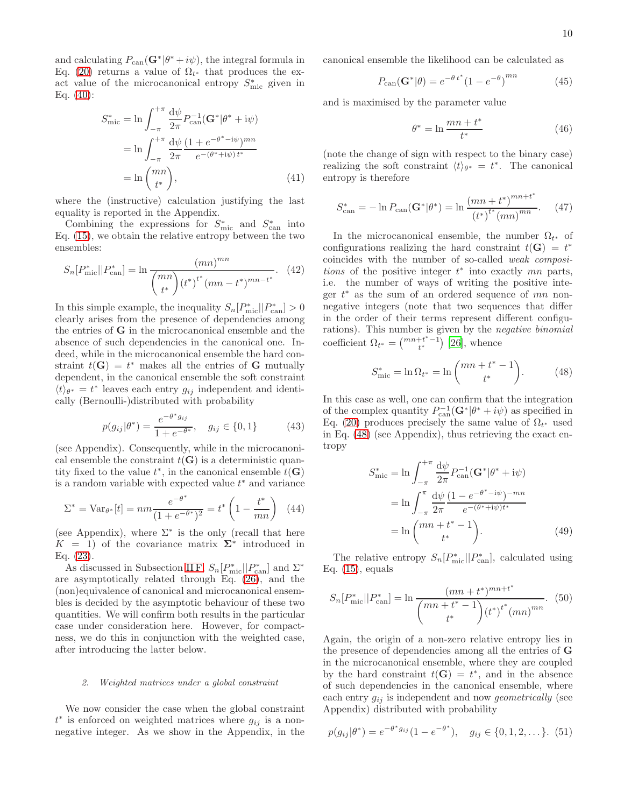and calculating  $P_{\text{can}}(\mathbf{G}^*|\theta^*+i\psi)$ , the integral formula in Eq. [\(20\)](#page-6-3) returns a value of  $\Omega_{t^*}$  that produces the exact value of the microcanonical entropy  $S_{\text{mic}}^*$  given in Eq. [\(40\)](#page-8-2):

$$
S_{\text{mic}}^{*} = \ln \int_{-\pi}^{+\pi} \frac{d\psi}{2\pi} P_{\text{can}}^{-1} (\mathbf{G}^* | \theta^* + i\psi)
$$

$$
= \ln \int_{-\pi}^{+\pi} \frac{d\psi}{2\pi} \frac{(1 + e^{-\theta^* - i\psi})^{mn}}{e^{-(\theta^* + i\psi) t^*}}
$$

$$
= \ln \binom{mn}{t^*}, \tag{41}
$$

where the (instructive) calculation justifying the last equality is reported in the Appendix.

Combining the expressions for  $S_{\text{mic}}^*$  and  $S_{\text{can}}^*$  into Eq. [\(15\)](#page-6-0), we obtain the relative entropy between the two ensembles:

<span id="page-9-2"></span>
$$
S_n[P^*_{\text{mic}}||P^*_{\text{can}}] = \ln \frac{(mn)^{mn}}{\binom{mn}{t^*} (t^*)^{t^*} (mn - t^*)^{mn - t^*}}.
$$
 (42)

In this simple example, the inequality  $S_n[P^*_{\text{mic}}||P^*_{\text{can}}] > 0$ clearly arises from the presence of dependencies among the entries of G in the microcanonical ensemble and the absence of such dependencies in the canonical one. Indeed, while in the microcanonical ensemble the hard constraint  $t(G) = t^*$  makes all the entries of G mutually dependent, in the canonical ensemble the soft constraint  $\langle t \rangle_{\theta^*} = t^*$  leaves each entry  $g_{ij}$  independent and identically (Bernoulli-)distributed with probability

$$
p(g_{ij}|\theta^*) = \frac{e^{-\theta^* g_{ij}}}{1 + e^{-\theta^*}}, \quad g_{ij} \in \{0, 1\}
$$
 (43)

(see Appendix). Consequently, while in the microcanonical ensemble the constraint  $t(G)$  is a deterministic quantity fixed to the value  $t^*$ , in the canonical ensemble  $t(\mathbf{G})$ is a random variable with expected value  $t^*$  and variance

<span id="page-9-3"></span>
$$
\Sigma^* = \text{Var}_{\theta^*}[t] = nm \frac{e^{-\theta^*}}{(1 + e^{-\theta^*})^2} = t^* \left(1 - \frac{t^*}{mn}\right) \tag{44}
$$

(see Appendix), where  $\Sigma^*$  is the only (recall that here  $K = 1$ ) of the covariance matrix  $\Sigma^*$  introduced in Eq. [\(23\)](#page-6-5).

As discussed in Subsection [II F,](#page-5-3)  $S_n[P^*_{\text{mic}}||P^*_{\text{can}}]$  and  $\Sigma^*$ are asymptotically related through Eq. [\(26\)](#page-7-2), and the (non)equivalence of canonical and microcanonical ensembles is decided by the asymptotic behaviour of these two quantities. We will confirm both results in the particular case under consideration here. However, for compactness, we do this in conjunction with the weighted case, after introducing the latter below.

### *2. Weighted matrices under a global constraint*

We now consider the case when the global constraint  $t^*$  is enforced on weighted matrices where  $g_{ij}$  is a nonnegative integer. As we show in the Appendix, in the canonical ensemble the likelihood can be calculated as

<span id="page-9-5"></span>
$$
P_{\text{can}}(\mathbf{G}^*|\theta) = e^{-\theta t^*} (1 - e^{-\theta})^{mn}
$$
 (45)

and is maximised by the parameter value

<span id="page-9-6"></span>
$$
\theta^* = \ln \frac{mn + t^*}{t^*}
$$
\n(46)

(note the change of sign with respect to the binary case) realizing the soft constraint  $\langle t \rangle_{\theta^*} = t^*$ . The canonical entropy is therefore

<span id="page-9-4"></span>
$$
S_{\text{can}}^{*} = -\ln P_{\text{can}}(\mathbf{G}^{*}|\theta^{*}) = \ln \frac{(mn + t^{*})^{mn + t^{*}}}{(t^{*})^{t^{*}}(mn)^{mn}}.
$$
 (47)

In the microcanonical ensemble, the number  $\Omega_{t^*}$  of configurations realizing the hard constraint  $t(G) = t^*$ coincides with the number of so-called weak compositions of the positive integer  $t^*$  into exactly  $mn$  parts, i.e. the number of ways of writing the positive integer  $t^*$  as the sum of an ordered sequence of  $mn$  nonnegative integers (note that two sequences that differ in the order of their terms represent different configurations). This number is given by the negative binomial coefficient  $\Omega_{t^*} = \binom{mn+t^*-1}{t^*}$  [\[26](#page-22-20)], whence

<span id="page-9-0"></span>
$$
S_{\text{mic}}^* = \ln \Omega_{t^*} = \ln \binom{mn + t^* - 1}{t^*}.
$$
 (48)

In this case as well, one can confirm that the integration of the complex quantity  $P_{\text{can}}^{-1}(\mathbf{G}^*|\theta^*+i\psi)$  as specified in Eq. [\(20\)](#page-6-3) produces precisely the same value of  $\Omega_{t^*}$  used in Eq. [\(48\)](#page-9-0) (see Appendix), thus retrieving the exact entropy

$$
S_{\text{mic}}^{*} = \ln \int_{-\pi}^{+\pi} \frac{d\psi}{2\pi} P_{\text{can}}^{-1} (\mathbf{G}^{*} | \theta^{*} + i\psi)
$$
  
= 
$$
\ln \int_{-\pi}^{\pi} \frac{d\psi}{2\pi} \frac{(1 - e^{-\theta^{*} - i\psi})^{-mn}}{e^{-(\theta^{*} + i\psi)t^{*}}}
$$
  
= 
$$
\ln \binom{mn + t^{*} - 1}{t^{*}}.
$$
 (49)

The relative entropy  $S_n[P^*_{\text{mic}}||P^*_{\text{can}}]$ , calculated using Eq.  $(15)$ , equals

<span id="page-9-1"></span>
$$
S_n[P^*_{\text{mic}}||P^*_{\text{can}}] = \ln \frac{(mn + t^*)^{mn + t^*}}{\binom{mn + t^* - 1}{t^*} (t^*)^{t^*}(mn)^{mn}}.
$$
 (50)

Again, the origin of a non-zero relative entropy lies in the presence of dependencies among all the entries of G in the microcanonical ensemble, where they are coupled by the hard constraint  $t(G) = t^*$ , and in the absence of such dependencies in the canonical ensemble, where each entry  $g_{ij}$  is independent and now *geometrically* (see Appendix) distributed with probability

$$
p(g_{ij}|\theta^*) = e^{-\theta^* g_{ij}} (1 - e^{-\theta^*}), \quad g_{ij} \in \{0, 1, 2, \dots\}.
$$
 (51)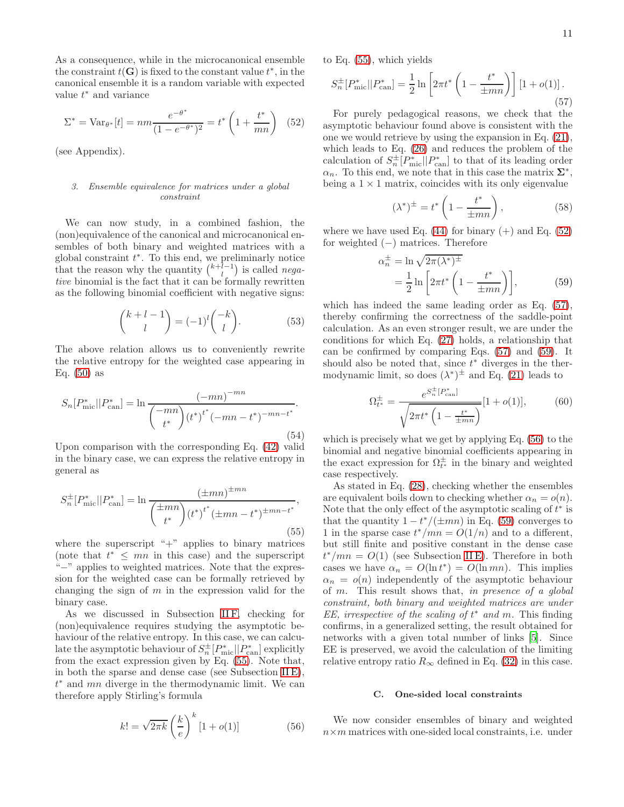As a consequence, while in the microcanonical ensemble the constraint  $t(G)$  is fixed to the constant value  $t^*$ , in the canonical ensemble it is a random variable with expected value  $t^*$  and variance

<span id="page-10-1"></span>
$$
\Sigma^* = \text{Var}_{\theta^*}[t] = nm \frac{e^{-\theta^*}}{(1 - e^{-\theta^*})^2} = t^* \left(1 + \frac{t^*}{mn}\right) \tag{52}
$$

(see Appendix).

## <span id="page-10-5"></span>*3. Ensemble equivalence for matrices under a global constraint*

We can now study, in a combined fashion, the (non)equivalence of the canonical and microcanonical ensembles of both binary and weighted matrices with a global constraint  $t^*$ . To this end, we preliminarly notice that the reason why the quantity  $\binom{k+l-1}{l}$  is called negative binomial is the fact that it can be formally rewritten as the following binomial coefficient with negative signs:

<span id="page-10-6"></span>
$$
\binom{k+l-1}{l} = (-1)^l \binom{-k}{l}.\tag{53}
$$

The above relation allows us to conveniently rewrite the relative entropy for the weighted case appearing in Eq. [\(50\)](#page-9-1) as

$$
S_n[P^*_{\text{mic}}||P^*_{\text{can}}] = \ln \frac{(-mn)^{-mn}}{\binom{-mn}{t^*} (t^*)^{t^*} (-mn - t^*)^{-mn - t^*}}.
$$
\n(54)

Upon comparison with the corresponding Eq. [\(42\)](#page-9-2) valid in the binary case, we can express the relative entropy in general as

<span id="page-10-0"></span>
$$
S_n^{\pm}[P_{\text{mic}}^*||P_{\text{can}}^*] = \ln \frac{(\pm mn)^{\pm mn}}{\left(\frac{\pm mn}{t^*}\right) (t^*)^{t^*} (\pm mn - t^*)^{\pm mn - t^*}},\tag{55}
$$

where the superscript " $+$ " applies to binary matrices (note that  $t^* \leq mn$  in this case) and the superscript "−" applies to weighted matrices. Note that the expression for the weighted case can be formally retrieved by changing the sign of  $m$  in the expression valid for the binary case.

As we discussed in Subsection IIF, checking for (non)equivalence requires studying the asymptotic behaviour of the relative entropy. In this case, we can calculate the asymptotic behaviour of  $S_n^{\pm}[P_{\text{mic}}^*||P_{\text{can}}^*]$  explicitly from the exact expression given by Eq. [\(55\)](#page-10-0). Note that, in both the sparse and dense case (see Subsection  $IIE$ ),  $t^*$  and  $mn$  diverge in the thermodynamic limit. We can therefore apply Stirling's formula

<span id="page-10-4"></span>
$$
k! = \sqrt{2\pi k} \left(\frac{k}{e}\right)^k [1 + o(1)] \tag{56}
$$

to Eq. [\(55\)](#page-10-0), which yields

<span id="page-10-2"></span>
$$
S_n^{\pm}[P_{\text{mic}}^*||P_{\text{can}}^*] = \frac{1}{2} \ln \left[2\pi t^* \left(1 - \frac{t^*}{\pm mn}\right)\right] \left[1 + o(1)\right].
$$
\n(57)

For purely pedagogical reasons, we check that the asymptotic behaviour found above is consistent with the one we would retrieve by using the expansion in Eq. [\(21\)](#page-6-4), which leads to Eq. [\(26\)](#page-7-2) and reduces the problem of the calculation of  $S_n^{\pm}[P_{\text{mic}}^*||P_{\text{can}}^*]$  to that of its leading order  $\alpha_n$ . To this end, we note that in this case the matrix  $\Sigma^*$ , being a  $1 \times 1$  matrix, coincides with its only eigenvalue

$$
(\lambda^*)^{\pm} = t^* \left( 1 - \frac{t^*}{\pm mn} \right),\tag{58}
$$

where we have used Eq.  $(44)$  for binary  $(+)$  and Eq.  $(52)$ for weighted  $(-)$  matrices. Therefore

<span id="page-10-3"></span>
$$
\alpha_n^{\pm} = \ln \sqrt{2\pi (\lambda^*)^{\pm}}
$$
  
= 
$$
\frac{1}{2} \ln \left[ 2\pi t^* \left( 1 - \frac{t^*}{\pm mn} \right) \right],
$$
 (59)

which has indeed the same leading order as Eq. [\(57\)](#page-10-2), thereby confirming the correctness of the saddle-point calculation. As an even stronger result, we are under the conditions for which Eq. [\(27\)](#page-7-6) holds, a relationship that can be confirmed by comparing Eqs. [\(57\)](#page-10-2) and [\(59\)](#page-10-3). It should also be noted that, since  $t^*$  diverges in the thermodynamic limit, so does  $(\lambda^*)^{\pm}$  and Eq. [\(21\)](#page-6-4) leads to

$$
\Omega_{t^*}^{\pm} = \frac{e^{S_n^{\pm}[P_{\text{can}}^*]}}{\sqrt{2\pi t^* \left(1 - \frac{t^*}{\pm mn}\right)}} [1 + o(1)],\tag{60}
$$

which is precisely what we get by applying Eq. [\(56\)](#page-10-4) to the binomial and negative binomial coefficients appearing in the exact expression for  $\Omega_{t^*}^{\pm}$  in the binary and weighted case respectively.

As stated in Eq. [\(28\)](#page-7-3), checking whether the ensembles are equivalent boils down to checking whether  $\alpha_n = o(n)$ . Note that the only effect of the asymptotic scaling of  $t^*$  is that the quantity  $1 - t^*/(\pm mn)$  in Eq. [\(59\)](#page-10-3) converges to 1 in the sparse case  $t^*/mn = O(1/n)$  and to a different, but still finite and positive constant in the dense case  $t^*/mn = O(1)$  (see Subsection IIE). Therefore in both cases we have  $\alpha_n = O(\ln t^*) = O(\ln mn)$ . This implies  $\alpha_n = o(n)$  independently of the asymptotic behaviour of m. This result shows that, in presence of a global constraint, both binary and weighted matrices are under EE, irrespective of the scaling of  $t^*$  and  $m$ . This finding confirms, in a generalized setting, the result obtained for networks with a given total number of links [\[5\]](#page-21-3). Since EE is preserved, we avoid the calculation of the limiting relative entropy ratio  $R_{\infty}$  defined in Eq. [\(32\)](#page-8-3) in this case.

# C. One-sided local constraints

We now consider ensembles of binary and weighted  $n \times m$  matrices with one-sided local constraints, i.e. under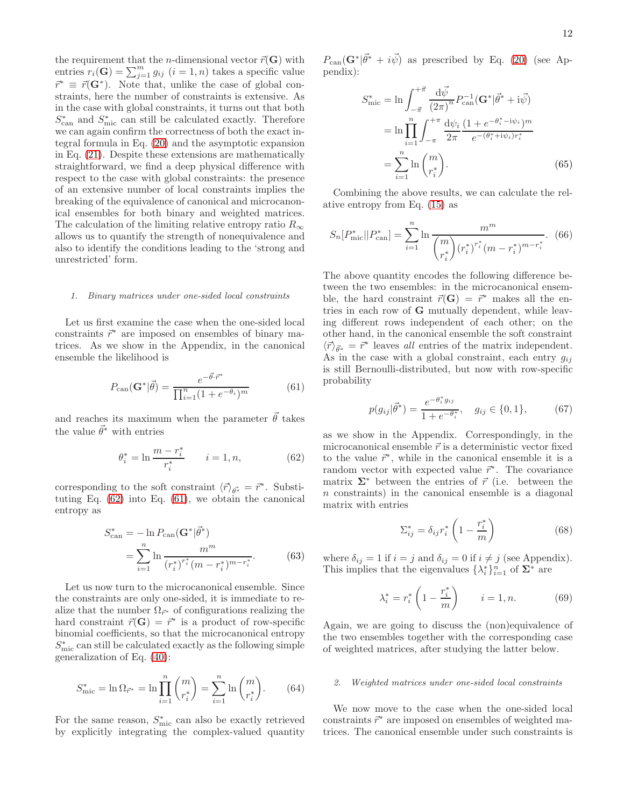the requirement that the *n*-dimensional vector  $\vec{r}(\mathbf{G})$  with entries  $r_i(\mathbf{G}) = \sum_{j=1}^m g_{ij}$   $(i = 1, n)$  takes a specific value  $\vec{r}^* \equiv \vec{r}(\mathbf{G}^*)$ . Note that, unlike the case of global constraints, here the number of constraints is extensive. As in the case with global constraints, it turns out that both  $S_{\text{can}}^*$  and  $S_{\text{mic}}^*$  can still be calculated exactly. Therefore we can again confirm the correctness of both the exact integral formula in Eq. [\(20\)](#page-6-3) and the asymptotic expansion in Eq. [\(21\)](#page-6-4). Despite these extensions are mathematically straightforward, we find a deep physical difference with respect to the case with global constraints: the presence of an extensive number of local constraints implies the breaking of the equivalence of canonical and microcanonical ensembles for both binary and weighted matrices. The calculation of the limiting relative entropy ratio  $R_{\infty}$ allows us to quantify the strength of nonequivalence and also to identify the conditions leading to the 'strong and unrestricted' form.

## *1. Binary matrices under one-sided local constraints*

Let us first examine the case when the one-sided local constraints  $\vec{r}$  are imposed on ensembles of binary matrices. As we show in the Appendix, in the canonical ensemble the likelihood is

<span id="page-11-1"></span>
$$
P_{\text{can}}(\mathbf{G}^*|\vec{\theta}) = \frac{e^{-\vec{\theta}\cdot\vec{r}^*}}{\prod_{i=1}^n (1 + e^{-\theta_i})^m}
$$
(61)

and reaches its maximum when the parameter  $\vec{\theta}$  takes the value  $\vec{\theta}^*$  with entries

<span id="page-11-0"></span>
$$
\theta_i^* = \ln \frac{m - r_i^*}{r_i^*} \qquad i = 1, n,\tag{62}
$$

corresponding to the soft constraint  $\langle \vec{r} \rangle_{\vec{\theta^*}} = \vec{r}^*$ . Substituting Eq. [\(62\)](#page-11-0) into Eq. [\(61\)](#page-11-1), we obtain the canonical entropy as

<span id="page-11-2"></span>
$$
S_{\text{can}}^{*} = -\ln P_{\text{can}}(\mathbf{G}^{*}|\vec{\theta}^{*})
$$
  
= 
$$
\sum_{i=1}^{n} \ln \frac{m^{m}}{(r_{i}^{*})^{r_{i}^{*}}(m - r_{i}^{*})^{m - r_{i}^{*}}}.
$$
 (63)

Let us now turn to the microcanonical ensemble. Since the constraints are only one-sided, it is immediate to realize that the number  $\Omega_{\vec{r}^*}$  of configurations realizing the hard constraint  $\vec{r}(\mathbf{G}) = \vec{r}^*$  is a product of row-specific binomial coefficients, so that the microcanonical entropy  $S_{\mathrm{mic}}^{*}$  can still be calculated exactly as the following simple generalization of Eq. [\(40\)](#page-8-2):

<span id="page-11-3"></span>
$$
S_{\text{mic}}^* = \ln \Omega_{\vec{r}^*} = \ln \prod_{i=1}^n \binom{m}{r_i^*} = \sum_{i=1}^n \ln \binom{m}{r_i^*}.
$$
 (64)

For the same reason,  $S_{\text{mic}}^*$  can also be exactly retrieved by explicitly integrating the complex-valued quantity

 $P_{\text{can}}(\mathbf{G}^*|\vec{\theta}^* + i\vec{\psi})$  as prescribed by Eq. [\(20\)](#page-6-3) (see Appendix):

$$
S_{\text{mic}}^{*} = \ln \int_{-\vec{\pi}}^{+\vec{\pi}} \frac{d\vec{\psi}}{(2\pi)^{n}} P_{\text{can}}^{-1} (\mathbf{G}^{*} | \vec{\theta}^{*} + i\vec{\psi})
$$

$$
= \ln \prod_{i=1}^{n} \int_{-\pi}^{+\pi} \frac{d\psi_{i}}{2\pi} \frac{(1 + e^{-\theta_{i}^{*} - i\psi_{i}})^{m}}{e^{-(\theta_{i}^{*} + i\psi_{i})r_{i}^{*}}}
$$

$$
= \sum_{i=1}^{n} \ln \binom{m}{r_{i}^{*}}.
$$
(65)

Combining the above results, we can calculate the relative entropy from Eq. [\(15\)](#page-6-0) as

<span id="page-11-4"></span>
$$
S_n[P^*_{\text{mic}}||P^*_{\text{can}}] = \sum_{i=1}^n \ln \frac{m^m}{\binom{m}{r_i^*} (r_i^*)^{r_i^*} (m - r_i^*)^{m - r_i^*}}.\tag{66}
$$

The above quantity encodes the following difference between the two ensembles: in the microcanonical ensemble, the hard constraint  $\vec{r}(\mathbf{G}) = \vec{r}^*$  makes all the entries in each row of G mutually dependent, while leaving different rows independent of each other; on the other hand, in the canonical ensemble the soft constraint  $\langle \vec{r} \rangle_{\vec{\theta}^*} = \vec{r}^*$  leaves all entries of the matrix independent. As in the case with a global constraint, each entry  $g_{ij}$ is still Bernoulli-distributed, but now with row-specific probability

$$
p(g_{ij}|\vec{\theta}^*) = \frac{e^{-\theta_i^* g_{ij}}}{1 + e^{-\theta_i^*}}, \quad g_{ij} \in \{0, 1\},\tag{67}
$$

as we show in the Appendix. Correspondingly, in the microcanonical ensemble  $\vec{r}$  is a deterministic vector fixed to the value  $\vec{r}^*$ , while in the canonical ensemble it is a random vector with expected value  $\vec{r}^*$ . The covariance matrix  $\Sigma^*$  between the entries of  $\vec{r}$  (i.e. between the n constraints) in the canonical ensemble is a diagonal matrix with entries

<span id="page-11-5"></span>
$$
\Sigma_{ij}^* = \delta_{ij} r_i^* \left( 1 - \frac{r_i^*}{m} \right) \tag{68}
$$

where  $\delta_{ij} = 1$  if  $i = j$  and  $\delta_{ij} = 0$  if  $i \neq j$  (see Appendix). This implies that the eigenvalues  $\{\lambda_i^*\}_{i=1}^n$  of  $\Sigma^*$  are

$$
\lambda_i^* = r_i^* \left( 1 - \frac{r_i^*}{m} \right) \qquad i = 1, n. \tag{69}
$$

Again, we are going to discuss the (non)equivalence of the two ensembles together with the corresponding case of weighted matrices, after studying the latter below.

### *2. Weighted matrices under one-sided local constraints*

We now move to the case when the one-sided local constraints  $\vec{r}^*$  are imposed on ensembles of weighted matrices. The canonical ensemble under such constraints is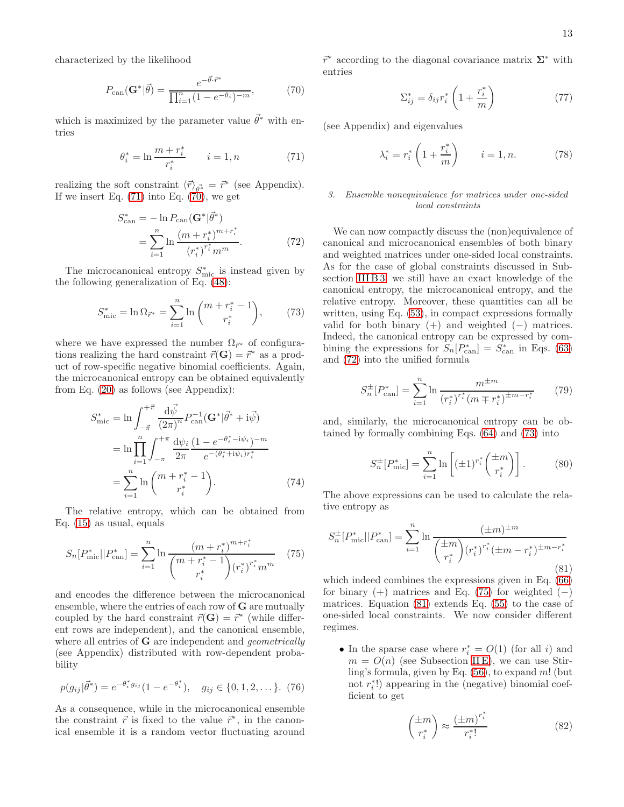characterized by the likelihood

<span id="page-12-1"></span>
$$
P_{\text{can}}(\mathbf{G}^*|\vec{\theta}) = \frac{e^{-\vec{\theta}\cdot\vec{r}^*}}{\prod_{i=1}^n (1 - e^{-\theta_i})^{-m}},\tag{70}
$$

which is maximized by the parameter value  $\vec{\theta}^*$  with entries

<span id="page-12-0"></span>
$$
\theta_i^* = \ln \frac{m + r_i^*}{r_i^*} \qquad i = 1, n \tag{71}
$$

realizing the soft constraint  $\langle \vec{r} \rangle_{\vec{\theta^*}} = \vec{r}^*$  (see Appendix). If we insert Eq.  $(71)$  into Eq.  $(70)$ , we get

<span id="page-12-2"></span>
$$
S_{\text{can}}^{*} = -\ln P_{\text{can}}(\mathbf{G}^{*}|\vec{\theta}^{*})
$$

$$
= \sum_{i=1}^{n} \ln \frac{(m + r_{i}^{*})^{m + r_{i}^{*}}}{(r_{i}^{*})^{r_{i}^{*}} m^{m}}.
$$
(72)

The microcanonical entropy  $S_{\text{mic}}^*$  is instead given by the following generalization of Eq. [\(48\)](#page-9-0):

<span id="page-12-3"></span>
$$
S_{\text{mic}}^* = \ln \Omega_{\vec{r}^*} = \sum_{i=1}^n \ln \binom{m + r_i^* - 1}{r_i^*},\qquad(73)
$$

where we have expressed the number  $\Omega_{\vec{r}^*}$  of configurations realizing the hard constraint  $\vec{r}(\mathbf{G}) = \vec{r}^*$  as a product of row-specific negative binomial coefficients. Again, the microcanonical entropy can be obtained equivalently from Eq. [\(20\)](#page-6-3) as follows (see Appendix):

<span id="page-12-9"></span>
$$
S_{\text{mic}}^{*} = \ln \int_{-\vec{\pi}}^{+\vec{\pi}} \frac{\mathrm{d}\vec{\psi}}{(2\pi)^{n}} P_{\text{can}}^{-1} (\mathbf{G}^{*} | \vec{\theta}^{*} + \mathrm{i} \vec{\psi})
$$
  

$$
= \ln \prod_{i=1}^{n} \int_{-\pi}^{+\pi} \frac{\mathrm{d}\psi_{i}}{2\pi} \frac{(1 - e^{-\theta_{i}^{*} - \mathrm{i}\psi_{i}})^{-m}}{e^{-(\theta_{i}^{*} + \mathrm{i}\psi_{i})r_{i}^{*}}}
$$
  

$$
= \sum_{i=1}^{n} \ln \binom{m + r_{i}^{*} - 1}{r_{i}^{*}}.
$$
 (74)

The relative entropy, which can be obtained from Eq. [\(15\)](#page-6-0) as usual, equals

<span id="page-12-4"></span>
$$
S_n[P^*_{\text{mic}}||P^*_{\text{can}}] = \sum_{i=1}^n \ln \frac{(m+r_i^*)^{m+r_i^*}}{\binom{m+r_i^*-1}{r_i^*} (r_i^*)^{r_i^*} m^m}
$$
(75)

and encodes the difference between the microcanonical ensemble, where the entries of each row of G are mutually coupled by the hard constraint  $\vec{r}(\mathbf{G}) = \vec{r}^*$  (while different rows are independent), and the canonical ensemble, where all entries of **G** are independent and *geometrically* (see Appendix) distributed with row-dependent probability

$$
p(g_{ij}|\vec{\theta}^*) = e^{-\theta_i^* g_{ij}} (1 - e^{-\theta_i^*}), \quad g_{ij} \in \{0, 1, 2, \dots\}.
$$
 (76)

As a consequence, while in the microcanonical ensemble the constraint  $\vec{r}$  is fixed to the value  $\vec{r}^*$ , in the canonical ensemble it is a random vector fluctuating around

 $\vec{r}^*$  according to the diagonal covariance matrix  $\Sigma^*$  with entries

<span id="page-12-6"></span>
$$
\Sigma_{ij}^* = \delta_{ij} r_i^* \left( 1 + \frac{r_i^*}{m} \right) \tag{77}
$$

(see Appendix) and eigenvalues

$$
\lambda_i^* = r_i^* \left( 1 + \frac{r_i^*}{m} \right) \qquad i = 1, n. \tag{78}
$$

## *3. Ensemble nonequivalence for matrices under one-sided local constraints*

We can now compactly discuss the (non)equivalence of canonical and microcanonical ensembles of both binary and weighted matrices under one-sided local constraints. As for the case of global constraints discussed in Sub-section [III B 3,](#page-10-5) we still have an exact knowledge of the canonical entropy, the microcanonical entropy, and the relative entropy. Moreover, these quantities can all be written, using Eq. [\(53\)](#page-10-6), in compact expressions formally valid for both binary  $(+)$  and weighted  $(-)$  matrices. Indeed, the canonical entropy can be expressed by combining the expressions for  $S_n[P_{\text{can}}^*] = S_{\text{can}}^*$  in Eqs. [\(63\)](#page-11-2) and [\(72\)](#page-12-2) into the unified formula

<span id="page-12-7"></span>
$$
S_n^{\pm}[P_{\text{can}}^*] = \sum_{i=1}^n \ln \frac{m^{\pm m}}{(r_i^*)^{r_i^*} (m \mp r_i^*)^{\pm m - r_i^*}}
$$
(79)

and, similarly, the microcanonical entropy can be obtained by formally combining Eqs. [\(64\)](#page-11-3) and [\(73\)](#page-12-3) into

<span id="page-12-8"></span>
$$
S_n^{\pm}[P_{\text{mic}}^*] = \sum_{i=1}^n \ln \left[ (\pm 1)^{r_i^*} \binom{\pm m}{r_i^*} \right]. \tag{80}
$$

The above expressions can be used to calculate the relative entropy as

<span id="page-12-5"></span>
$$
S_n^{\pm}[P_{\text{mic}}^*||P_{\text{can}}^*] = \sum_{i=1}^n \ln \frac{(\pm m)^{\pm m}}{\left(\frac{\pm m}{r_i^*}\right) (r_i^*)^{r_i^*} (\pm m - r_i^*)^{\pm m - r_i^*}}
$$
\n(81)

which indeed combines the expressions given in Eq. [\(66\)](#page-11-4) for binary  $(+)$  matrices and Eq. [\(75\)](#page-12-4) for weighted  $(-)$ matrices. Equation [\(81\)](#page-12-5) extends Eq. [\(55\)](#page-10-0) to the case of one-sided local constraints. We now consider different regimes.

• In the sparse case where  $r_i^* = O(1)$  (for all i) and  $m = O(n)$  (see Subsection IIE), we can use Stirling's formula, given by Eq.  $(56)$ , to expand m! (but not  $r_i^*$ !) appearing in the (negative) binomial coefficient to get

<span id="page-12-10"></span>
$$
\begin{pmatrix} \pm m \\ r_i^* \end{pmatrix} \approx \frac{\left(\pm m\right)^{r_i^*}}{r_i^*!} \tag{82}
$$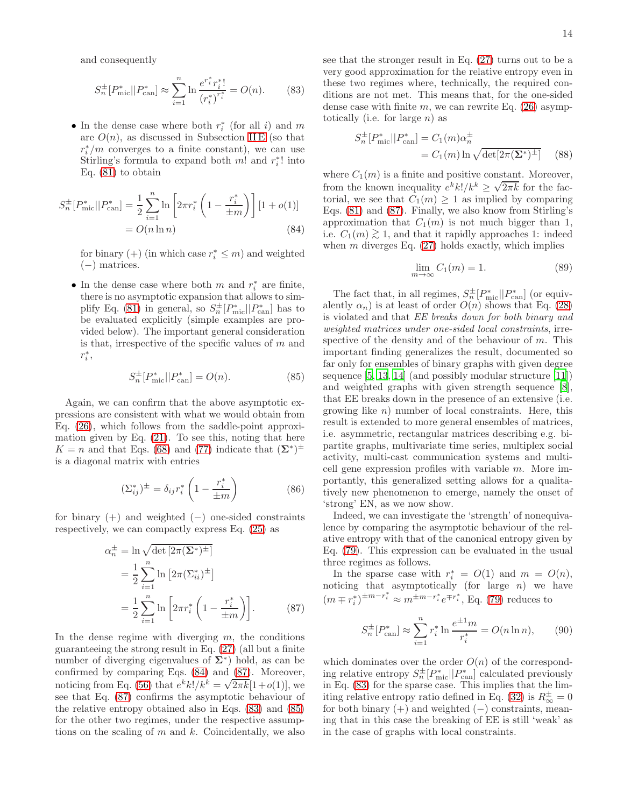and consequently

<span id="page-13-2"></span>
$$
S_n^{\pm}[P_{\text{mic}}^*||P_{\text{can}}^*] \approx \sum_{i=1}^n \ln \frac{e^{r_i^*} r_i^*!}{(r_i^*)^{r_i^*}} = O(n). \tag{83}
$$

• In the dense case where both  $r_i^*$  (for all i) and m are  $O(n)$ , as discussed in Subsection IIE (so that  $r_i^*/m$  converges to a finite constant), we can use Stirling's formula to expand both  $m!$  and  $r_i^*!$  into Eq.  $(81)$  to obtain

<span id="page-13-0"></span>
$$
S_n^{\pm}[P_{\text{mic}}^*||P_{\text{can}}^*] = \frac{1}{2} \sum_{i=1}^n \ln \left[2\pi r_i^* \left(1 - \frac{r_i^*}{\pm m}\right)\right] [1 + o(1)]
$$
  
=  $O(n \ln n)$  (84)

for binary (+) (in which case  $r_i^* \leq m$ ) and weighted (−) matrices.

• In the dense case where both  $m$  and  $r_i^*$  are finite, there is no asymptotic expansion that allows to sim-plify Eq. [\(81\)](#page-12-5) in general, so  $S_n^{\pm}[P_{\text{mic}}^*||P_{\text{can}}^*]$  has to be evaluated explicitly (simple examples are provided below). The important general consideration is that, irrespective of the specific values of  $m$  and  $r_i^*$ ,

<span id="page-13-3"></span>
$$
S_n^{\pm}[P_{\text{mic}}^*||P_{\text{can}}^*] = O(n). \tag{85}
$$

Again, we can confirm that the above asymptotic expressions are consistent with what we would obtain from Eq. [\(26\)](#page-7-2), which follows from the saddle-point approximation given by Eq.  $(21)$ . To see this, noting that here  $K = n$  and that Eqs. [\(68\)](#page-11-5) and [\(77\)](#page-12-6) indicate that  $(\Sigma^*)^{\pm}$ is a diagonal matrix with entries

<span id="page-13-5"></span>
$$
(\Sigma_{ij}^*)^{\pm} = \delta_{ij} r_i^* \left( 1 - \frac{r_i^*}{\pm m} \right)
$$
 (86)

for binary  $(+)$  and weighted  $(-)$  one-sided constraints respectively, we can compactly express Eq. [\(25\)](#page-7-1) as

<span id="page-13-1"></span>
$$
\alpha_n^{\pm} = \ln \sqrt{\det \left[2\pi (\Sigma^*)^{\pm}\right]}
$$
  
= 
$$
\frac{1}{2} \sum_{i=1}^n \ln \left[2\pi (\Sigma_{ii}^*)^{\pm}\right]
$$
  
= 
$$
\frac{1}{2} \sum_{i=1}^n \ln \left[2\pi r_i^* \left(1 - \frac{r_i^*}{\pm m}\right)\right].
$$
 (87)

In the dense regime with diverging  $m$ , the conditions guaranteeing the strong result in Eq. [\(27\)](#page-7-6) (all but a finite number of diverging eigenvalues of  $\Sigma^*$ ) hold, as can be confirmed by comparing Eqs. [\(84\)](#page-13-0) and [\(87\)](#page-13-1). Moreover, noticing from Eq. [\(56\)](#page-10-4) that  $e^{k}k!/k^{k} = \sqrt{2\pi k}[1+o(1)]$ , we see that Eq. [\(87\)](#page-13-1) confirms the asymptotic behaviour of the relative entropy obtained also in Eqs. [\(83\)](#page-13-2) and [\(85\)](#page-13-3) for the other two regimes, under the respective assumptions on the scaling of  $m$  and  $k$ . Coincidentally, we also

see that the stronger result in Eq. [\(27\)](#page-7-6) turns out to be a very good approximation for the relative entropy even in these two regimes where, technically, the required conditions are not met. This means that, for the one-sided dense case with finite  $m$ , we can rewrite Eq. [\(26\)](#page-7-2) asymptotically (i.e. for large  $n$ ) as

<span id="page-13-4"></span>
$$
S_n^{\pm} [P_{\text{mic}}^* || P_{\text{can}}^*] = C_1(m) \alpha_n^{\pm}
$$
  
= C\_1(m) \ln \sqrt{\det[2\pi (\mathbf{\Sigma}^\*)^{\pm}]} (88)

where  $C_1(m)$  is a finite and positive constant. Moreover, from the known inequality  $e^{k}k!/k^{k} \geq \sqrt{2\pi k}$  for the factorial, we see that  $C_1(m) \geq 1$  as implied by comparing Eqs. [\(81\)](#page-12-5) and [\(87\)](#page-13-1). Finally, we also know from Stirling's approximation that  $C_1(m)$  is not much bigger than 1, i.e.  $C_1(m) \gtrsim 1$ , and that it rapidly approaches 1: indeed when  $m$  diverges Eq.  $(27)$  holds exactly, which implies

<span id="page-13-6"></span>
$$
\lim_{m \to \infty} C_1(m) = 1. \tag{89}
$$

The fact that, in all regimes,  $S_n^{\pm}[P_{\text{mic}}^*||P_{\text{can}}^*]$  (or equivalently  $\alpha_n$ ) is at least of order  $O(n)$  shows that Eq. [\(28\)](#page-7-3) is violated and that EE breaks down for both binary and weighted matrices under one-sided local constraints, irrespective of the density and of the behaviour of  $m$ . This important finding generalizes the result, documented so far only for ensembles of binary graphs with given degree sequence [\[5](#page-21-3), [13,](#page-22-7) [14](#page-22-8)] (and possibly modular structure [\[11\]](#page-22-5)) and weighted graphs with given strength sequence [\[8\]](#page-22-2), that EE breaks down in the presence of an extensive (i.e. growing like  $n$ ) number of local constraints. Here, this result is extended to more general ensembles of matrices, i.e. asymmetric, rectangular matrices describing e.g. bipartite graphs, multivariate time series, multiplex social activity, multi-cast communication systems and multicell gene expression profiles with variable  $m$ . More importantly, this generalized setting allows for a qualitatively new phenomenon to emerge, namely the onset of 'strong' EN, as we now show.

Indeed, we can investigate the 'strength' of nonequivalence by comparing the asymptotic behaviour of the relative entropy with that of the canonical entropy given by Eq. [\(79\)](#page-12-7). This expression can be evaluated in the usual three regimes as follows.

In the sparse case with  $r_i^* = O(1)$  and  $m = O(n)$ , noticing that asymptotically (for large  $n$ ) we have  $(m \mp r_i^*)^{\pm m - r_i^*} \approx m^{\pm m - r_i^*} e^{\mp r_i^*},$  Eq. [\(79\)](#page-12-7) reduces to

$$
S_n^{\pm}[P_{\text{can}}^*] \approx \sum_{i=1}^n r_i^* \ln \frac{e^{\pm 1}m}{r_i^*} = O(n \ln n), \qquad (90)
$$

which dominates over the order  $O(n)$  of the corresponding relative entropy  $S_n^{\pm}[P_{\text{mic}}^*||P_{\text{can}}^*]$  calculated previously in Eq. [\(83\)](#page-13-2) for the sparse case. This implies that the lim-iting relative entropy ratio defined in Eq. [\(32\)](#page-8-3) is  $R_{\infty}^{\pm} = 0$ for both binary  $(+)$  and weighted  $(-)$  constraints, meaning that in this case the breaking of EE is still 'weak' as in the case of graphs with local constraints.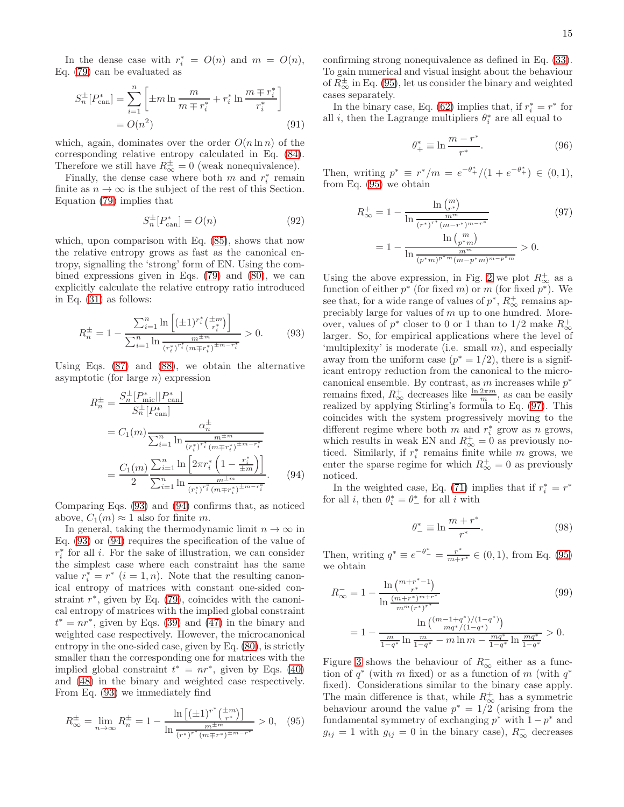In the dense case with  $r_i^* = O(n)$  and  $m = O(n)$ , Eq. [\(79\)](#page-12-7) can be evaluated as

$$
S_n^{\pm} [P_{\text{can}}^*] = \sum_{i=1}^n \left[ \pm m \ln \frac{m}{m \mp r_i^*} + r_i^* \ln \frac{m \mp r_i^*}{r_i^*} \right]
$$
  
=  $O(n^2)$  (91)

which, again, dominates over the order  $O(n \ln n)$  of the corresponding relative entropy calculated in Eq. [\(84\)](#page-13-0). Therefore we still have  $R^{\pm}_{\infty} = 0$  (weak nonequivalence).

Finally, the dense case where both  $m$  and  $r_i^*$  remain finite as  $n \to \infty$  is the subject of the rest of this Section. Equation [\(79\)](#page-12-7) implies that

$$
S_n^{\pm}[P_{\text{can}}^*] = O(n) \tag{92}
$$

which, upon comparison with Eq. [\(85\)](#page-13-3), shows that now the relative entropy grows as fast as the canonical entropy, signalling the 'strong' form of EN. Using the combined expressions given in Eqs. [\(79\)](#page-12-7) and [\(80\)](#page-12-8), we can explicitly calculate the relative entropy ratio introduced in Eq. [\(31\)](#page-8-4) as follows:

<span id="page-14-0"></span>
$$
R_n^{\pm} = 1 - \frac{\sum_{i=1}^n \ln\left[ (\pm 1)^{r_i^*} \left( \frac{1}{r_i^*} \right) \right]}{\sum_{i=1}^n \ln \frac{m^{\pm m}}{\left( r_i^* \right)^{r_i^*} \left( m \mp r_i^* \right)^{\pm m - r_i^*}}} > 0. \tag{93}
$$

Using Eqs. [\(87\)](#page-13-1) and [\(88\)](#page-13-4), we obtain the alternative asymptotic (for large  $n$ ) expression

<span id="page-14-1"></span>
$$
R_{n}^{\pm} = \frac{S_{n}^{\pm}[P_{\text{mic}}^{*}||P_{\text{can}}^{*}]}{S_{n}^{\pm}[P_{\text{can}}^{*}]} = C_{1}(m) \frac{\alpha_{n}^{\pm}}{\sum_{i=1}^{n} \ln \frac{m^{\pm n}}{(r_{i}^{*})^{r_{i}^{*}}(m \mp r_{i}^{*})^{\pm m - r_{i}^{*}}}} = \frac{C_{1}(m)}{2} \frac{\sum_{i=1}^{n} \ln \left[2\pi r_{i}^{*} \left(1 - \frac{r_{i}^{*}}{\pm m}\right)\right]}{\sum_{i=1}^{n} \ln \frac{m^{\pm n}}{(r_{i}^{*})^{r_{i}^{*}}(m \mp r_{i}^{*})^{\pm m - r_{i}^{*}}}}.
$$
(94)

Comparing Eqs. [\(93\)](#page-14-0) and [\(94\)](#page-14-1) confirms that, as noticed above,  $C_1(m) \approx 1$  also for finite m.

In general, taking the thermodynamic limit  $n \to \infty$  in Eq. [\(93\)](#page-14-0) or [\(94\)](#page-14-1) requires the specification of the value of  $r_i^*$  for all *i*. For the sake of illustration, we can consider the simplest case where each constraint has the same value  $r_i^* = r^*$   $(i = 1, n)$ . Note that the resulting canonical entropy of matrices with constant one-sided constraint  $r^*$ , given by Eq. [\(79\)](#page-12-7), coincides with the canonical entropy of matrices with the implied global constraint  $t^* = nr^*$ , given by Eqs. [\(39\)](#page-8-5) and [\(47\)](#page-9-4) in the binary and weighted case respectively. However, the microcanonical entropy in the one-sided case, given by Eq. [\(80\)](#page-12-8), is strictly smaller than the corresponding one for matrices with the implied global constraint  $t^* = nr^*$ , given by Eqs. [\(40\)](#page-8-2) and [\(48\)](#page-9-0) in the binary and weighted case respectively. From Eq. [\(93\)](#page-14-0) we immediately find

<span id="page-14-2"></span>
$$
R_{\infty}^{\pm} = \lim_{n \to \infty} R_n^{\pm} = 1 - \frac{\ln\left[ (\pm 1)^{r^*} (\frac{\pm m}{r^*}) \right]}{\ln \frac{m^{\pm m}}{(r^*)^{r^*} (m \mp r^*)^{\pm m - r^*}}} > 0, \quad (95)
$$

confirming strong nonequivalence as defined in Eq. [\(33\)](#page-8-6). To gain numerical and visual insight about the behaviour of  $R^{\pm}_{\infty}$  in Eq. [\(95\)](#page-14-2), let us consider the binary and weighted cases separately.

In the binary case, Eq. [\(62\)](#page-11-0) implies that, if  $r_i^* = r^*$  for all *i*, then the Lagrange multipliers  $\theta_i^*$  are all equal to

$$
\theta^*_{+} \equiv \ln \frac{m - r^*}{r^*}.\tag{96}
$$

Then, writing  $p^* \equiv r^*/m = e^{-\theta^*_{+}}/(1 + e^{-\theta^*_{+}}) \in (0,1),$ from Eq. [\(95\)](#page-14-2) we obtain

<span id="page-14-3"></span>
$$
R_{\infty}^{+} = 1 - \frac{\ln {m \choose r^{*}}}{\ln \frac{m^{m}}{(r^{*})^{r^{*}}(m-r^{*})^{m-r^{*}}}}
$$
  
= 
$$
1 - \frac{\ln {m \choose p^{*}m}}{\ln \frac{m^{m}}{(p^{*}m)^{p^{*}m}(m-p^{*}m)^{m-p^{*}m}}}
$$
 > 0. (97)

Using the above expression, in Fig. [2](#page-15-0) we plot  $R_{\infty}^{+}$  as a function of either  $p^*$  (for fixed m) or m (for fixed  $p^*$ ). We see that, for a wide range of values of  $p^*, R^+_{\infty}$  remains appreciably large for values of  $m$  up to one hundred. Moreover, values of  $p^*$  closer to 0 or 1 than to 1/2 make  $R^+_{\infty}$ larger. So, for empirical applications where the level of 'multiplexity' is moderate (i.e. small  $m$ ), and especially away from the uniform case  $(p^* = 1/2)$ , there is a significant entropy reduction from the canonical to the microcanonical ensemble. By contrast, as  $m$  increases while  $p^*$ remains fixed,  $R^+_{\infty}$  decreases like  $\frac{\ln 2\pi m}{m}$ , as can be easily realized by applying Stirling's formula to Eq. [\(97\)](#page-14-3). This coincides with the system progressively moving to the different regime where both  $m$  and  $r_i^*$  grow as  $n$  grows, which results in weak EN and  $R_{\infty}^{+} = 0$  as previously noticed. Similarly, if  $r_i^*$  remains finite while  $m$  grows, we enter the sparse regime for which  $R^+_{\infty} = 0$  as previously noticed.

In the weighted case, Eq. [\(71\)](#page-12-0) implies that if  $r_i^* = r^*$ for all *i*, then  $\theta_i^* = \theta_{-}^*$  for all *i* with

$$
\theta_-^* \equiv \ln \frac{m + r^*}{r^*}.\tag{98}
$$

Then, writing  $q^* \equiv e^{-\theta^* - 1} = \frac{r^*}{m+n}$  $\frac{r}{m+r^*} \in (0,1)$ , from Eq. [\(95\)](#page-14-2) we obtain

$$
R_{\infty}^{-} = 1 - \frac{\ln\left(\frac{m + r^{*} - 1}{r^{*}}\right)}{\ln\frac{(m + r^{*})^{m + r^{*}}}{m^{m}(r^{*})^{r^{*}}}} = 1 - \frac{\ln\left(\frac{(m - 1 + q^{*})}{(1 - q^{*})}\right)}{\ln\left(\frac{(m - 1 + q^{*})}{1 - q^{*}}\right)} > 0.
$$
\n(99)

Figure [3](#page-16-0) shows the behaviour of  $R_{\infty}^-$  either as a function of  $q^*$  (with m fixed) or as a function of m (with  $q^*$ fixed). Considerations similar to the binary case apply. The main difference is that, while  $R_{\infty}^{+}$  has a symmetric behaviour around the value  $p^* = 1/2$  (arising from the fundamental symmetry of exchanging  $p^*$  with  $1 - p^*$  and  $g_{ij} = 1$  with  $g_{ij} = 0$  in the binary case),  $R_{\infty}^-$  decreases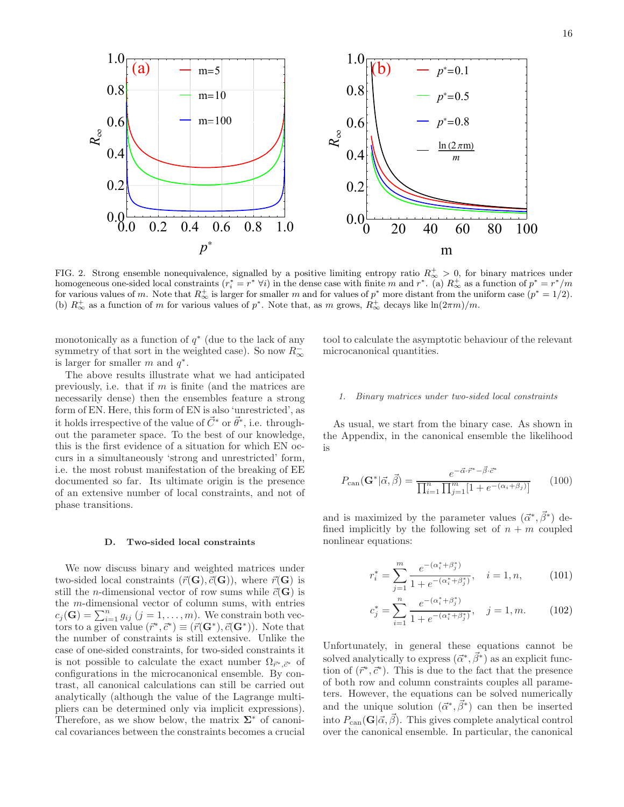

<span id="page-15-0"></span>FIG. 2. Strong ensemble nonequivalence, signalled by a positive limiting entropy ratio  $R_{\infty}^{+} > 0$ , for binary matrices under homogeneous one-sided local constraints  $(r_i^* = r^* \,\forall i)$  in the dense case with finite m and  $r^*$ . (a)  $R^+_{\infty}$  as a function of  $p^* = r^*/m$ for various values of m. Note that  $R^{\pm}_{\infty}$  is larger for smaller m and for values of  $p^*$  more distant from the uniform case  $(p^* = 1/2)$ . (b)  $R^+_{\infty}$  as a function of m for various values of p<sup>\*</sup>. Note that, as m grows,  $R^+_{\infty}$  decays like  $\ln(2\pi m)/m$ .

monotonically as a function of  $q^*$  (due to the lack of any symmetry of that sort in the weighted case). So now  $R_\infty^$ is larger for smaller  $m$  and  $q^*$ .

The above results illustrate what we had anticipated previously, i.e. that if  $m$  is finite (and the matrices are necessarily dense) then the ensembles feature a strong form of EN. Here, this form of EN is also 'unrestricted', as it holds irrespective of the value of  $\vec{C}^*$  or  $\vec{\theta}^*$ , i.e. throughout the parameter space. To the best of our knowledge, this is the first evidence of a situation for which EN occurs in a simultaneously 'strong and unrestricted' form, i.e. the most robust manifestation of the breaking of EE documented so far. Its ultimate origin is the presence of an extensive number of local constraints, and not of phase transitions.

#### D. Two-sided local constraints

We now discuss binary and weighted matrices under two-sided local constraints  $(\vec{r}(\mathbf{G}), \vec{c}(\mathbf{G}))$ , where  $\vec{r}(\mathbf{G})$  is still the *n*-dimensional vector of row sums while  $\vec{c}(\mathbf{G})$  is the m-dimensional vector of column sums, with entries  $c_j(\mathbf{G}) = \sum_{i=1}^n g_{ij}$   $(j = 1, ..., m)$ . We constrain both vectors to a given value  $(\vec{r}^*, \vec{c}^*) \equiv (\vec{r}(\mathbf{G}^*), \vec{c}(\mathbf{G}^*))$ . Note that the number of constraints is still extensive. Unlike the case of one-sided constraints, for two-sided constraints it is not possible to calculate the exact number  $\Omega_{\vec{r}^*,\vec{c}^*}$  of configurations in the microcanonical ensemble. By contrast, all canonical calculations can still be carried out analytically (although the value of the Lagrange multipliers can be determined only via implicit expressions). Therefore, as we show below, the matrix  $\Sigma^*$  of canonical covariances between the constraints becomes a crucial

tool to calculate the asymptotic behaviour of the relevant microcanonical quantities.

### *1. Binary matrices under two-sided local constraints*

As usual, we start from the binary case. As shown in the Appendix, in the canonical ensemble the likelihood is

$$
P_{\text{can}}(\mathbf{G}^*|\vec{\alpha}, \vec{\beta}) = \frac{e^{-\vec{\alpha} \cdot \vec{r}^* - \vec{\beta} \cdot \vec{c}^*}}{\prod_{i=1}^n \prod_{j=1}^m [1 + e^{-(\alpha_i + \beta_j)}]} \qquad (100)
$$

and is maximized by the parameter values  $(\vec{\alpha}^*, \vec{\beta}^*)$  defined implicitly by the following set of  $n + m$  coupled nonlinear equations:

<span id="page-15-1"></span>
$$
r_i^* = \sum_{j=1}^m \frac{e^{-(\alpha_i^* + \beta_j^*)}}{1 + e^{-(\alpha_i^* + \beta_j^*)}}, \quad i = 1, n,
$$
 (101)

$$
c_j^* = \sum_{i=1}^n \frac{e^{-(\alpha_i^* + \beta_j^*)}}{1 + e^{-(\alpha_i^* + \beta_j^*)}}, \quad j = 1, m.
$$
 (102)

Unfortunately, in general these equations cannot be solved analytically to express  $(\vec{\alpha}^*, \vec{\beta}^*)$  as an explicit function of  $(\vec{r}^*, \vec{c}^*)$ . This is due to the fact that the presence of both row and column constraints couples all parameters. However, the equations can be solved numerically and the unique solution  $(\vec{\alpha}^*, \vec{\beta}^*)$  can then be inserted into  $P_{\text{can}}(\mathbf{G}|\vec{\alpha}, \vec{\beta})$ . This gives complete analytical control over the canonical ensemble. In particular, the canonical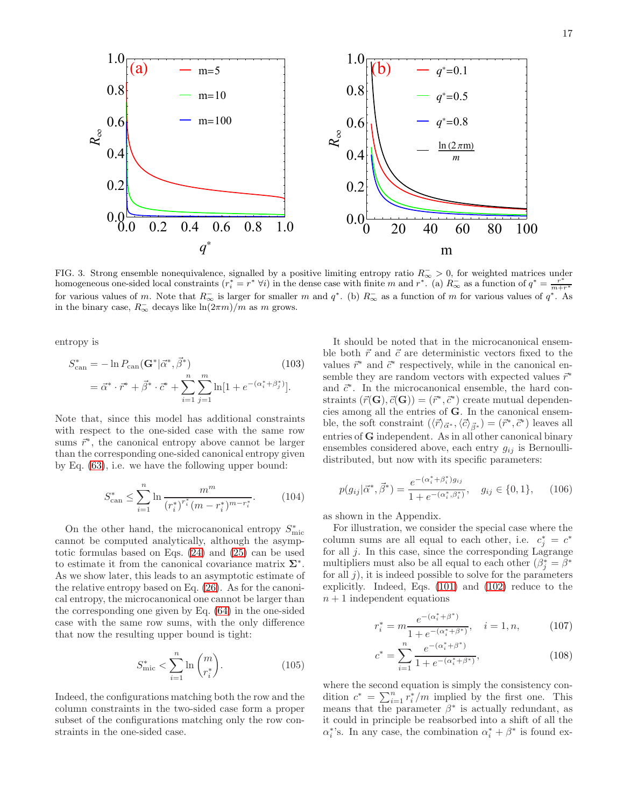<span id="page-16-0"></span>FIG. 3. Strong ensemble nonequivalence, signalled by a positive limiting entropy ratio  $R_{\infty}$  > 0, for weighted matrices under homogeneous one-sided local constraints  $(r_i^* = r^* \forall i)$  in the dense case with finite m and  $r^*$ . (a)  $R_{\infty}^-$  as a function of  $q^* = \frac{r^*}{m+r^*}$ for various values of m. Note that  $R_{\infty}^-$  is larger for smaller m and  $q^*$ . (b)  $R_{\infty}^-$  as a function of m for various values of  $q^*$ . As in the binary case,  $R_{\infty}^-$  decays like  $\ln(2\pi m)/m$  as m grows.

entropy is

<span id="page-16-2"></span>
$$
S_{\text{can}}^{*} = -\ln P_{\text{can}}(\mathbf{G}^{*}|\vec{\alpha}^{*}, \vec{\beta}^{*})
$$
(103)  

$$
= \vec{\alpha}^{*} \cdot \vec{r}^{*} + \vec{\beta}^{*} \cdot \vec{c}^{*} + \sum_{i=1}^{n} \sum_{j=1}^{m} \ln[1 + e^{-(\alpha_{i}^{*} + \beta_{j}^{*})}].
$$

Note that, since this model has additional constraints with respect to the one-sided case with the same row sums  $\vec{r}^*$ , the canonical entropy above cannot be larger than the corresponding one-sided canonical entropy given by Eq. [\(63\)](#page-11-2), i.e. we have the following upper bound:

<span id="page-16-3"></span>
$$
S_{\text{can}}^* \le \sum_{i=1}^n \ln \frac{m^m}{(r_i^*)^{r_i^*} (m - r_i^*)^{m - r_i^*}}.\tag{104}
$$

On the other hand, the microcanonical entropy  $S_{\rm mic}^*$ cannot be computed analytically, although the asymptotic formulas based on Eqs. [\(24\)](#page-7-0) and [\(25\)](#page-7-1) can be used to estimate it from the canonical covariance matrix  $\Sigma^*$ . As we show later, this leads to an asymptotic estimate of the relative entropy based on Eq. [\(26\)](#page-7-2). As for the canonical entropy, the microcanonical one cannot be larger than the corresponding one given by Eq. [\(64\)](#page-11-3) in the one-sided case with the same row sums, with the only difference that now the resulting upper bound is tight:

<span id="page-16-4"></span>
$$
S_{\text{mic}}^* < \sum_{i=1}^n \ln \binom{m}{r_i^*}.\tag{105}
$$

Indeed, the configurations matching both the row and the column constraints in the two-sided case form a proper subset of the configurations matching only the row constraints in the one-sided case.

It should be noted that in the microcanonical ensemble both  $\vec{r}$  and  $\vec{c}$  are deterministic vectors fixed to the values  $\vec{r}^*$  and  $\vec{c}^*$  respectively, while in the canonical ensemble they are random vectors with expected values  $\vec{r}^*$ and  $\vec{c}^*$ . In the microcanonical ensemble, the hard constraints  $(\vec{r}(\mathbf{G}), \vec{c}(\mathbf{G})) = (\vec{r}^*, \vec{c}^*)$  create mutual dependencies among all the entries of G. In the canonical ensemble, the soft constraint  $(\langle \vec{r} \rangle_{\vec{\alpha}^*}, \langle \vec{c} \rangle_{\vec{\beta}^*} ) = (\vec{r}^*, \vec{c}^*)$  leaves all entries of G independent. As in all other canonical binary ensembles considered above, each entry  $g_{ij}$  is Bernoullidistributed, but now with its specific parameters:

$$
p(g_{ij}|\vec{\alpha}^*, \vec{\beta}^*) = \frac{e^{-(\alpha_i^* + \beta_i^*)g_{ij}}}{1 + e^{-(\alpha_i^*, \beta_i^*)}}, \quad g_{ij} \in \{0, 1\}, \quad (106)
$$

as shown in the Appendix.

For illustration, we consider the special case where the column sums are all equal to each other, i.e.  $c_j^* = c^*$ for all  $j$ . In this case, since the corresponding Lagrange multipliers must also be all equal to each other  $(\beta_j^* = \beta^*$ for all  $j$ ), it is indeed possible to solve for the parameters explicitly. Indeed, Eqs. [\(101\)](#page-15-1) and [\(102\)](#page-15-1) reduce to the  $n + 1$  independent equations

<span id="page-16-1"></span>
$$
r_i^* = m \frac{e^{-(\alpha_i^* + \beta^*)}}{1 + e^{-(\alpha_i^* + \beta^*)}}, \quad i = 1, n,
$$
 (107)

$$
c^* = \sum_{i=1}^n \frac{e^{-(\alpha_i^* + \beta^*)}}{1 + e^{-(\alpha_i^* + \beta^*)}},\tag{108}
$$

where the second equation is simply the consistency condition  $c^* = \sum_{i=1}^n r_i^*/m$  implied by the first one. This means that the parameter  $\beta^*$  is actually redundant, as it could in principle be reabsorbed into a shift of all the  $\alpha_i^*$ 's. In any case, the combination  $\alpha_i^* + \beta^*$  is found ex-

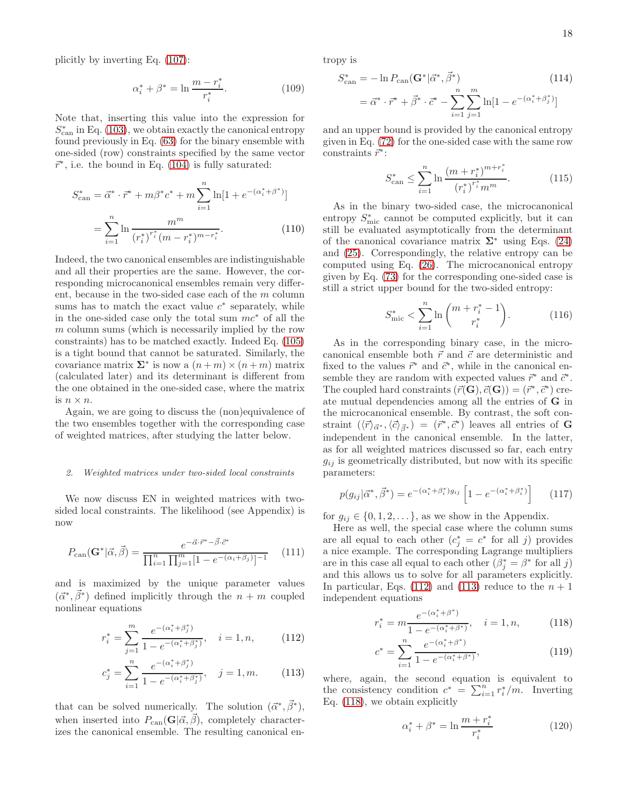plicitly by inverting Eq. [\(107\)](#page-16-1):

<span id="page-17-6"></span>
$$
\alpha_i^* + \beta^* = \ln \frac{m - r_i^*}{r_i^*}.
$$
 (109)

Note that, inserting this value into the expression for  $S_{\text{can}}^*$  in Eq. [\(103\)](#page-16-2), we obtain exactly the canonical entropy found previously in Eq. [\(63\)](#page-11-2) for the binary ensemble with one-sided (row) constraints specified by the same vector  $\vec{r}^*$ , i.e. the bound in Eq. [\(104\)](#page-16-3) is fully saturated:

<span id="page-17-5"></span>
$$
S_{\text{can}}^* = \vec{\alpha}^* \cdot \vec{r}^* + m\beta^* c^* + m \sum_{i=1}^n \ln[1 + e^{-(\alpha_i^* + \beta^*)}]
$$

$$
= \sum_{i=1}^n \ln \frac{m^m}{(r_i^*)^{r_i^*} (m - r_i^*)^{m - r_i^*}}.
$$
(110)

Indeed, the two canonical ensembles are indistinguishable and all their properties are the same. However, the corresponding microcanonical ensembles remain very different, because in the two-sided case each of the m column sums has to match the exact value  $c^*$  separately, while in the one-sided case only the total sum  $mc^*$  of all the m column sums (which is necessarily implied by the row constraints) has to be matched exactly. Indeed Eq. [\(105\)](#page-16-4) is a tight bound that cannot be saturated. Similarly, the covariance matrix  $\Sigma^*$  is now a  $(n+m) \times (n+m)$  matrix (calculated later) and its determinant is different from the one obtained in the one-sided case, where the matrix is  $n \times n$ .

Again, we are going to discuss the (non)equivalence of the two ensembles together with the corresponding case of weighted matrices, after studying the latter below.

#### *2. Weighted matrices under two-sided local constraints*

We now discuss EN in weighted matrices with twosided local constraints. The likelihood (see Appendix) is now

$$
P_{\text{can}}(\mathbf{G}^*|\vec{\alpha}, \vec{\beta}) = \frac{e^{-\vec{\alpha} \cdot \vec{r}^* - \vec{\beta} \cdot \vec{c}^*}}{\prod_{i=1}^n \prod_{j=1}^m [1 - e^{-(\alpha_i + \beta_j)}]^{-1}} \quad (111)
$$

and is maximized by the unique parameter values  $(\vec{\alpha}^*, \vec{\beta}^*)$  defined implicitly through the  $n + m$  coupled nonlinear equations

<span id="page-17-0"></span>
$$
r_i^* = \sum_{j=1}^m \frac{e^{-(\alpha_i^* + \beta_j^*)}}{1 - e^{-(\alpha_i^* + \beta_j^*)}}, \quad i = 1, n,
$$
 (112)

$$
c_j^* = \sum_{i=1}^n \frac{e^{-(\alpha_i^* + \beta_j^*)}}{1 - e^{-(\alpha_i^* + \beta_j^*)}}, \quad j = 1, m.
$$
 (113)

that can be solved numerically. The solution  $(\vec{\alpha}^*, \vec{\beta}^*)$ , when inserted into  $P_{\text{can}}(\mathbf{G}|\vec{\alpha}, \vec{\beta})$ , completely characterizes the canonical ensemble. The resulting canonical entropy is

<span id="page-17-2"></span>
$$
S_{\text{can}}^{*} = -\ln P_{\text{can}}(\mathbf{G}^{*}|\vec{\alpha}^{*}, \vec{\beta}^{*})
$$
(114)  
=  $\vec{\alpha}^{*} \cdot \vec{r}^{*} + \vec{\beta}^{*} \cdot \vec{c}^{*} - \sum_{i=1}^{n} \sum_{j=1}^{m} \ln[1 - e^{-(\alpha_{i}^{*} + \beta_{j}^{*})}]$ 

and an upper bound is provided by the canonical entropy given in Eq. [\(72\)](#page-12-2) for the one-sided case with the same row constraints  $\vec{r}^*$ :

<span id="page-17-3"></span>
$$
S_{\text{can}}^* \le \sum_{i=1}^n \ln \frac{\left(m + r_i^*\right)^{m + r_i^*}}{\left(r_i^*\right)^{r_i^*} m^m}.\tag{115}
$$

As in the binary two-sided case, the microcanonical entropy  $S_{\text{mic}}^*$  cannot be computed explicitly, but it can still be evaluated asymptotically from the determinant of the canonical covariance matrix  $\Sigma^*$  using Eqs. [\(24\)](#page-7-0) and [\(25\)](#page-7-1). Correspondingly, the relative entropy can be computed using Eq. [\(26\)](#page-7-2). The microcanonical entropy given by Eq. [\(73\)](#page-12-3) for the corresponding one-sided case is still a strict upper bound for the two-sided entropy:

<span id="page-17-4"></span>
$$
S_{\text{mic}}^* < \sum_{i=1}^n \ln \binom{m + r_i^* - 1}{r_i^*} . \tag{116}
$$

As in the corresponding binary case, in the microcanonical ensemble both  $\vec{r}$  and  $\vec{c}$  are deterministic and fixed to the values  $\vec{r}^*$  and  $\vec{c}^*$ , while in the canonical ensemble they are random with expected values  $\vec{r}^*$  and  $\vec{c}^*$ . The coupled hard constraints  $(\vec{r}(\mathbf{G}), \vec{c}(\mathbf{G})) = (\vec{r}^*, \vec{c}^*)$  create mutual dependencies among all the entries of G in the microcanonical ensemble. By contrast, the soft constraint  $(\langle \vec{r} \rangle_{\vec{\alpha}^*}, \langle \vec{c} \rangle_{\vec{\beta}^*}) = (\vec{r}^*, \vec{c}^*)$  leaves all entries of **G** independent in the canonical ensemble. In the latter, as for all weighted matrices discussed so far, each entry  $g_{ij}$  is geometrically distributed, but now with its specific parameters:

$$
p(g_{ij}|\vec{\alpha}^*, \vec{\beta}^*) = e^{-(\alpha_i^* + \beta_i^*)g_{ij}} \left[1 - e^{-(\alpha_i^* + \beta_i^*)}\right]
$$
 (117)

for  $g_{ij} \in \{0, 1, 2, \dots\}$ , as we show in the Appendix.

Here as well, the special case where the column sums are all equal to each other  $(c_j^* = c^*$  for all j) provides a nice example. The corresponding Lagrange multipliers are in this case all equal to each other  $(\beta_j^* = \beta^*$  for all j) and this allows us to solve for all parameters explicitly. In particular, Eqs. [\(112\)](#page-17-0) and [\(113\)](#page-17-0) reduce to the  $n + 1$ independent equations

<span id="page-17-1"></span>
$$
r_i^* = m \frac{e^{-(\alpha_i^* + \beta^*)}}{1 - e^{-(\alpha_i^* + \beta^*)}}, \quad i = 1, n,
$$
 (118)

$$
c^* = \sum_{i=1}^n \frac{e^{-(\alpha_i^* + \beta^*)}}{1 - e^{-(\alpha_i^* + \beta^*)}},\tag{119}
$$

where, again, the second equation is equivalent to the consistency condition  $c^* = \sum_{i=1}^n r_i^* / m$ . Inverting Eq. [\(118\)](#page-17-1), we obtain explicitly

<span id="page-17-7"></span>
$$
\alpha_i^* + \beta^* = \ln \frac{m + r_i^*}{r_i^*}
$$
 (120)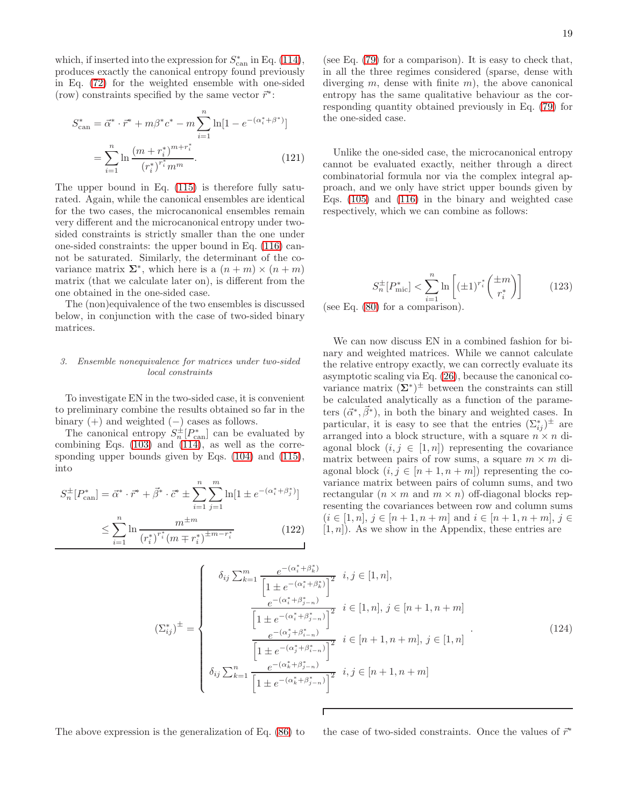which, if inserted into the expression for  $S_{\text{can}}^*$  in Eq. [\(114\)](#page-17-2), produces exactly the canonical entropy found previously in Eq. [\(72\)](#page-12-2) for the weighted ensemble with one-sided (row) constraints specified by the same vector  $\vec{r}^*$ :

<span id="page-18-0"></span>
$$
S_{\text{can}}^* = \vec{\alpha}^* \cdot \vec{r}^* + m\beta^* c^* - m \sum_{i=1}^n \ln[1 - e^{-(\alpha_i^* + \beta^*)}]
$$

$$
= \sum_{i=1}^n \ln \frac{(m + r_i^*)^{m+r_i^*}}{(r_i^*)^{r_i^*} m^m}.
$$
(121)

The upper bound in Eq. [\(115\)](#page-17-3) is therefore fully saturated. Again, while the canonical ensembles are identical for the two cases, the microcanonical ensembles remain very different and the microcanonical entropy under twosided constraints is strictly smaller than the one under one-sided constraints: the upper bound in Eq. [\(116\)](#page-17-4) cannot be saturated. Similarly, the determinant of the covariance matrix  $\Sigma^*$ , which here is a  $(n+m) \times (n+m)$ matrix (that we calculate later on), is different from the one obtained in the one-sided case.

The (non)equivalence of the two ensembles is discussed below, in conjunction with the case of two-sided binary matrices.

## *3. Ensemble nonequivalence for matrices under two-sided local constraints*

To investigate EN in the two-sided case, it is convenient to preliminary combine the results obtained so far in the binary  $(+)$  and weighted  $(-)$  cases as follows.

The canonical entropy  $S_n^{\pm}[P_{\text{can}}^*]$  can be evaluated by combining Eqs.  $(103)$  and  $(114)$ , as well as the corresponding upper bounds given by Eqs. [\(104\)](#page-16-3) and [\(115\)](#page-17-3), into

$$
S_n^{\pm}[P_{\text{can}}^*] = \vec{\alpha}^* \cdot \vec{r}^* + \vec{\beta}^* \cdot \vec{c}^* \pm \sum_{i=1}^n \sum_{j=1}^m \ln[1 \pm e^{-(\alpha_i^* + \beta_j^*)}]
$$
  

$$
\leq \sum_{i=1}^n \ln \frac{m^{\pm m}}{(r_i^*)^{r_i^*} (m \mp r_i^*)^{\pm m - r_i^*}}
$$
(122)

(see Eq. [\(79\)](#page-12-7) for a comparison). It is easy to check that, in all the three regimes considered (sparse, dense with diverging  $m$ , dense with finite  $m$ ), the above canonical entropy has the same qualitative behaviour as the corresponding quantity obtained previously in Eq. [\(79\)](#page-12-7) for the one-sided case.

Unlike the one-sided case, the microcanonical entropy cannot be evaluated exactly, neither through a direct combinatorial formula nor via the complex integral approach, and we only have strict upper bounds given by Eqs. [\(105\)](#page-16-4) and [\(116\)](#page-17-4) in the binary and weighted case respectively, which we can combine as follows:

$$
S_n^{\pm}[P_{\text{mic}}^*] < \sum_{i=1}^n \ln\left[ (\pm 1)^{r_i^*} \binom{\pm m}{r_i^*} \right] \tag{123}
$$

(see Eq. [\(80\)](#page-12-8) for a comparison).

We can now discuss EN in a combined fashion for binary and weighted matrices. While we cannot calculate the relative entropy exactly, we can correctly evaluate its asymptotic scaling via Eq. [\(26\)](#page-7-2), because the canonical covariance matrix  $(\Sigma^*)^{\pm}$  between the constraints can still be calculated analytically as a function of the parameters  $(\vec{\alpha}^*, \vec{\beta}^*)$ , in both the binary and weighted cases. In particular, it is easy to see that the entries  $(\Sigma_{ij}^*)^{\pm}$  are arranged into a block structure, with a square  $n \times n$  diagonal block  $(i, j \in [1, n])$  representing the covariance matrix between pairs of row sums, a square  $m \times m$  diagonal block  $(i, j \in [n+1, n+m])$  representing the covariance matrix between pairs of column sums, and two rectangular  $(n \times m$  and  $m \times n)$  off-diagonal blocks representing the covariances between row and column sums  $(i \in [1, n], j \in [n + 1, n + m] \text{ and } i \in [n + 1, n + m], j \in$  $[1, n]$ . As we show in the Appendix, these entries are

<span id="page-18-1"></span>
$$
\left(\Sigma_{ij}^{*}\right)^{\pm} = \begin{cases}\n\delta_{ij} \sum_{k=1}^{m} \frac{e^{-(\alpha_{i}^{*} + \beta_{k}^{*})}}{\left[1 \pm e^{-(\alpha_{i}^{*} + \beta_{j-n}^{*})}\right]^{2}} i, j \in [1, n], \\
\frac{e^{-(\alpha_{i}^{*} + \beta_{j-n}^{*})}}{\left[1 \pm e^{-(\alpha_{i}^{*} + \beta_{j-n}^{*})}\right]^{2}} i \in [1, n], j \in [n+1, n+m] \\
\frac{e^{-(\alpha_{j}^{*} + \beta_{i-n}^{*})}}{\left[1 \pm e^{-(\alpha_{j}^{*} + \beta_{i-n}^{*})}\right]^{2}} i \in [n+1, n+m], j \in [1, n] \\
\delta_{ij} \sum_{k=1}^{n} \frac{e^{-(\alpha_{k}^{*} + \beta_{j-n}^{*})}}{\left[1 \pm e^{-(\alpha_{k}^{*} + \beta_{j-n}^{*})}\right]^{2}} i, j \in [n+1, n+m]\n\end{cases} (124)
$$

The above expression is the generalization of Eq. [\(86\)](#page-13-5) to the case of two-sided constraints. Once the values of  $\vec{r}^*$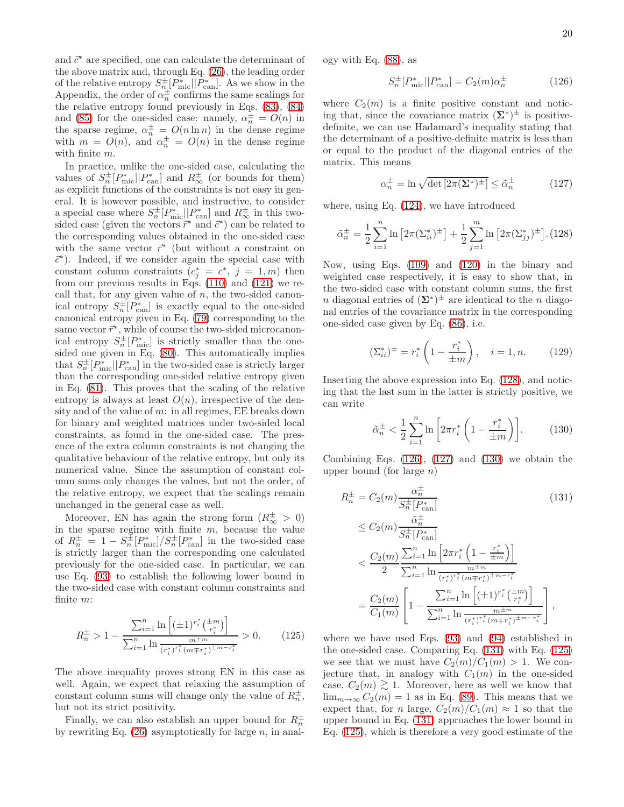and  $\vec{c}^*$  are specified, one can calculate the determinant of the above matrix and, through Eq. [\(26\)](#page-7-2), the leading order of the relative entropy  $S^{\pm}_{n} [P^*_{\text{mic}}] | P^*_{\text{can}}]$ . As we show in the Appendix, the order of  $\alpha_n^{\pm}$  confirms the same scalings for the relative entropy found previously in Eqs. [\(83\)](#page-13-2), [\(84\)](#page-13-0) and [\(85\)](#page-13-3) for the one-sided case: namely,  $\alpha_n^{\pm} = O(n)$  in the sparse regime,  $\alpha_n^{\pm} = O(n \ln n)$  in the dense regime with  $m = O(n)$ , and  $\alpha_n^{\pm} = O(n)$  in the dense regime with finite m.

In practice, unlike the one-sided case, calculating the values of  $S_n^{\pm}[P_{\text{mic}}^*||P_{\text{can}}^*]$  and  $R_{\infty}^{\pm}$  (or bounds for them) as explicit functions of the constraints is not easy in general. It is however possible, and instructive, to consider a special case where  $S_n^{\pm}[P_{\text{mic}}^*||P_{\text{can}}^*]$  and  $R_{\infty}^{\pm}$  in this twosided case (given the vectors  $\vec{r}^*$  and  $\vec{c}^*$ ) can be related to the corresponding values obtained in the one-sided case with the same vector  $\vec{r}^*$  (but without a constraint on ~c∗ ). Indeed, if we consider again the special case with constant column constraints  $(c_j^* = c^*, j = 1, m)$  then from our previous results in Eqs. [\(110\)](#page-17-5) and [\(121\)](#page-18-0) we recall that, for any given value of  $n$ , the two-sided canonical entropy  $S_n^{\pm}[P_{\text{can}}^*]$  is exactly equal to the one-sided canonical entropy given in Eq. [\(79\)](#page-12-7) corresponding to the same vector  $\vec{r}^*$ , while of course the two-sided microcanonical entropy  $S_n^{\pm}[P_{\text{mic}}^*]$  is strictly smaller than the onesided one given in Eq. [\(80\)](#page-12-8). This automatically implies that  $S_n^{\pm}[P_{\text{mic}}^*||P_{\text{can}}^*]$  in the two-sided case is strictly larger than the corresponding one-sided relative entropy given in Eq. [\(81\)](#page-12-5). This proves that the scaling of the relative entropy is always at least  $O(n)$ , irrespective of the density and of the value of  $m$ : in all regimes, EE breaks down for binary and weighted matrices under two-sided local constraints, as found in the one-sided case. The presence of the extra column constraints is not changing the qualitative behaviour of the relative entropy, but only its numerical value. Since the assumption of constant column sums only changes the values, but not the order, of the relative entropy, we expect that the scalings remain unchanged in the general case as well.

Moreover, EN has again the strong form  $(R_{\infty}^{\pm} > 0)$ in the sparse regime with finite  $m$ , because the value of  $R_n^{\pm} = 1 - S_n^{\pm} [P_{\text{mic}}^{*}] / S_n^{\pm} [P_{\text{can}}^{*}]$  in the two-sided case is strictly larger than the corresponding one calculated previously for the one-sided case. In particular, we can use Eq. [\(93\)](#page-14-0) to establish the following lower bound in the two-sided case with constant column constraints and finite m:

<span id="page-19-5"></span>
$$
R_n^{\pm} > 1 - \frac{\sum_{i=1}^n \ln\left[ (\pm 1)^{r_i^*} \binom{\pm m}{r_i^*} \right]}{\sum_{i=1}^n \ln \frac{m^{\pm m}}{(r_i^*)^{r_i^*} (m \mp r_i^*)^{\pm m - r_i^*}}} > 0. \tag{125}
$$

The above inequality proves strong EN in this case as well. Again, we expect that relaxing the assumption of constant column sums will change only the value of  $R_n^{\pm}$ , but not its strict positivity.

Finally, we can also establish an upper bound for  $R_n^{\pm}$ by rewriting Eq.  $(26)$  asymptotically for large n, in analogy with Eq. [\(88\)](#page-13-4), as

<span id="page-19-1"></span>
$$
S_n^{\pm}[P_{\text{mic}}^*||P_{\text{can}}^*] = C_2(m)\alpha_n^{\pm} \tag{126}
$$

where  $C_2(m)$  is a finite positive constant and noticing that, since the covariance matrix  $(\Sigma^*)^{\pm}$  is positivedefinite, we can use Hadamard's inequality stating that the determinant of a positive-definite matrix is less than or equal to the product of the diagonal entries of the matrix. This means

<span id="page-19-2"></span>
$$
\alpha_n^{\pm} = \ln \sqrt{\det \left[2\pi (\Sigma^*)^{\pm}\right]} \le \tilde{\alpha}_n^{\pm} \tag{127}
$$

where, using Eq. [\(124\)](#page-18-1), we have introduced

<span id="page-19-0"></span>
$$
\tilde{\alpha}_n^{\pm} = \frac{1}{2} \sum_{i=1}^n \ln \left[ 2\pi (\Sigma_{ii}^*)^{\pm} \right] + \frac{1}{2} \sum_{j=1}^m \ln \left[ 2\pi (\Sigma_{jj}^*)^{\pm} \right]. (128)
$$

Now, using Eqs. [\(109\)](#page-17-6) and [\(120\)](#page-17-7) in the binary and weighted case respectively, it is easy to show that, in the two-sided case with constant column sums, the first n diagonal entries of  $(\Sigma^*)^{\pm}$  are identical to the n diagonal entries of the covariance matrix in the corresponding one-sided case given by Eq. [\(86\)](#page-13-5), i.e.

$$
(\Sigma_{ii}^*)^{\pm} = r_i^* \left( 1 - \frac{r_i^*}{\pm m} \right), \quad i = 1, n. \tag{129}
$$

Inserting the above expression into Eq. [\(128\)](#page-19-0), and noticing that the last sum in the latter is strictly positive, we can write

<span id="page-19-3"></span>
$$
\tilde{\alpha}_n^{\pm} < \frac{1}{2} \sum_{i=1}^n \ln \left[ 2\pi r_i^* \left( 1 - \frac{r_i^*}{\pm m} \right) \right]. \tag{130}
$$

Combining Eqs.  $(126)$ ,  $(127)$  and  $(130)$  we obtain the upper bound (for large  $n$ )

<span id="page-19-4"></span>
$$
R_{n}^{\pm} = C_{2}(m) \frac{\alpha_{n}^{\pm}}{S_{n}^{\pm}[P_{\text{can}}^{*}]} \qquad (131)
$$
  
\n
$$
\leq C_{2}(m) \frac{\tilde{\alpha}_{n}^{\pm}}{S_{n}^{\pm}[P_{\text{can}}^{*}]} \qquad (131)
$$
  
\n
$$
< \frac{C_{2}(m)}{2} \frac{\sum_{i=1}^{n} \ln \left[2\pi r_{i}^{*} \left(1 - \frac{r_{i}^{*}}{\pm m}\right)\right]}{\sum_{i=1}^{n} \ln \frac{m^{\pm m}}{(r_{i}^{*})^{r_{i}^{*}}(m \mp r_{i}^{*})^{\pm m - r_{i}^{*}}}}
$$
  
\n
$$
= \frac{C_{2}(m)}{C_{1}(m)} \left[1 - \frac{\sum_{i=1}^{n} \ln \left[(\pm 1)^{r_{i}^{*}} \left(\frac{\pm m}{r_{i}^{*}}\right)\right]}{\sum_{i=1}^{n} \ln \frac{m^{\pm m}}{(r_{i}^{*})^{r_{i}^{*}}(m \mp r_{i}^{*})^{\pm m - r_{i}^{*}}}}\right],
$$

where we have used Eqs. [\(93\)](#page-14-0) and [\(94\)](#page-14-1) established in the one-sided case. Comparing Eq. [\(131\)](#page-19-4) with Eq. [\(125\)](#page-19-5) we see that we must have  $C_2(m)/C_1(m) > 1$ . We conjecture that, in analogy with  $C_1(m)$  in the one-sided case,  $C_2(m)$   $\gtrsim$  1. Moreover, here as well we know that  $\lim_{m\to\infty} C_2(m) = 1$  as in Eq. [\(89\)](#page-13-6). This means that we expect that, for n large,  $C_2(m)/C_1(m) \approx 1$  so that the upper bound in Eq. [\(131\)](#page-19-4) approaches the lower bound in Eq. [\(125\)](#page-19-5), which is therefore a very good estimate of the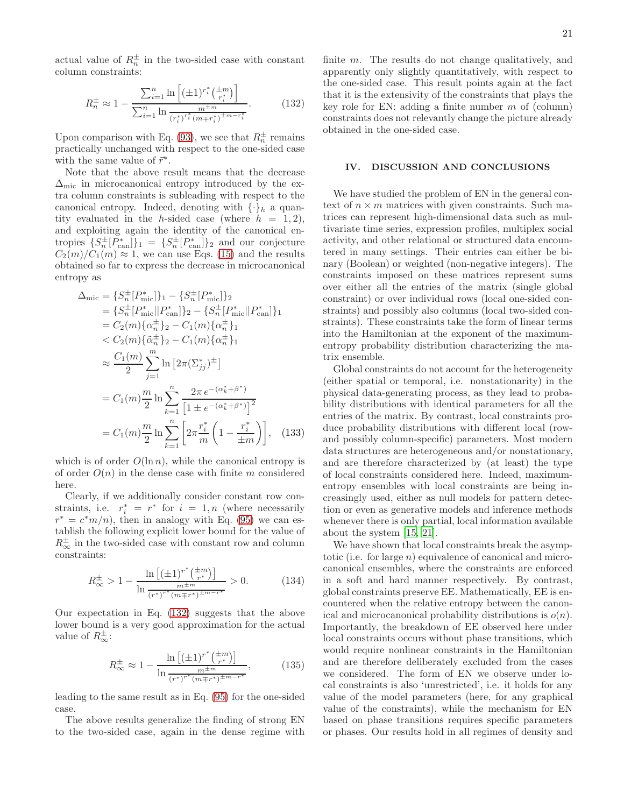<span id="page-20-0"></span>
$$
R_n^{\pm} \approx 1 - \frac{\sum_{i=1}^n \ln \left[ (\pm 1)^{r_i^*} \left( \frac{t}{r_i^*} \right) \right]}{\sum_{i=1}^n \ln \frac{m + m}{(r_i^*)^{r_i^*} (m \mp r_i^*)^{\pm m - r_i^*}}}. \tag{132}
$$

Upon comparison with Eq. [\(93\)](#page-14-0), we see that  $R_n^{\pm}$  remains practically unchanged with respect to the one-sided case with the same value of  $\vec{r}^*$ .

Note that the above result means that the decrease  $\Delta_{\text{mic}}$  in microcanonical entropy introduced by the extra column constraints is subleading with respect to the canonical entropy. Indeed, denoting with  $\{\cdot\}_h$  a quantity evaluated in the *h*-sided case (where  $h = 1, 2$ ), and exploiting again the identity of the canonical entropies  ${S_n^{\pm}[P_{\text{can}}^*]}_1 = {S_n^{\pm}[P_{\text{can}}^*]}_2$  and our conjecture  $C_2(m)/C_1(m) \approx 1$ , we can use Eqs. [\(15\)](#page-6-0) and the results obtained so far to express the decrease in microcanonical entropy as

$$
\Delta_{\text{mic}} = \left\{ S_n^{\pm} [P_{\text{mic}}^{*}] \right\}_1 - \left\{ S_n^{\pm} [P_{\text{mic}}^{*}] \right\}_2
$$
\n
$$
= \left\{ S_n^{\pm} [P_{\text{mic}}^{*}] | P_{\text{can}}^{*} \right\}_2 - \left\{ S_n^{\pm} [P_{\text{mic}}^{*}] | P_{\text{can}}^{*} \right\}_1
$$
\n
$$
= C_2(m) \left\{ \alpha_n^{\pm} \right\}_2 - C_1(m) \left\{ \alpha_n^{\pm} \right\}_1
$$
\n
$$
< C_2(m) \left\{ \tilde{\alpha}_n^{\pm} \right\}_2 - C_1(m) \left\{ \alpha_n^{\pm} \right\}_1
$$
\n
$$
\approx \frac{C_1(m)}{2} \sum_{j=1}^m \ln \left[ 2\pi (\Sigma_{jj}^*)^{\pm} \right]
$$
\n
$$
= C_1(m) \frac{m}{2} \ln \sum_{k=1}^n \frac{2\pi e^{-(\alpha_k^* + \beta^*)}}{\left[ 1 \pm e^{-(\alpha_k^* + \beta^*)} \right]^2}
$$
\n
$$
= C_1(m) \frac{m}{2} \ln \sum_{k=1}^n \left[ 2\pi \frac{r_i^*}{m} \left( 1 - \frac{r_i^*}{\pm m} \right) \right], \quad (133)
$$

which is of order  $O(\ln n)$ , while the canonical entropy is of order  $O(n)$  in the dense case with finite m considered here.

Clearly, if we additionally consider constant row constraints, i.e.  $r_i^* = r^*$  for  $i = 1, n$  (where necessarily  $r^* = c^*m/n$ , then in analogy with Eq. [\(95\)](#page-14-2) we can establish the following explicit lower bound for the value of  $R^{\pm}_{\infty}$  in the two-sided case with constant row and column constraints:

$$
R_{\infty}^{\pm} > 1 - \frac{\ln\left[ (\pm 1)^{r^*} \binom{\pm m}{r^*} \right]}{\ln \frac{m^{\pm m}}{(r^*)^{r^*} (m \mp r^*)^{\pm m - r^*}}} > 0. \tag{134}
$$

Our expectation in Eq. [\(132\)](#page-20-0) suggests that the above lower bound is a very good approximation for the actual value of  $R^{\pm}_{\infty}$ :

$$
R_{\infty}^{\pm} \approx 1 - \frac{\ln\left[\left(\pm 1\right)^{r^*} \left(\frac{\pm m}{r^*}\right)\right]}{\ln \frac{m^{\pm m}}{\left(r^*\right)^{r^*} \left(m \mp r^*\right)^{\pm m - r^*}}},\tag{135}
$$

leading to the same result as in Eq. [\(95\)](#page-14-2) for the one-sided case.

The above results generalize the finding of strong EN to the two-sided case, again in the dense regime with

finite m. The results do not change qualitatively, and apparently only slightly quantitatively, with respect to the one-sided case. This result points again at the fact that it is the extensivity of the constraints that plays the key role for EN: adding a finite number  $m$  of (column) constraints does not relevantly change the picture already obtained in the one-sided case.

## IV. DISCUSSION AND CONCLUSIONS

We have studied the problem of EN in the general context of  $n \times m$  matrices with given constraints. Such matrices can represent high-dimensional data such as multivariate time series, expression profiles, multiplex social activity, and other relational or structured data encountered in many settings. Their entries can either be binary (Boolean) or weighted (non-negative integers). The constraints imposed on these matrices represent sums over either all the entries of the matrix (single global constraint) or over individual rows (local one-sided constraints) and possibly also columns (local two-sided constraints). These constraints take the form of linear terms into the Hamiltonian at the exponent of the maximumentropy probability distribution characterizing the matrix ensemble.

Global constraints do not account for the heterogeneity (either spatial or temporal, i.e. nonstationarity) in the physical data-generating process, as they lead to probability distributions with identical parameters for all the entries of the matrix. By contrast, local constraints produce probability distributions with different local (rowand possibly column-specific) parameters. Most modern data structures are heterogeneous and/or nonstationary, and are therefore characterized by (at least) the type of local constraints considered here. Indeed, maximumentropy ensembles with local constraints are being increasingly used, either as null models for pattern detection or even as generative models and inference methods whenever there is only partial, local information available about the system [\[15,](#page-22-9) [21\]](#page-22-15).

We have shown that local constraints break the asymptotic (i.e. for large  $n$ ) equivalence of canonical and microcanonical ensembles, where the constraints are enforced in a soft and hard manner respectively. By contrast, global constraints preserve EE. Mathematically, EE is encountered when the relative entropy between the canonical and microcanonical probability distributions is  $o(n)$ . Importantly, the breakdown of EE observed here under local constraints occurs without phase transitions, which would require nonlinear constraints in the Hamiltonian and are therefore deliberately excluded from the cases we considered. The form of EN we observe under local constraints is also 'unrestricted', i.e. it holds for any value of the model parameters (here, for any graphical value of the constraints), while the mechanism for EN based on phase transitions requires specific parameters or phases. Our results hold in all regimes of density and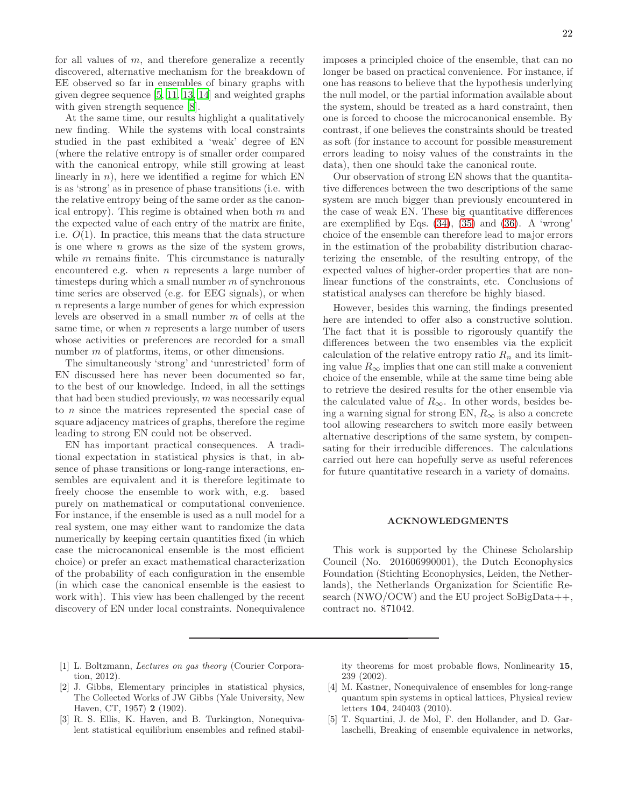for all values of  $m$ , and therefore generalize a recently discovered, alternative mechanism for the breakdown of EE observed so far in ensembles of binary graphs with given degree sequence [\[5,](#page-21-3) [11,](#page-22-5) [13](#page-22-7), [14\]](#page-22-8) and weighted graphs with given strength sequence [\[8](#page-22-2)].

At the same time, our results highlight a qualitatively new finding. While the systems with local constraints studied in the past exhibited a 'weak' degree of EN (where the relative entropy is of smaller order compared with the canonical entropy, while still growing at least linearly in  $n$ ), here we identified a regime for which EN is as 'strong' as in presence of phase transitions (i.e. with the relative entropy being of the same order as the canonical entropy). This regime is obtained when both  $m$  and the expected value of each entry of the matrix are finite, i.e.  $O(1)$ . In practice, this means that the data structure is one where  $n$  grows as the size of the system grows, while  $m$  remains finite. This circumstance is naturally encountered e.g. when  $n$  represents a large number of timesteps during which a small number  $m$  of synchronous time series are observed (e.g. for EEG signals), or when n represents a large number of genes for which expression levels are observed in a small number m of cells at the same time, or when  $n$  represents a large number of users whose activities or preferences are recorded for a small number m of platforms, items, or other dimensions.

The simultaneously 'strong' and 'unrestricted' form of EN discussed here has never been documented so far, to the best of our knowledge. Indeed, in all the settings that had been studied previously,  $m$  was necessarily equal to n since the matrices represented the special case of square adjacency matrices of graphs, therefore the regime leading to strong EN could not be observed.

EN has important practical consequences. A traditional expectation in statistical physics is that, in absence of phase transitions or long-range interactions, ensembles are equivalent and it is therefore legitimate to freely choose the ensemble to work with, e.g. based purely on mathematical or computational convenience. For instance, if the ensemble is used as a null model for a real system, one may either want to randomize the data numerically by keeping certain quantities fixed (in which case the microcanonical ensemble is the most efficient choice) or prefer an exact mathematical characterization of the probability of each configuration in the ensemble (in which case the canonical ensemble is the easiest to work with). This view has been challenged by the recent discovery of EN under local constraints. Nonequivalence

imposes a principled choice of the ensemble, that can no longer be based on practical convenience. For instance, if one has reasons to believe that the hypothesis underlying the null model, or the partial information available about the system, should be treated as a hard constraint, then one is forced to choose the microcanonical ensemble. By contrast, if one believes the constraints should be treated as soft (for instance to account for possible measurement errors leading to noisy values of the constraints in the data), then one should take the canonical route.

Our observation of strong EN shows that the quantitative differences between the two descriptions of the same system are much bigger than previously encountered in the case of weak EN. These big quantitative differences are exemplified by Eqs. [\(34\)](#page-8-7), [\(35\)](#page-8-8) and [\(36\)](#page-8-9). A 'wrong' choice of the ensemble can therefore lead to major errors in the estimation of the probability distribution characterizing the ensemble, of the resulting entropy, of the expected values of higher-order properties that are nonlinear functions of the constraints, etc. Conclusions of statistical analyses can therefore be highly biased.

However, besides this warning, the findings presented here are intended to offer also a constructive solution. The fact that it is possible to rigorously quantify the differences between the two ensembles via the explicit calculation of the relative entropy ratio  $R_n$  and its limiting value  $R_{\infty}$  implies that one can still make a convenient choice of the ensemble, while at the same time being able to retrieve the desired results for the other ensemble via the calculated value of  $R_{\infty}$ . In other words, besides being a warning signal for strong EN,  $R_{\infty}$  is also a concrete tool allowing researchers to switch more easily between alternative descriptions of the same system, by compensating for their irreducible differences. The calculations carried out here can hopefully serve as useful references for future quantitative research in a variety of domains.

## ACKNOWLEDGMENTS

This work is supported by the Chinese Scholarship Council (No. 201606990001), the Dutch Econophysics Foundation (Stichting Econophysics, Leiden, the Netherlands), the Netherlands Organization for Scientific Research (NWO/OCW) and the EU project SoBigData++, contract no. 871042.

- <span id="page-21-0"></span>[1] L. Boltzmann, *Lectures on gas theory* (Courier Corporation, 2012).
- <span id="page-21-1"></span>[2] J. Gibbs, Elementary principles in statistical physics, The Collected Works of JW Gibbs (Yale University, New Haven, CT, 1957) 2 (1902).
- <span id="page-21-2"></span>[3] R. S. Ellis, K. Haven, and B. Turkington, Nonequivalent statistical equilibrium ensembles and refined stabil-

ity theorems for most probable flows, Nonlinearity 15, 239 (2002).

- [4] M. Kastner, Nonequivalence of ensembles for long-range quantum spin systems in optical lattices, Physical review letters 104, 240403 (2010).
- <span id="page-21-3"></span>[5] T. Squartini, J. de Mol, F. den Hollander, and D. Garlaschelli, Breaking of ensemble equivalence in networks,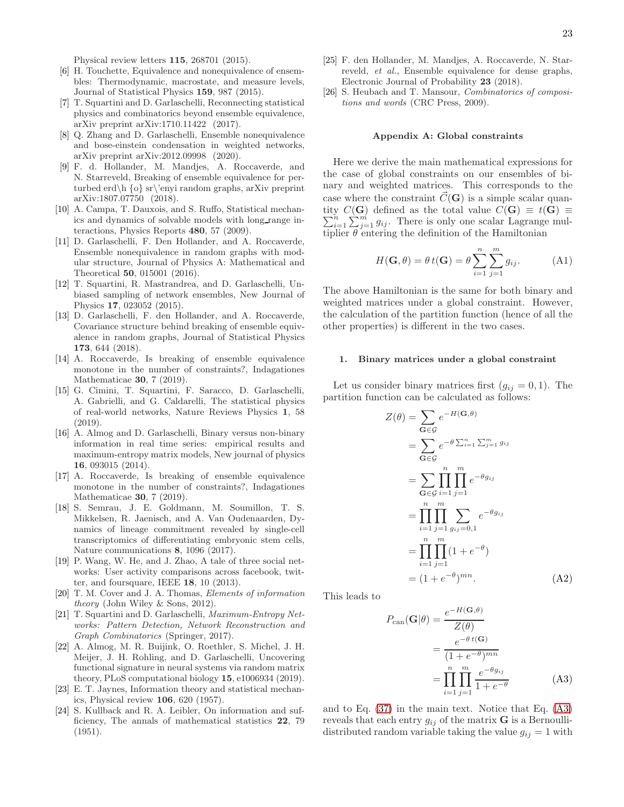Physical review letters 115, 268701 (2015).

- <span id="page-22-0"></span>[6] H. Touchette, Equivalence and nonequivalence of ensembles: Thermodynamic, macrostate, and measure levels, Journal of Statistical Physics 159, 987 (2015).
- <span id="page-22-1"></span>[7] T. Squartini and D. Garlaschelli, Reconnecting statistical physics and combinatorics beyond ensemble equivalence, arXiv preprint arXiv:1710.11422 (2017).
- <span id="page-22-2"></span>[8] Q. Zhang and D. Garlaschelli, Ensemble nonequivalence and bose-einstein condensation in weighted networks, arXiv preprint arXiv:2012.09998 (2020).
- <span id="page-22-3"></span>[9] F. d. Hollander, M. Mandjes, A. Roccaverde, and N. Starreveld, Breaking of ensemble equivalence for perturbed erd\h {o} sr\'enyi random graphs, arXiv preprint arXiv:1807.07750 (2018).
- <span id="page-22-4"></span>[10] A. Campa, T. Dauxois, and S. Ruffo, Statistical mechanics and dynamics of solvable models with long range interactions, Physics Reports 480, 57 (2009).
- <span id="page-22-5"></span>[11] D. Garlaschelli, F. Den Hollander, and A. Roccaverde, Ensemble nonequivalence in random graphs with modular structure, Journal of Physics A: Mathematical and Theoretical 50, 015001 (2016).
- <span id="page-22-6"></span>[12] T. Squartini, R. Mastrandrea, and D. Garlaschelli, Unbiased sampling of network ensembles, New Journal of Physics 17, 023052 (2015).
- <span id="page-22-7"></span>[13] D. Garlaschelli, F. den Hollander, and A. Roccaverde, Covariance structure behind breaking of ensemble equivalence in random graphs, Journal of Statistical Physics 173, 644 (2018).
- <span id="page-22-8"></span>[14] A. Roccaverde, Is breaking of ensemble equivalence monotone in the number of constraints?, Indagationes Mathematicae 30, 7 (2019).
- <span id="page-22-9"></span>[15] G. Cimini, T. Squartini, F. Saracco, D. Garlaschelli, A. Gabrielli, and G. Caldarelli, The statistical physics of real-world networks, Nature Reviews Physics 1, 58 (2019).
- <span id="page-22-10"></span>[16] A. Almog and D. Garlaschelli, Binary versus non-binary information in real time series: empirical results and maximum-entropy matrix models, New journal of physics 16, 093015 (2014).
- <span id="page-22-11"></span>[17] A. Roccaverde, Is breaking of ensemble equivalence monotone in the number of constraints?, Indagationes Mathematicae 30, 7 (2019).
- <span id="page-22-12"></span>[18] S. Semrau, J. E. Goldmann, M. Soumillon, T. S. Mikkelsen, R. Jaenisch, and A. Van Oudenaarden, Dynamics of lineage commitment revealed by single-cell transcriptomics of differentiating embryonic stem cells, Nature communications 8, 1096 (2017).
- <span id="page-22-13"></span>[19] P. Wang, W. He, and J. Zhao, A tale of three social networks: User activity comparisons across facebook, twitter, and foursquare, IEEE 18, 10 (2013).
- <span id="page-22-14"></span>[20] T. M. Cover and J. A. Thomas, *Elements of information theory* (John Wiley & Sons, 2012).
- <span id="page-22-15"></span>[21] T. Squartini and D. Garlaschelli, *Maximum-Entropy Networks: Pattern Detection, Network Reconstruction and Graph Combinatorics* (Springer, 2017).
- <span id="page-22-16"></span>[22] A. Almog, M. R. Buijink, O. Roethler, S. Michel, J. H. Meijer, J. H. Rohling, and D. Garlaschelli, Uncovering functional signature in neural systems via random matrix theory, PLoS computational biology 15, e1006934 (2019).
- <span id="page-22-17"></span>[23] E. T. Jaynes, Information theory and statistical mechanics, Physical review 106, 620 (1957).
- <span id="page-22-18"></span>[24] S. Kullback and R. A. Leibler, On information and sufficiency, The annals of mathematical statistics 22, 79 (1951).
- <span id="page-22-19"></span>[25] F. den Hollander, M. Mandjes, A. Roccaverde, N. Starreveld, *et al.*, Ensemble equivalence for dense graphs, Electronic Journal of Probability 23 (2018).
- <span id="page-22-20"></span>[26] S. Heubach and T. Mansour, *Combinatorics of compositions and words* (CRC Press, 2009).

#### Appendix A: Global constraints

Here we derive the main mathematical expressions for the case of global constraints on our ensembles of binary and weighted matrices. This corresponds to the case where the constraint  $\vec{C}(\mathbf{G})$  is a simple scalar quantity  $C(G)$  defined as the total value  $C(G) \equiv t(G) \equiv$  $\sum_{i=1}^{n}$  $\sum_{i=1}^{n} \sum_{j=1}^{m} g_{ij}$ . There is only one scalar Lagrange multiplier  $\theta$  entering the definition of the Hamiltonian

<span id="page-22-22"></span>
$$
H(\mathbf{G}, \theta) = \theta t(\mathbf{G}) = \theta \sum_{i=1}^{n} \sum_{j=1}^{m} g_{ij}.
$$
 (A1)

The above Hamiltonian is the same for both binary and weighted matrices under a global constraint. However, the calculation of the partition function (hence of all the other properties) is different in the two cases.

## 1. Binary matrices under a global constraint

Let us consider binary matrices first  $(g_{ij} = 0, 1)$ . The partition function can be calculated as follows:

−H(G,θ)

<span id="page-22-23"></span>
$$
Z(\theta) = \sum_{\mathbf{G} \in \mathcal{G}} e^{-H(\mathbf{G}, \theta)}
$$
  
= 
$$
\sum_{\mathbf{G} \in \mathcal{G}} e^{-\theta \sum_{i=1}^{n} \sum_{j=1}^{m} g_{ij}}
$$
  
= 
$$
\sum_{\mathbf{G} \in \mathcal{G}} \prod_{i=1}^{n} \prod_{j=1}^{m} e^{-\theta g_{ij}}
$$
  
= 
$$
\prod_{i=1}^{n} \prod_{j=1}^{m} \sum_{g_{ij}=0,1} e^{-\theta g_{ij}}
$$
  
= 
$$
\prod_{i=1}^{n} \prod_{j=1}^{m} (1 + e^{-\theta})
$$
  
= 
$$
(1 + e^{-\theta})^{mn}.
$$
 (A2)

This leads to

<span id="page-22-21"></span>
$$
P_{\text{can}}(\mathbf{G}|\theta) = \frac{e^{-H(\mathbf{G},\theta)}}{Z(\theta)}
$$

$$
= \frac{e^{-\theta t(\mathbf{G})}}{(1+e^{-\theta})^{mn}}
$$

$$
= \prod_{i=1}^{n} \prod_{j=1}^{m} \frac{e^{-\theta g_{ij}}}{1+e^{-\theta}}
$$
(A3)

and to Eq. [\(37\)](#page-8-0) in the main text. Notice that Eq. [\(A3\)](#page-22-21) reveals that each entry  $g_{ij}$  of the matrix **G** is a Bernoullidistributed random variable taking the value  $g_{ij} = 1$  with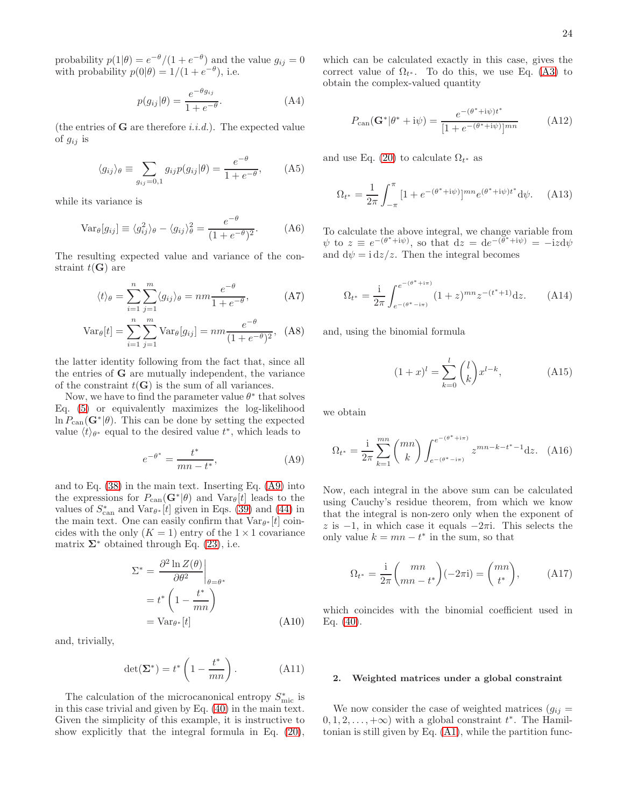probability  $p(1|\theta) = e^{-\theta}/(1 + e^{-\theta})$  and the value  $g_{ij} = 0$ with probability  $p(0|\theta) = 1/(1 + e^{-\theta})$ , i.e.

$$
p(g_{ij}|\theta) = \frac{e^{-\theta g_{ij}}}{1 + e^{-\theta}}.
$$
 (A4)

(the entries of  $G$  are therefore *i.i.d.*). The expected value of  $g_{ij}$  is

<span id="page-23-3"></span>
$$
\langle g_{ij} \rangle_{\theta} \equiv \sum_{g_{ij}=0,1} g_{ij} p(g_{ij}|\theta) = \frac{e^{-\theta}}{1 + e^{-\theta}}, \quad (A5)
$$

while its variance is

<span id="page-23-1"></span>
$$
\text{Var}_{\theta}[g_{ij}] \equiv \langle g_{ij}^2 \rangle_{\theta} - \langle g_{ij} \rangle_{\theta}^2 = \frac{e^{-\theta}}{(1 + e^{-\theta})^2}.
$$
 (A6)

The resulting expected value and variance of the constraint  $t(G)$  are

$$
\langle t \rangle_{\theta} = \sum_{i=1}^{n} \sum_{j=1}^{m} \langle g_{ij} \rangle_{\theta} = nm \frac{e^{-\theta}}{1 + e^{-\theta}}, \quad (A7)
$$

$$
Var_{\theta}[t] = \sum_{i=1}^{n} \sum_{j=1}^{m} Var_{\theta}[g_{ij}] = nm \frac{e^{-\theta}}{(1 + e^{-\theta})^2}, \quad (A8)
$$

the latter identity following from the fact that, since all the entries of G are mutually independent, the variance of the constraint  $t(G)$  is the sum of all variances.

Now, we have to find the parameter value  $\theta^*$  that solves Eq. [\(5\)](#page-4-1) or equivalently maximizes the log-likelihood  $\ln P_{\text{can}}(\mathbf{G}^*|\theta)$ . This can be done by setting the expected value  $\langle t \rangle_{\theta^*}$  equal to the desired value  $t^*$ , which leads to

<span id="page-23-0"></span>
$$
e^{-\theta^*} = \frac{t^*}{mn - t^*},\tag{A9}
$$

and to Eq. [\(38\)](#page-8-1) in the main text. Inserting Eq. [\(A9\)](#page-23-0) into the expressions for  $P_{\text{can}}(\mathbf{G}^*|\theta)$  and  $\text{Var}_{\theta}[t]$  leads to the values of  $S_{\text{can}}^*$  and  $\text{Var}_{\theta^*}[t]$  given in Eqs. [\(39\)](#page-8-5) and [\(44\)](#page-9-3) in the main text. One can easily confirm that  $Var_{\theta^*}[t]$  coincides with the only  $(K = 1)$  entry of the  $1 \times 1$  covariance matrix  $\Sigma^*$  obtained through Eq. [\(23\)](#page-6-5), i.e.

$$
\Sigma^* = \frac{\partial^2 \ln Z(\theta)}{\partial \theta^2} \bigg|_{\theta = \theta^*}
$$

$$
= t^* \left( 1 - \frac{t^*}{mn} \right)
$$

$$
= \text{Var}_{\theta^*}[t] \tag{A10}
$$

and, trivially,

$$
\det(\Sigma^*) = t^* \left( 1 - \frac{t^*}{mn} \right). \tag{A11}
$$

The calculation of the microcanonical entropy  $S_{\rm mic}^*$  is in this case trivial and given by Eq. [\(40\)](#page-8-2) in the main text. Given the simplicity of this example, it is instructive to show explicitly that the integral formula in Eq. [\(20\)](#page-6-3), which can be calculated exactly in this case, gives the correct value of  $\Omega_{t^*}$ . To do this, we use Eq. [\(A3\)](#page-22-21) to obtain the complex-valued quantity

$$
P_{\text{can}}(\mathbf{G}^*|\theta^*+i\psi) = \frac{e^{-(\theta^*+i\psi)t^*}}{[1+e^{-(\theta^*+i\psi)}]^{mn}} \tag{A12}
$$

and use Eq. [\(20\)](#page-6-3) to calculate  $\Omega_{t^*}$  as

$$
\Omega_{t^*} = \frac{1}{2\pi} \int_{-\pi}^{\pi} [1 + e^{-(\theta^* + i\psi)}]^{mn} e^{(\theta^* + i\psi)t^*} d\psi.
$$
 (A13)

To calculate the above integral, we change variable from  $\psi$  to  $z \equiv e^{-(\theta^* + i\psi)}$ , so that  $dz = de^{-(\theta^* + i\psi)} = -izd\psi$ and  $d\psi = i dz/z$ . Then the integral becomes

<span id="page-23-4"></span>
$$
\Omega_{t^*} = \frac{1}{2\pi} \int_{e^{-(\theta^* - i\pi)}}^{e^{-(\theta^* + i\pi)}} (1 + z)^{mn} z^{-(t^* + 1)} dz.
$$
 (A14)

and, using the binomial formula

<span id="page-23-2"></span>
$$
(1+x)^{l} = \sum_{k=0}^{l} {l \choose k} x^{l-k},
$$
 (A15)

we obtain

<span id="page-23-5"></span>
$$
\Omega_{t^*} = \frac{1}{2\pi} \sum_{k=1}^{mn} {mn \choose k} \int_{e^{-(\theta^* - i\pi)}}^{e^{-(\theta^* + i\pi)}} z^{mn - k - t^* - 1} dz. \tag{A16}
$$

Now, each integral in the above sum can be calculated using Cauchy's residue theorem, from which we know that the integral is non-zero only when the exponent of z is  $-1$ , in which case it equals  $-2\pi i$ . This selects the only value  $k = mn - t^*$  in the sum, so that

<span id="page-23-6"></span>
$$
\Omega_{t^*} = \frac{1}{2\pi} \binom{mn}{mn - t^*} (-2\pi i) = \binom{mn}{t^*},\tag{A17}
$$

which coincides with the binomial coefficient used in Eq. [\(40\)](#page-8-2).

### 2. Weighted matrices under a global constraint

We now consider the case of weighted matrices  $(g_{ij} =$  $(0, 1, 2, \ldots, +\infty)$  with a global constraint  $t^*$ . The Hamiltonian is still given by Eq. [\(A1\)](#page-22-22), while the partition func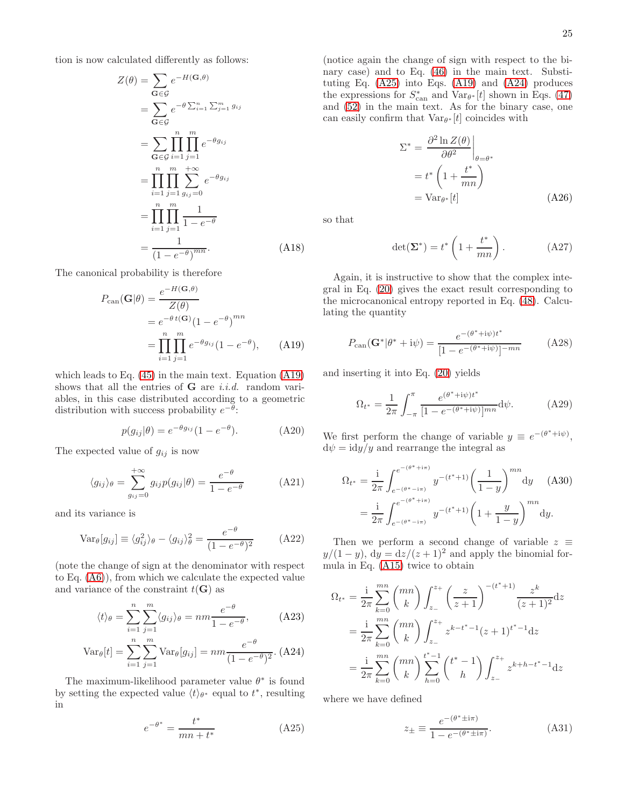tion is now calculated differently as follows:

<span id="page-24-3"></span>
$$
Z(\theta) = \sum_{\mathbf{G} \in \mathcal{G}} e^{-H(\mathbf{G}, \theta)}
$$
  
= 
$$
\sum_{\mathbf{G} \in \mathcal{G}} e^{-\theta \sum_{i=1}^{n} \sum_{j=1}^{m} g_{ij}}
$$
  
= 
$$
\sum_{\mathbf{G} \in \mathcal{G}} \prod_{i=1}^{n} \prod_{j=1}^{m} e^{-\theta g_{ij}}
$$
  
= 
$$
\prod_{i=1}^{n} \prod_{j=1}^{m} \sum_{g_{ij}=0}^{+\infty} e^{-\theta g_{ij}}
$$
  
= 
$$
\prod_{i=1}^{n} \prod_{j=1}^{m} \frac{1}{1 - e^{-\theta}}
$$
  
= 
$$
\frac{1}{(1 - e^{-\theta})^{mn}}.
$$
 (A18)

The canonical probability is therefore

<span id="page-24-0"></span>
$$
P_{\text{can}}(\mathbf{G}|\theta) = \frac{e^{-H(\mathbf{G},\theta)}}{Z(\theta)}
$$
  
=  $e^{-\theta t(\mathbf{G})}(1 - e^{-\theta})^{mn}$   
=  $\prod_{i=1}^{n} \prod_{j=1}^{m} e^{-\theta g_{ij}}(1 - e^{-\theta}),$  (A19)

which leads to Eq. [\(45\)](#page-9-5) in the main text. Equation [\(A19\)](#page-24-0) shows that all the entries of  $G$  are *i.i.d.* random variables, in this case distributed according to a geometric distribution with success probability  $e^{-\theta}$ :

$$
p(g_{ij}|\theta) = e^{-\theta g_{ij}} (1 - e^{-\theta}).
$$
 (A20)

The expected value of  $g_{ij}$  is now

<span id="page-24-4"></span>
$$
\langle g_{ij} \rangle_{\theta} = \sum_{g_{ij}=0}^{+\infty} g_{ij} p(g_{ij} | \theta) = \frac{e^{-\theta}}{1 - e^{-\theta}} \tag{A21}
$$

and its variance is

<span id="page-24-5"></span>
$$
\text{Var}_{\theta}[g_{ij}] \equiv \langle g_{ij}^2 \rangle_{\theta} - \langle g_{ij} \rangle_{\theta}^2 = \frac{e^{-\theta}}{(1 - e^{-\theta})^2} \tag{A22}
$$

(note the change of sign at the denominator with respect to Eq. [\(A6\)](#page-23-1)), from which we calculate the expected value and variance of the constraint  $t(G)$  as

<span id="page-24-2"></span>
$$
\langle t \rangle_{\theta} = \sum_{i=1}^{n} \sum_{j=1}^{m} \langle g_{ij} \rangle_{\theta} = nm \frac{e^{-\theta}}{1 - e^{-\theta}}, \quad (A23)
$$

$$
Var_{\theta}[t] = \sum_{i=1}^{n} \sum_{j=1}^{m} Var_{\theta}[g_{ij}] = nm \frac{e^{-\theta}}{(1 - e^{-\theta})^2}.
$$
 (A24)

The maximum-likelihood parameter value  $\theta^*$  is found by setting the expected value  $\langle t \rangle_{\theta^*}$  equal to  $t^*$ , resulting in

<span id="page-24-1"></span>
$$
e^{-\theta^*} = \frac{t^*}{mn + t^*}
$$
 (A25)

(notice again the change of sign with respect to the binary case) and to Eq. [\(46\)](#page-9-6) in the main text. Substituting Eq. [\(A25\)](#page-24-1) into Eqs. [\(A19\)](#page-24-0) and [\(A24\)](#page-24-2) produces the expressions for  $S_{\text{can}}^*$  and  $\text{Var}_{\theta^*}[t]$  shown in Eqs. [\(47\)](#page-9-4) and [\(52\)](#page-10-1) in the main text. As for the binary case, one can easily confirm that  $Var_{\theta^*}[t]$  coincides with

$$
\Sigma^* = \frac{\partial^2 \ln Z(\theta)}{\partial \theta^2} \bigg|_{\theta = \theta^*}
$$
  
=  $t^* \left( 1 + \frac{t^*}{mn} \right)$   
=  $\text{Var}_{\theta^*}[t]$  (A26)

so that

$$
\det(\Sigma^*) = t^* \left( 1 + \frac{t^*}{mn} \right). \tag{A27}
$$

Again, it is instructive to show that the complex integral in Eq. [\(20\)](#page-6-3) gives the exact result corresponding to the microcanonical entropy reported in Eq. [\(48\)](#page-9-0). Calculating the quantity

$$
P_{\text{can}}(\mathbf{G}^*|\theta^*+i\psi) = \frac{e^{-(\theta^*+i\psi)t^*}}{[1-e^{-(\theta^*+i\psi)}]^{-mn}} \tag{A28}
$$

and inserting it into Eq. [\(20\)](#page-6-3) yields

$$
\Omega_{t^*} = \frac{1}{2\pi} \int_{-\pi}^{\pi} \frac{e^{(\theta^* + i\psi)t^*}}{[1 - e^{-(\theta^* + i\psi)}]^{mn}} d\psi.
$$
 (A29)

We first perform the change of variable  $y \equiv e^{-(\theta^* + i\psi)}$ ,  $d\psi = i dy/y$  and rearrange the integral as

$$
\Omega_{t^{*}} = \frac{\mathrm{i}}{2\pi} \int_{e^{-(\theta^{*}+i\pi)}}^{e^{-(\theta^{*}+i\pi)}} y^{-(t^{*}+1)} \left(\frac{1}{1-y}\right)^{mn} \mathrm{d}y \quad \text{(A30)}
$$

$$
= \frac{\mathrm{i}}{2\pi} \int_{e^{-(\theta^{*}-i\pi)}}^{e^{-(\theta^{*}+i\pi)}} y^{-(t^{*}+1)} \left(1+\frac{y}{1-y}\right)^{mn} \mathrm{d}y.
$$

Then we perform a second change of variable  $z \equiv$  $y/(1-y)$ ,  $dy = dz/(z+1)^2$  and apply the binomial formula in Eq. [\(A15\)](#page-23-2) twice to obtain

$$
\Omega_{t^{*}} = \frac{\mathrm{i}}{2\pi} \sum_{k=0}^{mn} {mn \choose k} \int_{z_{-}}^{z_{+}} \left(\frac{z}{z+1}\right)^{-(t^{*}+1)} \frac{z^{k}}{(z+1)^{2}} \mathrm{d}z
$$
\n
$$
= \frac{\mathrm{i}}{2\pi} \sum_{k=0}^{mn} {mn \choose k} \int_{z_{-}}^{z_{+}} z^{k-t^{*}-1} (z+1)^{t^{*}-1} \mathrm{d}z
$$
\n
$$
= \frac{\mathrm{i}}{2\pi} \sum_{k=0}^{mn} {mn \choose k} \sum_{h=0}^{t^{*}-1} {t^{*}-1 \choose h} \int_{z_{-}}^{z_{+}} z^{k+h-t^{*}-1} \mathrm{d}z
$$

where we have defined

$$
z_{\pm} \equiv \frac{e^{-(\theta^* \pm i\pi)}}{1 - e^{-(\theta^* \pm i\pi)}}.
$$
 (A31)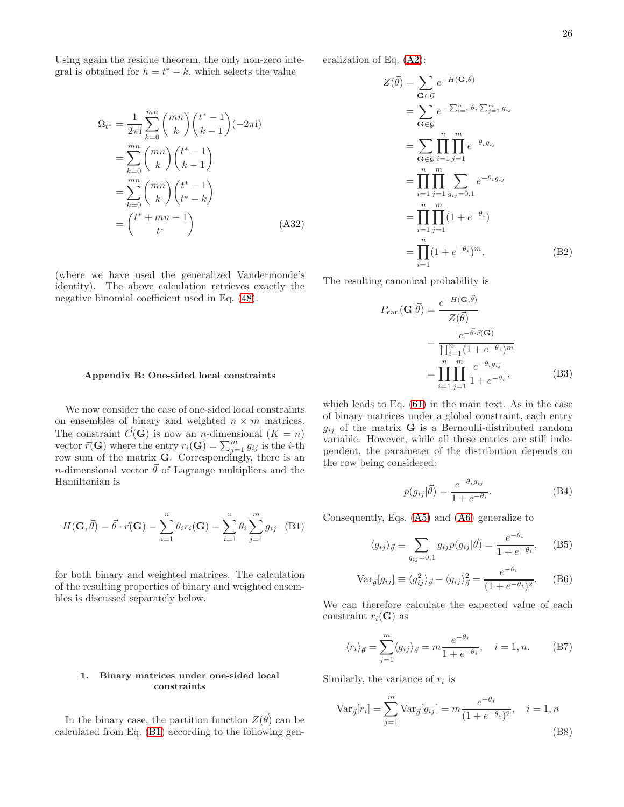Using again the residue theorem, the only non-zero integral is obtained for  $h = t^* - k$ , which selects the value

$$
\Omega_{t^*} = \frac{1}{2\pi i} \sum_{k=0}^{mn} {mn \choose k} {t^* - 1 \choose k - 1} (-2\pi i)
$$

$$
= \sum_{k=0}^{mn} {mn \choose k} {t^* - 1 \choose k - 1}
$$

$$
= \sum_{k=0}^{mn} {mn \choose k} {t^* - 1 \choose t^* - k}
$$

$$
= {t^* + mn - 1 \choose t^*}
$$
(A32)

(where we have used the generalized Vandermonde's identity). The above calculation retrieves exactly the negative binomial coefficient used in Eq. [\(48\)](#page-9-0).

# eralization of Eq. [\(A2\)](#page-22-23):

<span id="page-25-4"></span>
$$
Z(\vec{\theta}) = \sum_{\mathbf{G} \in \mathcal{G}} e^{-H(\mathbf{G}, \vec{\theta})}
$$
  
\n
$$
= \sum_{\mathbf{G} \in \mathcal{G}} e^{-\sum_{i=1}^{n} \theta_i \sum_{j=1}^{m} g_{ij}}
$$
  
\n
$$
= \sum_{\mathbf{G} \in \mathcal{G}} \prod_{i=1}^{n} \prod_{j=1}^{m} e^{-\theta_i g_{ij}}
$$
  
\n
$$
= \prod_{i=1}^{n} \prod_{j=1}^{m} \sum_{g_{ij}=0,1} e^{-\theta_i g_{ij}}
$$
  
\n
$$
= \prod_{i=1}^{n} \prod_{j=1}^{m} (1 + e^{-\theta_i})
$$
  
\n
$$
= \prod_{i=1}^{n} (1 + e^{-\theta_i})^m.
$$
 (B2)

The resulting canonical probability is

<span id="page-25-3"></span>
$$
P_{\text{can}}(\mathbf{G}|\vec{\theta}) = \frac{e^{-H(\mathbf{G},\vec{\theta})}}{Z(\vec{\theta})}
$$

$$
= \frac{e^{-\vec{\theta}\cdot\vec{r}}(\mathbf{G})}{\prod_{i=1}^{n} (1 + e^{-\theta_i})^m}
$$

$$
= \prod_{i=1}^{n} \prod_{j=1}^{m} \frac{e^{-\theta_i g_{ij}}}{1 + e^{-\theta_i}},
$$
(B3)

## Appendix B: One-sided local constraints

We now consider the case of one-sided local constraints on ensembles of binary and weighted  $n \times m$  matrices. The constraint  $\vec{C}(\mathbf{G})$  is now an *n*-dimensional  $(K = n)$ vector  $\vec{r}(\mathbf{G})$  where the entry  $r_i(\mathbf{G}) = \sum_{j=1}^m g_{ij}$  is the *i*-th row sum of the matrix  $\mathbf{G}$ . Correspondingly, there is an n-dimensional vector  $\vec{\theta}$  of Lagrange multipliers and the Hamiltonian is

<span id="page-25-0"></span>
$$
H(\mathbf{G}, \vec{\theta}) = \vec{\theta} \cdot \vec{r}(\mathbf{G}) = \sum_{i=1}^{n} \theta_i r_i(\mathbf{G}) = \sum_{i=1}^{n} \theta_i \sum_{j=1}^{m} g_{ij} \quad (B1)
$$

for both binary and weighted matrices. The calculation of the resulting properties of binary and weighted ensembles is discussed separately below.

## 1. Binary matrices under one-sided local constraints

In the binary case, the partition function  $Z(\vec{\theta})$  can be calculated from Eq. [\(B1\)](#page-25-0) according to the following gen-

which leads to Eq. [\(61\)](#page-11-1) in the main text. As in the case of binary matrices under a global constraint, each entry  $g_{ij}$  of the matrix **G** is a Bernoulli-distributed random variable. However, while all these entries are still independent, the parameter of the distribution depends on the row being considered:

$$
p(g_{ij}|\vec{\theta}) = \frac{e^{-\theta_i g_{ij}}}{1 + e^{-\theta_i}}.
$$
 (B4)

Consequently, Eqs. [\(A5\)](#page-23-3) and [\(A6\)](#page-23-1) generalize to

$$
\langle g_{ij} \rangle_{\vec{\theta}} \equiv \sum_{g_{ij}=0,1} g_{ij} p(g_{ij} | \vec{\theta}) = \frac{e^{-\theta_i}}{1 + e^{-\theta_i}}, \quad (B5)
$$

$$
\text{Var}_{\vec{\theta}}[g_{ij}] \equiv \langle g_{ij}^2 \rangle_{\vec{\theta}} - \langle g_{ij} \rangle_{\vec{\theta}}^2 = \frac{e^{-\theta_i}}{(1 + e^{-\theta_i})^2}.
$$
 (B6)

We can therefore calculate the expected value of each constraint  $r_i(G)$  as

<span id="page-25-2"></span>
$$
\langle r_i \rangle_{\vec{\theta}} = \sum_{j=1}^{m} \langle g_{ij} \rangle_{\vec{\theta}} = m \frac{e^{-\theta_i}}{1 + e^{-\theta_i}}, \quad i = 1, n. \tag{B7}
$$

Similarly, the variance of  $r_i$  is

<span id="page-25-1"></span>
$$
\text{Var}_{\vec{\theta}}[r_i] = \sum_{j=1}^{m} \text{Var}_{\vec{\theta}}[g_{ij}] = m \frac{e^{-\theta_i}}{(1 + e^{-\theta_i})^2}, \quad i = 1, n
$$
\n(B8)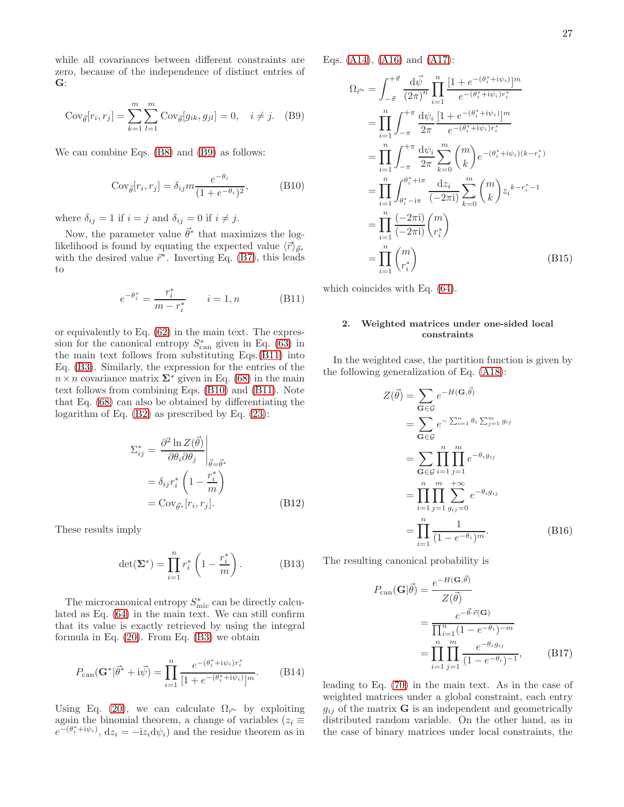while all covariances between different constraints are zero, because of the independence of distinct entries of G:

<span id="page-26-0"></span>
$$
Cov_{\vec{\theta}}[r_i, r_j] = \sum_{k=1}^{m} \sum_{l=1}^{m} Cov_{\vec{\theta}}[g_{ik}, g_{jl}] = 0, \quad i \neq j. \quad (B9)
$$

We can combine Eqs. [\(B8\)](#page-25-1) and [\(B9\)](#page-26-0) as follows:

<span id="page-26-2"></span>
$$
Cov_{\vec{\theta}}[r_i, r_j] = \delta_{ij} m \frac{e^{-\theta_i}}{(1 + e^{-\theta_i})^2},
$$
 (B10)

where  $\delta_{ij} = 1$  if  $i = j$  and  $\delta_{ij} = 0$  if  $i \neq j$ .

Now, the parameter value  $\vec{\theta}^*$  that maximizes the loglikelihood is found by equating the expected value  $\langle \vec{r} \rangle_{\vec{\theta}^*}$ with the desired value  $\vec{r}^*$ . Inverting Eq. [\(B7\)](#page-25-2), this leads to

<span id="page-26-1"></span>
$$
e^{-\theta_i^*} = \frac{r_i^*}{m - r_i^*} \qquad i = 1, n \tag{B11}
$$

or equivalently to Eq. [\(62\)](#page-11-0) in the main text. The expression for the canonical entropy  $S_{\text{can}}^*$  given in Eq. [\(63\)](#page-11-2) in the main text follows from substituting Eqs.[\(B11\)](#page-26-1) into Eq. [\(B3\)](#page-25-3). Similarly, the expression for the entries of the  $n \times n$  covariance matrix  $\Sigma^*$  given in Eq. [\(68\)](#page-11-5) in the main text follows from combining Eqs. [\(B10\)](#page-26-2) and [\(B11\)](#page-26-1). Note that Eq. [\(68\)](#page-11-5) can also be obtained by differentiating the logarithm of Eq. [\(B2\)](#page-25-4) as prescribed by Eq. [\(23\)](#page-6-5):

$$
\Sigma_{ij}^{*} = \frac{\partial^2 \ln Z(\vec{\theta})}{\partial \theta_i \partial \theta_j} \Big|_{\vec{\theta} = \vec{\theta}^{*}}
$$
  
=  $\delta_{ij} r_i^{*} \left( 1 - \frac{r_i^{*}}{m} \right)$   
=  $\text{Cov}_{\vec{\theta}^{*}} [r_i, r_j].$  (B12)

These results imply

$$
\det(\mathbf{\Sigma}^*) = \prod_{i=1}^n r_i^* \left(1 - \frac{r_i^*}{m}\right). \tag{B13}
$$

The microcanonical entropy  $S_{\text{mic}}^{*}$  can be directly calculated as Eq. [\(64\)](#page-11-3) in the main text. We can still confirm that its value is exactly retrieved by using the integral formula in Eq. [\(20\)](#page-6-3). From Eq. [\(B3\)](#page-25-3) we obtain

$$
P_{\text{can}}(\mathbf{G}^*|\vec{\theta}^*+{\rm i}\vec{\psi}) = \prod_{i=1}^n \frac{e^{-(\theta_i^*+{\rm i}\psi_i)r_i^*}}{[1+e^{-(\theta_i^*+{\rm i}\psi_i)}]^m}.
$$
 (B14)

Using Eq. [\(20\)](#page-6-3), we can calculate  $\Omega_{\vec{r}}$  by exploiting again the binomial theorem, a change of variables ( $z_i \equiv$  $e^{-(\theta_i^*+i\psi_i)}, dz_i = -iz_i d\psi_i$  and the residue theorem as in

Eqs. [\(A14\)](#page-23-4), [\(A16\)](#page-23-5) and [\(A17\)](#page-23-6):

$$
\Omega_{\vec{r}^*} = \int_{-\vec{\pi}}^{+\vec{\pi}} \frac{d\vec{\psi}}{(2\pi)^n} \prod_{i=1}^n \frac{[1 + e^{-(\theta_i^* + i\psi_i)}]^m}{e^{-(\theta_i^* + i\psi_i)r_i^*}}
$$
\n
$$
= \prod_{i=1}^n \int_{-\pi}^{+\pi} \frac{d\psi_i}{2\pi} \frac{[1 + e^{-(\theta_i^* + i\psi_i)}]^m}{e^{-(\theta_i^* + i\psi_i)r_i^*}}
$$
\n
$$
= \prod_{i=1}^n \int_{-\pi}^{+\pi} \frac{d\psi_i}{2\pi} \sum_{k=0}^m {m \choose k} e^{-(\theta_i^* + i\psi_i)(k - r_i^*)}
$$
\n
$$
= \prod_{i=1}^n \int_{\theta_i^* - i\pi}^{\theta_i^* + i\pi} \frac{dz_i}{(-2\pi i)} \sum_{k=0}^m {m \choose k} z_i^{k - r_i^* - 1}
$$
\n
$$
= \prod_{i=1}^n \frac{(-2\pi i)}{(-2\pi i)} {m \choose r_i^*}
$$
\n
$$
= \prod_{i=1}^n {m \choose r_i^*}
$$
\n(B15)

which coincides with Eq. [\(64\)](#page-11-3).

## 2. Weighted matrices under one-sided local constraints

In the weighted case, the partition function is given by the following generalization of Eq. [\(A18\)](#page-24-3):

<span id="page-26-4"></span>
$$
Z(\vec{\theta}) = \sum_{\mathbf{G} \in \mathcal{G}} e^{-H(\mathbf{G}, \vec{\theta})}
$$
  
= 
$$
\sum_{\mathbf{G} \in \mathcal{G}} e^{-\sum_{i=1}^{n} \theta_i \sum_{j=1}^{m} g_{ij}}
$$
  
= 
$$
\sum_{\mathbf{G} \in \mathcal{G}} \prod_{i=1}^{n} \prod_{j=1}^{m} e^{-\theta_i g_{ij}}
$$
  
= 
$$
\prod_{i=1}^{n} \prod_{j=1}^{m} \sum_{g_{ij}=0}^{+\infty} e^{-\theta_i g_{ij}}
$$
  
= 
$$
\prod_{i=1}^{n} \frac{1}{(1 - e^{-\theta_i})^m}.
$$
 (B16)

The resulting canonical probability is

<span id="page-26-3"></span>
$$
P_{\text{can}}(\mathbf{G}|\vec{\theta}) = \frac{e^{-H(\mathbf{G},\vec{\theta})}}{Z(\vec{\theta})}
$$

$$
= \frac{e^{-\vec{\theta}\cdot\vec{r}(\mathbf{G})}}{\prod_{i=1}^{n} (1 - e^{-\theta_i})^{-m}}
$$

$$
= \prod_{i=1}^{n} \prod_{j=1}^{m} \frac{e^{-\theta_i g_{ij}}}{(1 - e^{-\theta_i})^{-1}}, \qquad (B17)
$$

leading to Eq. [\(70\)](#page-12-1) in the main text. As in the case of weighted matrices under a global constraint, each entry  $g_{ij}$  of the matrix **G** is an independent and geometrically distributed random variable. On the other hand, as in the case of binary matrices under local constraints, the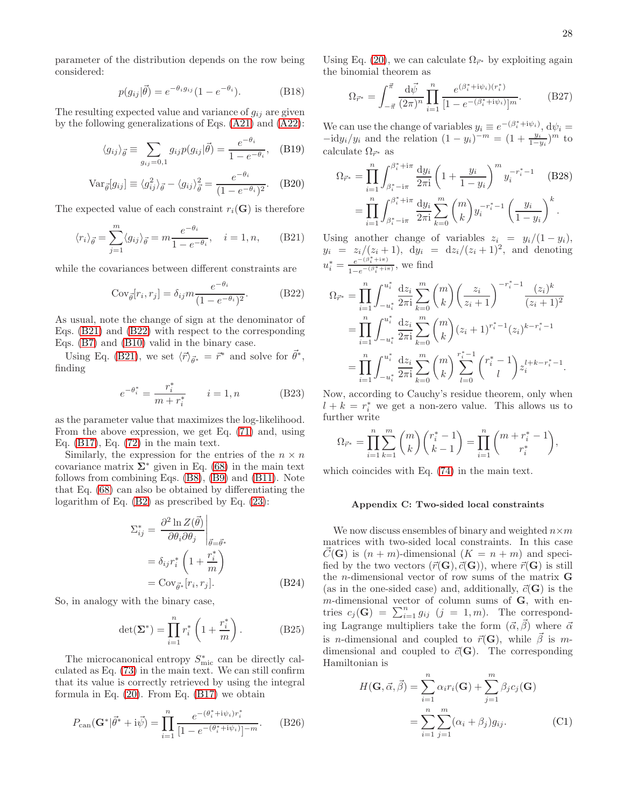parameter of the distribution depends on the row being considered:

$$
p(g_{ij}|\vec{\theta}) = e^{-\theta_i g_{ij}} (1 - e^{-\theta_i}).
$$
 (B18)

The resulting expected value and variance of  $g_{ij}$  are given by the following generalizations of Eqs. [\(A21\)](#page-24-4) and [\(A22\)](#page-24-5):

$$
\langle g_{ij} \rangle_{\vec{\theta}} \equiv \sum_{g_{ij}=0,1} g_{ij} p(g_{ij} | \vec{\theta}) = \frac{e^{-\theta_i}}{1 - e^{-\theta_i}}, \quad \text{(B19)}
$$

$$
\text{Var}_{\vec{\theta}}[g_{ij}] \equiv \langle g_{ij}^2 \rangle_{\vec{\theta}} - \langle g_{ij} \rangle_{\vec{\theta}}^2 = \frac{e^{-\theta_i}}{(1 - e^{-\theta_i})^2}.
$$
 (B20)

The expected value of each constraint  $r_i(G)$  is therefore

<span id="page-27-0"></span>
$$
\langle r_i \rangle_{\vec{\theta}} = \sum_{j=1}^{m} \langle g_{ij} \rangle_{\vec{\theta}} = m \frac{e^{-\theta_i}}{1 - e^{-\theta_i}}, \quad i = 1, n,
$$
 (B21)

while the covariances between different constraints are

<span id="page-27-1"></span>
$$
Cov_{\vec{\theta}}[r_i, r_j] = \delta_{ij} m \frac{e^{-\theta_i}}{(1 - e^{-\theta_i})^2}.
$$
 (B22)

As usual, note the change of sign at the denominator of Eqs. [\(B21\)](#page-27-0) and [\(B22\)](#page-27-1) with respect to the corresponding Eqs. [\(B7\)](#page-25-2) and [\(B10\)](#page-26-2) valid in the binary case.

Using Eq. [\(B21\)](#page-27-0), we set  $\langle \vec{r} \rangle_{\vec{\theta}^*} = \vec{r}^*$  and solve for  $\vec{\theta}^*$ , finding

$$
e^{-\theta_i^*} = \frac{r_i^*}{m + r_i^*} \qquad i = 1, n \tag{B23}
$$

as the parameter value that maximizes the log-likelihood. From the above expression, we get Eq. [\(71\)](#page-12-0) and, using Eq.  $(B17)$ , Eq.  $(72)$  in the main text.

Similarly, the expression for the entries of the  $n \times n$ covariance matrix  $\Sigma^*$  given in Eq. [\(68\)](#page-11-5) in the main text follows from combining Eqs. [\(B8\)](#page-25-1), [\(B9\)](#page-26-0) and [\(B11\)](#page-26-1). Note that Eq. [\(68\)](#page-11-5) can also be obtained by differentiating the logarithm of Eq. [\(B2\)](#page-25-4) as prescribed by Eq. [\(23\)](#page-6-5):

$$
\Sigma_{ij}^{*} = \left. \frac{\partial^2 \ln Z(\vec{\theta})}{\partial \theta_i \partial \theta_j} \right|_{\vec{\theta} = \vec{\theta}^*}
$$

$$
= \delta_{ij} r_i^* \left( 1 + \frac{r_i^*}{m} \right)
$$

$$
= \text{Cov}_{\vec{\theta}^*} [r_i, r_j].
$$
(B24)

So, in analogy with the binary case,

$$
\det(\mathbf{\Sigma}^*) = \prod_{i=1}^n r_i^* \left( 1 + \frac{r_i^*}{m} \right). \tag{B25}
$$

The microcanonical entropy  $S_{\text{mic}}^*$  can be directly calculated as Eq. [\(73\)](#page-12-3) in the main text. We can still confirm that its value is correctly retrieved by using the integral formula in Eq. [\(20\)](#page-6-3). From Eq. [\(B17\)](#page-26-3) we obtain

$$
P_{\text{can}}(\mathbf{G}^*|\vec{\theta}^*+i\vec{\psi}) = \prod_{i=1}^n \frac{e^{-(\theta_i^*+i\psi_i)r_i^*}}{[1 - e^{-(\theta_i^*+i\psi_i)}]^{-m}}.
$$
 (B26)

Using Eq. [\(20\)](#page-6-3), we can calculate  $\Omega_{\vec{r}^*}$  by exploiting again the binomial theorem as

$$
\Omega_{\vec{r}^*} = \int_{-\vec{\pi}}^{\vec{\pi}} \frac{\mathrm{d}\vec{\psi}}{(2\pi)^n} \prod_{i=1}^n \frac{e^{(\beta_i^* + i\psi_i)(r_i^*)}}{[1 - e^{-(\beta_i^* + i\psi_i)}]^m}.
$$
(B27)

We can use the change of variables  $y_i \equiv e^{-(\beta_i^* + i\psi_i)}, \, d\psi_i =$  $-\text{id}y_i/y_i$  and the relation  $(1 - y_i)^{-m} = (1 + \frac{y_i}{1 - y_i})^m$  to calculate  $\Omega_{\vec{r}^*}$  as

$$
\Omega_{\vec{r}^*} = \prod_{i=1}^n \int_{\beta_i^* - i\pi}^{\beta_i^* + i\pi} \frac{\mathrm{d}y_i}{2\pi i} \left( 1 + \frac{y_i}{1 - y_i} \right)^m y_i^{-r_i^* - 1} \quad \text{(B28)}
$$

$$
= \prod_{i=1}^n \int_{\beta_i^* - i\pi}^{\beta_i^* + i\pi} \frac{\mathrm{d}y_i}{2\pi i} \sum_{k=0}^m {m \choose k} y_i^{-r_i^* - 1} \left( \frac{y_i}{1 - y_i} \right)^k.
$$

Using another change of variables  $z_i = y_i/(1 - y_i)$ ,  $y_i = z_i/(z_i+1)$ ,  $dy_i = dz_i/(z_i+1)^2$ , and denoting  $u_i^* = \frac{e^{-(\beta_i^* + i\pi)}}{1 - e^{-(\beta_i^* + i\pi)}}$  $\frac{e^{-(\beta_i^*+i\pi)}}{1-e^{-(\beta_i^*+i\pi)}},$  we find

$$
\Omega_{\vec{r}^*} = \prod_{i=1}^n \int_{-u_i^*}^{u_i^*} \frac{dz_i}{2\pi i} \sum_{k=0}^m \binom{m}{k} \left(\frac{z_i}{z_i+1}\right)^{-r_i^*-1} \frac{(z_i)^k}{(z_i+1)^2}
$$
\n
$$
= \prod_{i=1}^n \int_{-u_i^*}^{u_i^*} \frac{dz_i}{2\pi i} \sum_{k=0}^m \binom{m}{k} (z_i+1)^{r_i^*-1} (z_i)^{k-r_i^*-1}
$$
\n
$$
= \prod_{i=1}^n \int_{-u_i^*}^{u_i^*} \frac{dz_i}{2\pi i} \sum_{k=0}^m \binom{m}{k} \sum_{l=0}^{r_i^*-1} \binom{r_i^*-1}{l} z_i^{l+k-r_i^*-1}.
$$

Now, according to Cauchy's residue theorem, only when  $l + k = r_i^*$  we get a non-zero value. This allows us to further write

$$
\Omega_{\vec{r}^*} = \prod_{i=1}^n \sum_{k=1}^m \binom{m}{k} \binom{r_i^* - 1}{k - 1} = \prod_{i=1}^n \binom{m + r_i^* - 1}{r_i^*},
$$

which coincides with Eq. [\(74\)](#page-12-9) in the main text.

### Appendix C: Two-sided local constraints

We now discuss ensembles of binary and weighted  $n \times m$ matrices with two-sided local constraints. In this case  $C(\mathbf{G})$  is  $(n + m)$ -dimensional  $(K = n + m)$  and specified by the two vectors  $(\vec{r}(\mathbf{G}), \vec{c}(\mathbf{G}))$ , where  $\vec{r}(\mathbf{G})$  is still the *n*-dimensional vector of row sums of the matrix  $$ (as in the one-sided case) and, additionally,  $\vec{c}(\mathbf{G})$  is the  $m$ -dimensional vector of column sums of  $G$ , with entries  $c_j(\mathbf{G}) = \sum_{i=1}^n g_{ij}$   $(j = 1, m)$ . The corresponding Lagrange multipliers take the form  $(\vec{\alpha}, \vec{\beta})$  where  $\vec{\alpha}$ is *n*-dimensional and coupled to  $\vec{r}(\mathbf{G})$ , while  $\vec{\beta}$  is mdimensional and coupled to  $\vec{c}(\mathbf{G})$ . The corresponding Hamiltonian is

<span id="page-27-2"></span>
$$
H(\mathbf{G}, \vec{\alpha}, \vec{\beta}) = \sum_{i=1}^{n} \alpha_i r_i(\mathbf{G}) + \sum_{j=1}^{m} \beta_j c_j(\mathbf{G})
$$

$$
= \sum_{i=1}^{n} \sum_{j=1}^{m} (\alpha_i + \beta_j) g_{ij}.
$$
(C1)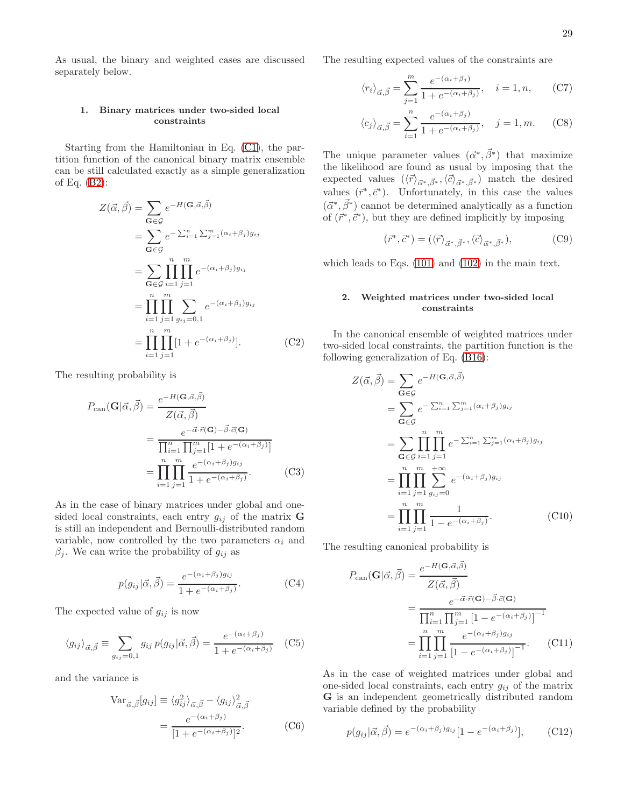As usual, the binary and weighted cases are discussed separately below.

## 1. Binary matrices under two-sided local constraints

Starting from the Hamiltonian in Eq. [\(C1\)](#page-27-2), the partition function of the canonical binary matrix ensemble can be still calculated exactly as a simple generalization of Eq. [\(B2\)](#page-25-4):

<span id="page-28-0"></span>
$$
Z(\vec{\alpha}, \vec{\beta}) = \sum_{\mathbf{G} \in \mathcal{G}} e^{-H(\mathbf{G}, \vec{\alpha}, \vec{\beta})}
$$
  
\n
$$
= \sum_{\mathbf{G} \in \mathcal{G}} e^{-\sum_{i=1}^{n} \sum_{j=1}^{m} (\alpha_i + \beta_j) g_{ij}}
$$
  
\n
$$
= \sum_{\mathbf{G} \in \mathcal{G}} \prod_{i=1}^{n} \prod_{j=1}^{m} e^{-(\alpha_i + \beta_j) g_{ij}}
$$
  
\n
$$
= \prod_{i=1}^{n} \prod_{j=1}^{m} \sum_{g_{ij}=0,1} e^{-(\alpha_i + \beta_j) g_{ij}}
$$
  
\n
$$
= \prod_{i=1}^{n} \prod_{j=1}^{m} [1 + e^{-(\alpha_i + \beta_j)}].
$$
 (C2)

The resulting probability is

$$
P_{\text{can}}(\mathbf{G}|\vec{\alpha},\vec{\beta}) = \frac{e^{-H(\mathbf{G},\vec{\alpha},\vec{\beta})}}{Z(\vec{\alpha},\vec{\beta})}
$$

$$
= \frac{e^{-\vec{\alpha}\cdot\vec{r}}(\mathbf{G}) - \vec{\beta}\cdot\vec{c}(\mathbf{G})}{\prod_{i=1}^{n} \prod_{j=1}^{m} [1 + e^{-(\alpha_i + \beta_j)}]}
$$

$$
= \prod_{i=1}^{n} \prod_{j=1}^{m} \frac{e^{-(\alpha_i + \beta_j)g_{ij}}}{1 + e^{-(\alpha_i + \beta_j)}}.
$$
(C3)

As in the case of binary matrices under global and onesided local constraints, each entry  $g_{ij}$  of the matrix **G** is still an independent and Bernoulli-distributed random variable, now controlled by the two parameters  $\alpha_i$  and  $\beta_j$ . We can write the probability of  $g_{ij}$  as

$$
p(g_{ij}|\vec{\alpha}, \vec{\beta}) = \frac{e^{-(\alpha_i + \beta_j)g_{ij}}}{1 + e^{-(\alpha_i + \beta_j)}}.
$$
 (C4)

The expected value of  $g_{ij}$  is now

$$
\langle g_{ij} \rangle_{\vec{\alpha}, \vec{\beta}} \equiv \sum_{g_{ij}=0,1} g_{ij} \, p(g_{ij} | \vec{\alpha}, \vec{\beta}) = \frac{e^{-(\alpha_i + \beta_j)}}{1 + e^{-(\alpha_i + \beta_j)}} \quad \text{(C5)}
$$

and the variance is

<span id="page-28-2"></span>
$$
\operatorname{Var}_{\vec{\alpha}, \vec{\beta}}[g_{ij}] \equiv \langle g_{ij}^2 \rangle_{\vec{\alpha}, \vec{\beta}} - \langle g_{ij} \rangle_{\vec{\alpha}, \vec{\beta}}^2
$$

$$
= \frac{e^{-(\alpha_i + \beta_j)}}{[1 + e^{-(\alpha_i + \beta_j)}]^2}.
$$
(C6)

The resulting expected values of the constraints are

$$
\langle r_i \rangle_{\vec{\alpha}, \vec{\beta}} = \sum_{j=1}^{m} \frac{e^{-(\alpha_i + \beta_j)}}{1 + e^{-(\alpha_i + \beta_j)}}, \quad i = 1, n,
$$
 (C7)

$$
\langle c_j \rangle_{\vec{\alpha}, \vec{\beta}} = \sum_{i=1}^n \frac{e^{-(\alpha_i + \beta_j)}}{1 + e^{-(\alpha_i + \beta_j)}}, \quad j = 1, m. \tag{C8}
$$

The unique parameter values  $(\vec{\alpha}^*, \vec{\beta}^*)$  that maximize the likelihood are found as usual by imposing that the expected values  $(\langle \vec{r} \rangle_{\vec{\alpha}^*, \vec{\beta}^*}, \langle \vec{c} \rangle_{\vec{\alpha}^*, \vec{\beta}^*})$  match the desired values  $(\vec{r}^*, \vec{c}^*)$ . Unfortunately, in this case the values  $(\vec{\alpha}^*, \vec{\beta}^*)$  cannot be determined analytically as a function of  $(\vec{r}^*, \vec{c}^*)$ , but they are defined implicitly by imposing

$$
(\vec{r}^*, \vec{c}^*) = (\langle \vec{r} \rangle_{\vec{\alpha}^*, \vec{\beta}^*}, \langle \vec{c} \rangle_{\vec{\alpha}^*, \vec{\beta}^*}), \tag{C9}
$$

which leads to Eqs. [\(101\)](#page-15-1) and [\(102\)](#page-15-1) in the main text.

## 2. Weighted matrices under two-sided local constraints

In the canonical ensemble of weighted matrices under two-sided local constraints, the partition function is the following generalization of Eq. [\(B16\)](#page-26-4):

<span id="page-28-1"></span>
$$
Z(\vec{\alpha}, \vec{\beta}) = \sum_{\mathbf{G} \in \mathcal{G}} e^{-H(\mathbf{G}, \vec{\alpha}, \vec{\beta})}
$$
  
\n
$$
= \sum_{\mathbf{G} \in \mathcal{G}} e^{-\sum_{i=1}^{n} \sum_{j=1}^{m} (\alpha_i + \beta_j) g_{ij}}
$$
  
\n
$$
= \sum_{\mathbf{G} \in \mathcal{G}} \prod_{i=1}^{n} \prod_{j=1}^{m} e^{-\sum_{i=1}^{n} \sum_{j=1}^{m} (\alpha_i + \beta_j) g_{ij}}
$$
  
\n
$$
= \prod_{i=1}^{n} \prod_{j=1}^{m} \sum_{g_{ij}=0}^{+\infty} e^{-(\alpha_i + \beta_j) g_{ij}}
$$
  
\n
$$
= \prod_{i=1}^{n} \prod_{j=1}^{m} \frac{1}{1 - e^{-(\alpha_i + \beta_j)}}.
$$
 (C10)

The resulting canonical probability is

$$
P_{\text{can}}(\mathbf{G}|\vec{\alpha}, \vec{\beta}) = \frac{e^{-H(\mathbf{G}, \vec{\alpha}, \vec{\beta})}}{Z(\vec{\alpha}, \vec{\beta})}
$$

$$
= \frac{e^{-\vec{\alpha} \cdot \vec{r}(\mathbf{G}) - \vec{\beta} \cdot \vec{c}(\mathbf{G})}}{\prod_{i=1}^{n} \prod_{j=1}^{m} \left[1 - e^{-(\alpha_i + \beta_j)}\right]^{-1}}
$$

$$
= \prod_{i=1}^{n} \prod_{j=1}^{m} \frac{e^{-(\alpha_i + \beta_j)g_{ij}}}{\left[1 - e^{-(\alpha_i + \beta_j)}\right]^{-1}}.
$$
(C11)

As in the case of weighted matrices under global and one-sided local constraints, each entry  $g_{ij}$  of the matrix G is an independent geometrically distributed random variable defined by the probability

$$
p(g_{ij}|\vec{\alpha}, \vec{\beta}) = e^{-(\alpha_i + \beta_j)g_{ij}}[1 - e^{-(\alpha_i + \beta_j)}], \quad (C12)
$$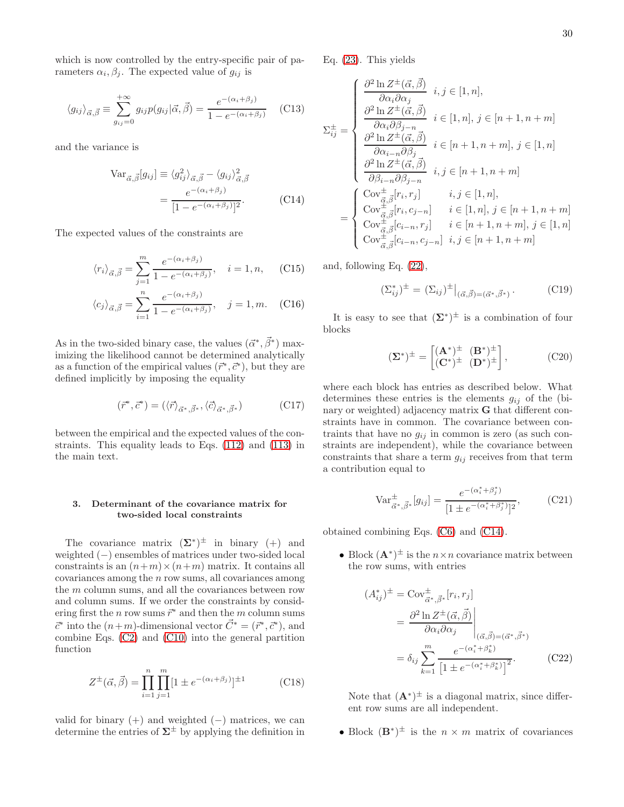which is now controlled by the entry-specific pair of parameters  $\alpha_i, \beta_j$ . The expected value of  $g_{ij}$  is

$$
\langle g_{ij} \rangle_{\vec{\alpha}, \vec{\beta}} \equiv \sum_{g_{ij}=0}^{+\infty} g_{ij} p(g_{ij} | \vec{\alpha}, \vec{\beta}) = \frac{e^{-(\alpha_i + \beta_j)}}{1 - e^{-(\alpha_i + \beta_j)}} \quad (C13)
$$

and the variance is

<span id="page-29-0"></span>
$$
\operatorname{Var}_{\vec{\alpha}, \vec{\beta}}[g_{ij}] \equiv \langle g_{ij}^2 \rangle_{\vec{\alpha}, \vec{\beta}} - \langle g_{ij} \rangle_{\vec{\alpha}, \vec{\beta}}^2
$$

$$
= \frac{e^{-(\alpha_i + \beta_j)}}{[1 - e^{-(\alpha_i + \beta_j)}]^2}.
$$
(C14)

The expected values of the constraints are

$$
\langle r_i \rangle_{\vec{\alpha}, \vec{\beta}} = \sum_{j=1}^{m} \frac{e^{-(\alpha_i + \beta_j)}}{1 - e^{-(\alpha_i + \beta_j)}}, \quad i = 1, n,
$$
 (C15)

$$
\langle c_j \rangle_{\vec{\alpha}, \vec{\beta}} = \sum_{i=1}^n \frac{e^{-(\alpha_i + \beta_j)}}{1 - e^{-(\alpha_i + \beta_j)}}, \quad j = 1, m. \quad \text{(C16)}
$$

As in the two-sided binary case, the values  $(\vec{\alpha}^*, \vec{\beta}^*)$  maximizing the likelihood cannot be determined analytically as a function of the empirical values  $(\vec{r}^*, \vec{c}^*)$ , but they are defined implicitly by imposing the equality

$$
(\vec{r}^*, \vec{c}^*) = (\langle \vec{r} \rangle_{\vec{\alpha}^*, \vec{\beta}^*}, \langle \vec{c} \rangle_{\vec{\alpha}^*, \vec{\beta}^*})
$$
(C17)

between the empirical and the expected values of the constraints. This equality leads to Eqs. [\(112\)](#page-17-0) and [\(113\)](#page-17-0) in the main text.

### 3. Determinant of the covariance matrix for two-sided local constraints

The covariance matrix  $(\Sigma^*)^{\pm}$  in binary (+) and weighted (−) ensembles of matrices under two-sided local constraints is an  $(n+m)\times(n+m)$  matrix. It contains all  $covariances among the  $n$  row sums, all covariances among$ the m column sums, and all the covariances between row and column sums. If we order the constraints by considering first the *n* row sums  $\vec{r}^*$  and then the *m* column sums  $\vec{c}^*$  into the  $(n+m)$ -dimensional vector  $\vec{C}^* = (\vec{r}^*, \vec{c}^*)$ , and combine Eqs. [\(C2\)](#page-28-0) and [\(C10\)](#page-28-1) into the general partition function

$$
Z^{\pm}(\vec{\alpha}, \vec{\beta}) = \prod_{i=1}^{n} \prod_{j=1}^{m} [1 \pm e^{-(\alpha_i + \beta_j)}]^{\pm 1}
$$
 (C18)

valid for binary  $(+)$  and weighted  $(-)$  matrices, we can determine the entries of  $\Sigma^{\pm}$  by applying the definition in

Eq. [\(23\)](#page-6-5). This yields

$$
\Sigma_{ij}^{\pm} = \begin{cases}\n\frac{\partial^2 \ln Z^{\pm}(\vec{\alpha}, \vec{\beta})}{\partial \alpha_i \partial \alpha_j} & i, j \in [1, n], \\
\frac{\partial^2 \ln Z^{\pm}(\vec{\alpha}, \vec{\beta})}{\partial \alpha_i \partial \beta_{j-n}} & i \in [1, n], j \in [n+1, n+m] \\
\frac{\partial^2 \ln Z^{\pm}(\vec{\alpha}, \vec{\beta})}{\partial \alpha_{i-n} \partial \beta_j} & i \in [n+1, n+m], j \in [1, n] \\
\frac{\partial^2 \ln Z^{\pm}(\vec{\alpha}, \vec{\beta})}{\partial \beta_{i-n} \partial \beta_{j-n}} & i, j \in [n+1, n+m] \\
\frac{\partial^2 \ln Z^{\pm}(\vec{\alpha}, \vec{\beta})}{\partial \beta_{i-n} \partial \beta_{j-n}} & i, j \in [1, n], \\
\text{Cov}_{\vec{\alpha}, \vec{\beta}}^{\pm} [r_i, r_j] & i \in [1, n], j \in [n+1, n+m], j \in [1, n] \\
\text{Cov}_{\vec{\alpha}, \vec{\beta}}^{\pm} [c_{i-n}, r_j] & i \in [n+1, n+m], j \in [1, n] \\
\text{Cov}_{\vec{\alpha}, \vec{\beta}}^{\pm} [c_{i-n}, c_{j-n}] & i, j \in [n+1, n+m]\n\end{cases}
$$

and, following Eq. [\(22\)](#page-6-6),

$$
(\Sigma_{ij}^*)^{\pm} = (\Sigma_{ij})^{\pm} \big|_{(\vec{\alpha}, \vec{\beta}) = (\vec{\alpha}^*, \vec{\beta}^*)} . \tag{C19}
$$

It is easy to see that  $(\Sigma^*)^{\pm}$  is a combination of four blocks

<span id="page-29-1"></span>
$$
(\mathbf{\Sigma}^*)^{\pm} = \begin{bmatrix} (\mathbf{A}^*)^{\pm} & (\mathbf{B}^*)^{\pm} \\ (\mathbf{C}^*)^{\pm} & (\mathbf{D}^*)^{\pm} \end{bmatrix},\tag{C20}
$$

where each block has entries as described below. What determines these entries is the elements  $g_{ij}$  of the (binary or weighted) adjacency matrix **G** that different constraints have in common. The covariance between contraints that have no  $g_{ij}$  in common is zero (as such constraints are independent), while the covariance between constraints that share a term  $g_{ij}$  receives from that term a contribution equal to

$$
\text{Var}_{\vec{\alpha}^*, \vec{\beta}^*}^{\pm}[g_{ij}] = \frac{e^{-(\alpha_i^* + \beta_j^*)}}{[1 \pm e^{-(\alpha_i^* + \beta_j^*)}]^2},\tag{C21}
$$

obtained combining Eqs. [\(C6\)](#page-28-2) and [\(C14\)](#page-29-0).

• Block  $(\mathbf{A}^*)^{\pm}$  is the  $n \times n$  covariance matrix between the row sums, with entries

<span id="page-29-2"></span>
$$
(A_{ij}^*)^{\pm} = \text{Cov}_{\vec{\alpha}^*, \vec{\beta}^*}^{\pm} [r_i, r_j]
$$
  
= 
$$
\frac{\partial^2 \ln Z^{\pm}(\vec{\alpha}, \vec{\beta})}{\partial \alpha_i \partial \alpha_j} \Big|_{(\vec{\alpha}, \vec{\beta}) = (\vec{\alpha}^*, \vec{\beta}^*)}
$$
  
= 
$$
\delta_{ij} \sum_{k=1}^m \frac{e^{-(\alpha_i^* + \beta_k^*)}}{\left[1 \pm e^{-(\alpha_i^* + \beta_k^*)}\right]^2}.
$$
 (C22)

Note that  $(\mathbf{A}^*)^{\pm}$  is a diagonal matrix, since different row sums are all independent.

• Block  $(\mathbf{B}^*)^{\pm}$  is the  $n \times m$  matrix of covariances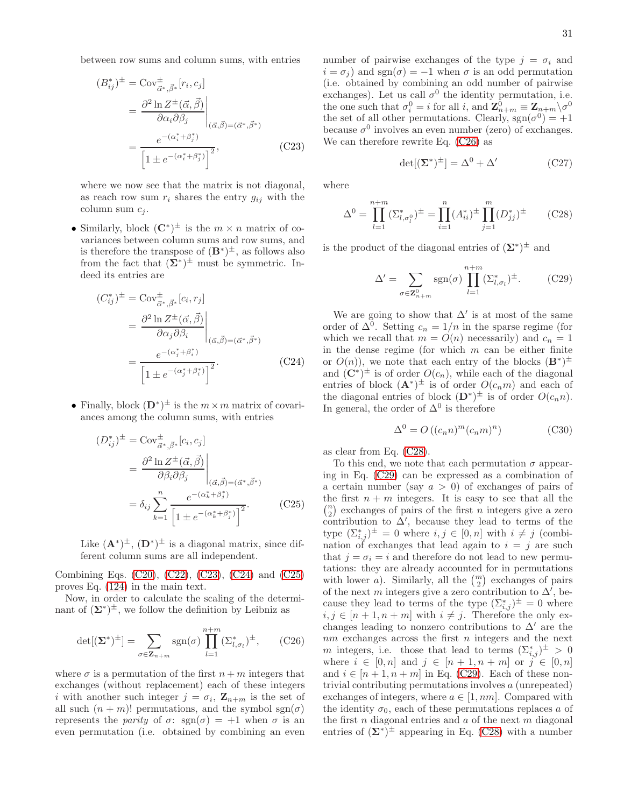between row sums and column sums, with entries

<span id="page-30-0"></span>
$$
(B_{ij}^*)^{\pm} = \text{Cov}_{\vec{\alpha}^*, \vec{\beta}^*}^{\pm} [r_i, c_j]
$$

$$
= \frac{\partial^2 \ln Z^{\pm}(\vec{\alpha}, \vec{\beta})}{\partial \alpha_i \partial \beta_j} \Big|_{(\vec{\alpha}, \vec{\beta}) = (\vec{\alpha}^*, \vec{\beta}^*)}
$$

$$
= \frac{e^{-(\alpha_i^* + \beta_j^*)}}{\left[1 \pm e^{-(\alpha_i^* + \beta_j^*)}\right]^2}, \tag{C23}
$$

where we now see that the matrix is not diagonal, as reach row sum  $r_i$  shares the entry  $g_{ij}$  with the column sum  $c_i$ .

• Similarly, block  $(\mathbb{C}^*)^{\pm}$  is the  $m \times n$  matrix of covariances between column sums and row sums, and is therefore the transpose of  $(\mathbf{B}^*)^{\pm}$ , as follows also from the fact that  $(\Sigma^*)^{\pm}$  must be symmetric. Indeed its entries are

<span id="page-30-1"></span>
$$
(C_{ij}^*)^{\pm} = \text{Cov}_{\vec{\alpha}^*, \vec{\beta}^*}^{\pm} [c_i, r_j]
$$
  
= 
$$
\frac{\partial^2 \ln Z^{\pm}(\vec{\alpha}, \vec{\beta})}{\partial \alpha_j \partial \beta_i} \Big|_{(\vec{\alpha}, \vec{\beta}) = (\vec{\alpha}^*, \vec{\beta}^*)}
$$
  
= 
$$
\frac{e^{-(\alpha_j^* + \beta_i^*)}}{\left[1 \pm e^{-(\alpha_j^* + \beta_i^*)}\right]^2}.
$$
 (C24)

• Finally, block  $(D^*)^{\pm}$  is the  $m \times m$  matrix of covariances among the column sums, with entries

<span id="page-30-2"></span>
$$
(D_{ij}^*)^{\pm} = \text{Cov}_{\vec{\alpha}^*, \vec{\beta}^*}^{\pm} [c_i, c_j]
$$
  
= 
$$
\frac{\partial^2 \ln Z^{\pm}(\vec{\alpha}, \vec{\beta})}{\partial \beta_i \partial \beta_j} \Big|_{(\vec{\alpha}, \vec{\beta}) = (\vec{\alpha}^*, \vec{\beta}^*)}
$$
  
= 
$$
\delta_{ij} \sum_{k=1}^n \frac{e^{-(\alpha_k^* + \beta_j^*)}}{\left[1 \pm e^{-(\alpha_k^* + \beta_j^*)}\right]^2}.
$$
 (C25)

Like  $(\mathbf{A}^*)^{\pm}$ ,  $(\mathbf{D}^*)^{\pm}$  is a diagonal matrix, since different column sums are all independent.

Combining Eqs. [\(C20\)](#page-29-1), [\(C22\)](#page-29-2), [\(C23\)](#page-30-0), [\(C24\)](#page-30-1) and [\(C25\)](#page-30-2) proves Eq. [\(124\)](#page-18-1) in the main text.

Now, in order to calculate the scaling of the determinant of  $(\Sigma^*)^{\pm}$ , we follow the definition by Leibniz as

<span id="page-30-3"></span>
$$
\det[(\mathbf{\Sigma}^*)^{\pm}] = \sum_{\sigma \in \mathbf{Z}_{n+m}} \text{sgn}(\sigma) \prod_{l=1}^{n+m} (\Sigma_{l,\sigma_l}^*)^{\pm}, \qquad \text{(C26)}
$$

where  $\sigma$  is a permutation of the first  $n + m$  integers that exchanges (without replacement) each of these integers i with another such integer  $j = \sigma_i$ ,  $\mathbf{Z}_{n+m}$  is the set of all such  $(n + m)!$  permutations, and the symbol sgn $(\sigma)$ represents the *parity* of  $\sigma$ :  $sgn(\sigma) = +1$  when  $\sigma$  is an even permutation (i.e. obtained by combining an even

number of pairwise exchanges of the type  $j = \sigma_i$  and  $i = \sigma_i$ ) and sgn( $\sigma$ ) = −1 when  $\sigma$  is an odd permutation (i.e. obtained by combining an odd number of pairwise exchanges). Let us call  $\sigma^0$  the identity permutation, i.e. the one such that  $\sigma_i^0 = i$  for all i, and  $\mathbf{Z}_{n+m}^0 \equiv \mathbf{Z}_{n+m} \setminus \sigma^0$ the set of all other permutations. Clearly,  $sgn(\sigma^0) = +1$ because  $\sigma^0$  involves an even number (zero) of exchanges. We can therefore rewrite Eq. [\(C26\)](#page-30-3) as

$$
\det[(\Sigma^*)^{\pm}] = \Delta^0 + \Delta' \tag{C27}
$$

where

<span id="page-30-4"></span>
$$
\Delta^{0} = \prod_{l=1}^{n+m} (\Sigma_{l,\sigma_{l}^{0}}^{*})^{\pm} = \prod_{i=1}^{n} (A_{ii}^{*})^{\pm} \prod_{j=1}^{m} (D_{jj}^{*})^{\pm}
$$
 (C28)

is the product of the diagonal entries of  $(\Sigma^*)^{\pm}$  and

<span id="page-30-5"></span>
$$
\Delta' = \sum_{\sigma \in \mathbf{Z}_{n+m}^0} \text{sgn}(\sigma) \prod_{l=1}^{n+m} (\Sigma_{l,\sigma_l}^*)^{\pm}.
$$
 (C29)

We are going to show that  $\Delta'$  is at most of the same order of  $\Delta^0$ . Setting  $c_n = 1/n$  in the sparse regime (for which we recall that  $m = O(n)$  necessarily) and  $c_n = 1$ in the dense regime (for which  $m$  can be either finite or  $O(n)$ , we note that each entry of the blocks  $(\mathbf{B}^*)^{\pm}$ and  $(\mathbf{C}^*)^{\pm}$  is of order  $O(c_n)$ , while each of the diagonal entries of block  $(\mathbf{A}^*)^{\pm}$  is of order  $O(c_n m)$  and each of the diagonal entries of block  $(D^*)^{\pm}$  is of order  $O(c_n n)$ . In general, the order of  $\Delta^0$  is therefore

$$
\Delta^{0} = O\left((c_n n)^m (c_n m)^n\right) \tag{C30}
$$

as clear from Eq. [\(C28\)](#page-30-4).

To this end, we note that each permutation  $\sigma$  appearing in Eq. [\(C29\)](#page-30-5) can be expressed as a combination of a certain number (say  $a > 0$ ) of exchanges of pairs of the first  $n + m$  integers. It is easy to see that all the  $\binom{n}{2}$  exchanges of pairs of the first  $n$  integers give a zero contribution to  $\Delta'$ , because they lead to terms of the type  $(\Sigma_{i,j}^*)^{\pm} = 0$  where  $i, j \in [0, n]$  with  $i \neq j$  (combination of exchanges that lead again to  $i = j$  are such that  $i = \sigma_i = i$  and therefore do not lead to new permutations: they are already accounted for in permutations with lower *a*). Similarly, all the  $\binom{m}{2}$  exchanges of pairs of the next m integers give a zero contribution to  $\Delta'$ , because they lead to terms of the type  $(\sum_{i,j}^*)^{\pm} = 0$  where  $i, j \in [n+1, n+m]$  with  $i \neq j$ . Therefore the only exchanges leading to nonzero contributions to  $\Delta'$  are the  $nm$  exchanges across the first  $n$  integers and the next m integers, i.e. those that lead to terms  $(\Sigma_{i,j}^*)^{\pm} > 0$ where  $i \in [0, n]$  and  $j \in [n + 1, n + m]$  or  $j \in [0, n]$ and  $i \in [n+1, n+m]$  in Eq. [\(C29\)](#page-30-5). Each of these nontrivial contributing permutations involves a (unrepeated) exchanges of integers, where  $a \in [1, nm]$ . Compared with the identity  $\sigma_0$ , each of these permutations replaces a of the first n diagonal entries and  $a$  of the next  $m$  diagonal entries of  $(\Sigma^*)^{\pm}$  appearing in Eq. [\(C28\)](#page-30-4) with a number